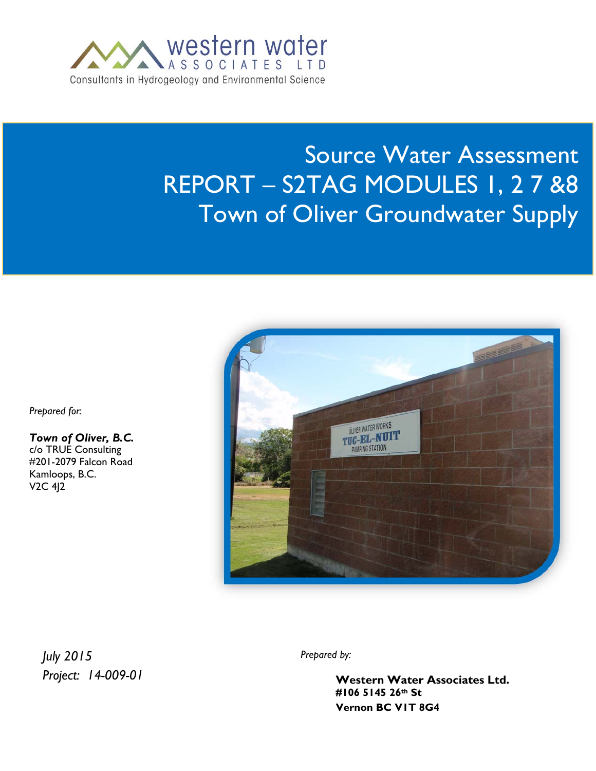

# Source Water Assessment REPORT – S2TAG MODULES 1, 2 7 &8 Town of Oliver Groundwater Supply

*Prepared for:* 

*Town of Oliver, B.C.*  c/o TRUE Consulting #201-2079 Falcon Road Kamloops, B.C. V2C 4J2



*July 2015 Project: 14-009-01* *Prepared by:*

**106 – 5145 26th Street, Vernon BC VIT 8G4** *P***:1.250.541.1030 <b>Western Water.com BC VIT 8G4 Western Water Associates Ltd. #106 5145 26th St**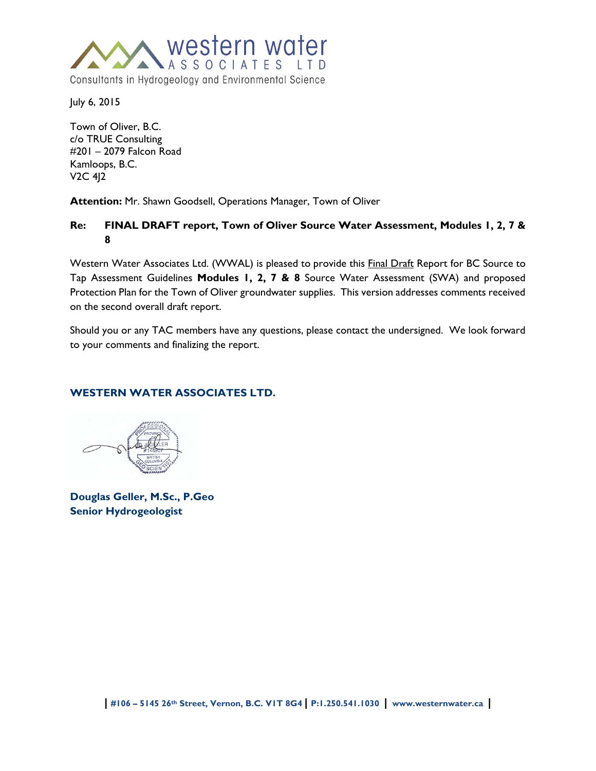

July 6, 2015

Town of Oliver, B.C. c/o TRUE Consulting #201 – 2079 Falcon Road Kamloops, B.C. V2C 4J2

**Attention:** Mr. Shawn Goodsell, Operations Manager, Town of Oliver

# **Re: FINAL DRAFT report, Town of Oliver Source Water Assessment, Modules 1, 2, 7 & 8**

Western Water Associates Ltd. (WWAL) is pleased to provide this **Final Draft Report for BC Source to** Tap Assessment Guidelines **Modules 1, 2, 7 & 8** Source Water Assessment (SWA) and proposed Protection Plan for the Town of Oliver groundwater supplies. This version addresses comments received on the second overall draft report.

Should you or any TAC members have any questions, please contact the undersigned. We look forward to your comments and finalizing the report.

# **WESTERN WATER ASSOCIATES LTD.**

**Douglas Geller, M.Sc., P.Geo Senior Hydrogeologist**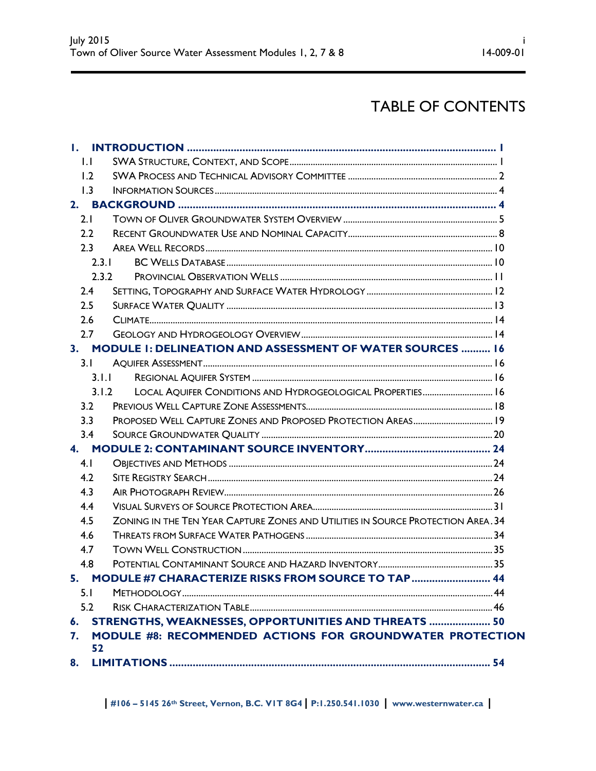# TABLE OF CONTENTS

| $\mathsf{L}$ |       |                                                                                  |  |
|--------------|-------|----------------------------------------------------------------------------------|--|
| 1.2          |       |                                                                                  |  |
| 1.3          |       |                                                                                  |  |
|              |       |                                                                                  |  |
| 2.1          |       |                                                                                  |  |
| 2.2          |       |                                                                                  |  |
| 2.3          |       |                                                                                  |  |
|              | 2.3.1 |                                                                                  |  |
|              | 2.3.2 |                                                                                  |  |
| 2.4          |       |                                                                                  |  |
| 2.5          |       |                                                                                  |  |
| 2.6          |       |                                                                                  |  |
| 2.7          |       |                                                                                  |  |
|              |       | 3. MODULE 1: DELINEATION AND ASSESSMENT OF WATER SOURCES  16                     |  |
| 3.1          |       |                                                                                  |  |
|              | 3.1.1 |                                                                                  |  |
|              | 3.1.2 | LOCAL AQUIFER CONDITIONS AND HYDROGEOLOGICAL PROPERTIES 16                       |  |
| 3.2          |       |                                                                                  |  |
| 3.3          |       |                                                                                  |  |
| 3.4          |       |                                                                                  |  |
| 4.           |       |                                                                                  |  |
| 4.1          |       |                                                                                  |  |
| 4.2          |       |                                                                                  |  |
| 4.3          |       |                                                                                  |  |
| 4.4          |       |                                                                                  |  |
| 4.5          |       | ZONING IN THE TEN YEAR CAPTURE ZONES AND UTILITIES IN SOURCE PROTECTION AREA. 34 |  |
| 4.6          |       |                                                                                  |  |
| 4.7          |       |                                                                                  |  |
| 4.8          |       |                                                                                  |  |
|              |       | 5. MODULE #7 CHARACTERIZE RISKS FROM SOURCE TO TAP  44                           |  |
| 5.1          |       |                                                                                  |  |
| 5.2          |       |                                                                                  |  |
|              |       | 6. STRENGTHS, WEAKNESSES, OPPORTUNITIES AND THREATS  50                          |  |
| 7.           |       | MODULE #8: RECOMMENDED ACTIONS FOR GROUNDWATER PROTECTION                        |  |
|              | 52    |                                                                                  |  |
|              |       |                                                                                  |  |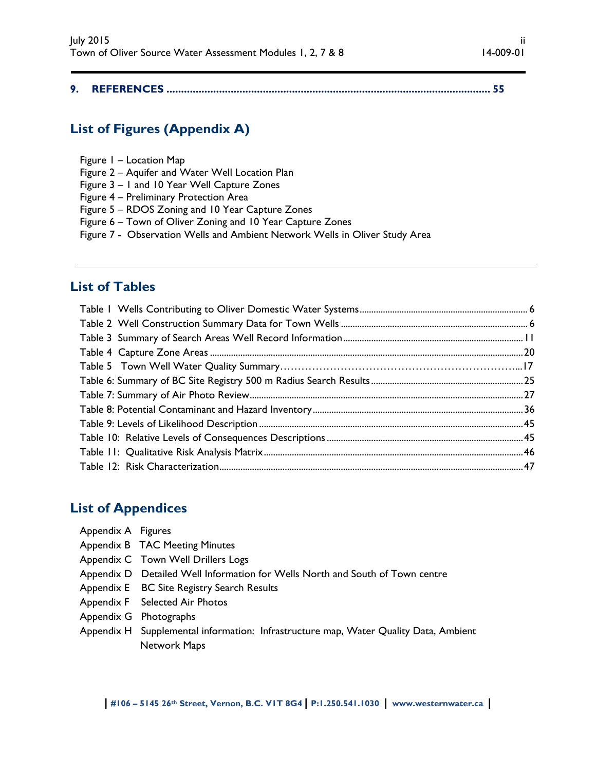|--|--|--|--|

# **List of Figures (Appendix A)**

- Figure 1 Location Map
- Figure 2 Aquifer and Water Well Location Plan
- Figure 3 1 and 10 Year Well Capture Zones
- Figure 4 Preliminary Protection Area
- Figure 5 RDOS Zoning and 10 Year Capture Zones
- Figure 6 Town of Oliver Zoning and 10 Year Capture Zones
- Figure 7 Observation Wells and Ambient Network Wells in Oliver Study Area

# **List of Tables**

# **List of Appendices**

- Appendix A Figures
- Appendix B TAC Meeting Minutes
- Appendix C Town Well Drillers Logs
- Appendix D Detailed Well Information for Wells North and South of Town centre
- Appendix E BC Site Registry Search Results
- Appendix F Selected Air Photos
- Appendix G Photographs
- Appendix H Supplemental information: Infrastructure map, Water Quality Data, Ambient Network Maps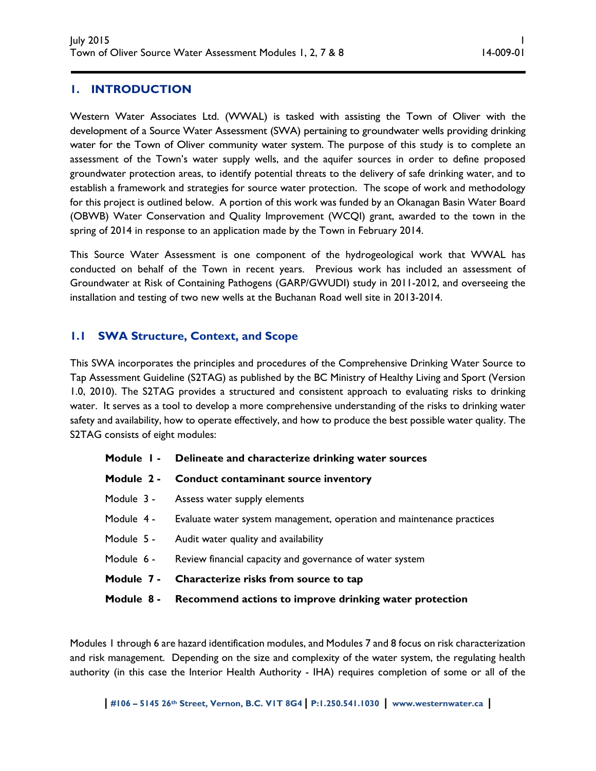# **1. INTRODUCTION**

Western Water Associates Ltd. (WWAL) is tasked with assisting the Town of Oliver with the development of a Source Water Assessment (SWA) pertaining to groundwater wells providing drinking water for the Town of Oliver community water system. The purpose of this study is to complete an assessment of the Town's water supply wells, and the aquifer sources in order to define proposed groundwater protection areas, to identify potential threats to the delivery of safe drinking water, and to establish a framework and strategies for source water protection. The scope of work and methodology for this project is outlined below. A portion of this work was funded by an Okanagan Basin Water Board (OBWB) Water Conservation and Quality Improvement (WCQI) grant, awarded to the town in the spring of 2014 in response to an application made by the Town in February 2014.

This Source Water Assessment is one component of the hydrogeological work that WWAL has conducted on behalf of the Town in recent years. Previous work has included an assessment of Groundwater at Risk of Containing Pathogens (GARP/GWUDI) study in 2011-2012, and overseeing the installation and testing of two new wells at the Buchanan Road well site in 2013-2014.

# **1.1 SWA Structure, Context, and Scope**

This SWA incorporates the principles and procedures of the Comprehensive Drinking Water Source to Tap Assessment Guideline (S2TAG) as published by the BC Ministry of Healthy Living and Sport (Version 1.0, 2010). The S2TAG provides a structured and consistent approach to evaluating risks to drinking water. It serves as a tool to develop a more comprehensive understanding of the risks to drinking water safety and availability, how to operate effectively, and how to produce the best possible water quality. The S2TAG consists of eight modules:

|  | Module 1 - Delineate and characterize drinking water sources                     |
|--|----------------------------------------------------------------------------------|
|  | Module 2 - Conduct contaminant source inventory                                  |
|  | Module 3 - Assess water supply elements                                          |
|  | Module 4 - Evaluate water system management, operation and maintenance practices |
|  | Module 5 - Audit water quality and availability                                  |
|  | Module 6 - Review financial capacity and governance of water system              |
|  | Module 7 - Characterize risks from source to tap                                 |
|  | Module 8 - Recommend actions to improve drinking water protection                |

Modules 1 through 6 are hazard identification modules, and Modules 7 and 8 focus on risk characterization and risk management. Depending on the size and complexity of the water system, the regulating health authority (in this case the Interior Health Authority - IHA) requires completion of some or all of the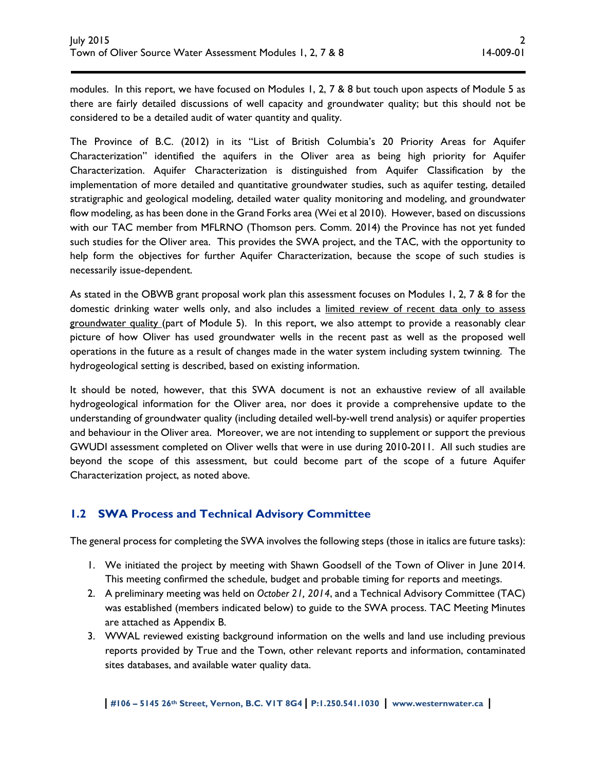modules. In this report, we have focused on Modules 1, 2, 7 & 8 but touch upon aspects of Module 5 as there are fairly detailed discussions of well capacity and groundwater quality; but this should not be considered to be a detailed audit of water quantity and quality.

The Province of B.C. (2012) in its "List of British Columbia's 20 Priority Areas for Aquifer Characterization" identified the aquifers in the Oliver area as being high priority for Aquifer Characterization. Aquifer Characterization is distinguished from Aquifer Classification by the implementation of more detailed and quantitative groundwater studies, such as aquifer testing, detailed stratigraphic and geological modeling, detailed water quality monitoring and modeling, and groundwater flow modeling, as has been done in the Grand Forks area (Wei et al 2010). However, based on discussions with our TAC member from MFLRNO (Thomson pers. Comm. 2014) the Province has not yet funded such studies for the Oliver area. This provides the SWA project, and the TAC, with the opportunity to help form the objectives for further Aquifer Characterization, because the scope of such studies is necessarily issue-dependent.

As stated in the OBWB grant proposal work plan this assessment focuses on Modules 1, 2, 7 & 8 for the domestic drinking water wells only, and also includes a limited review of recent data only to assess groundwater quality (part of Module 5). In this report, we also attempt to provide a reasonably clear picture of how Oliver has used groundwater wells in the recent past as well as the proposed well operations in the future as a result of changes made in the water system including system twinning. The hydrogeological setting is described, based on existing information.

It should be noted, however, that this SWA document is not an exhaustive review of all available hydrogeological information for the Oliver area, nor does it provide a comprehensive update to the understanding of groundwater quality (including detailed well-by-well trend analysis) or aquifer properties and behaviour in the Oliver area. Moreover, we are not intending to supplement or support the previous GWUDI assessment completed on Oliver wells that were in use during 2010-2011. All such studies are beyond the scope of this assessment, but could become part of the scope of a future Aquifer Characterization project, as noted above.

# **1.2 SWA Process and Technical Advisory Committee**

The general process for completing the SWA involves the following steps (those in italics are future tasks):

- 1. We initiated the project by meeting with Shawn Goodsell of the Town of Oliver in June 2014. This meeting confirmed the schedule, budget and probable timing for reports and meetings.
- 2. A preliminary meeting was held on *October 21, 2014*, and a Technical Advisory Committee (TAC) was established (members indicated below) to guide to the SWA process. TAC Meeting Minutes are attached as Appendix B.
- 3. WWAL reviewed existing background information on the wells and land use including previous reports provided by True and the Town, other relevant reports and information, contaminated sites databases, and available water quality data.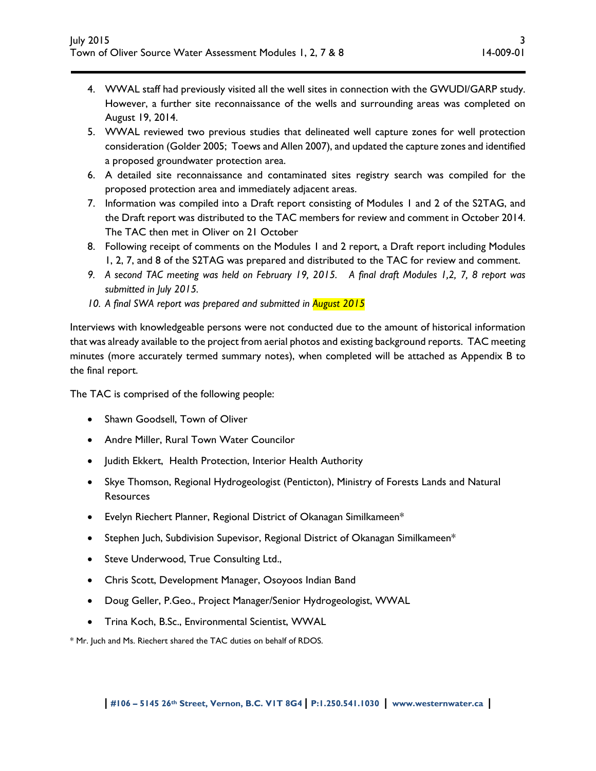- 4. WWAL staff had previously visited all the well sites in connection with the GWUDI/GARP study. However, a further site reconnaissance of the wells and surrounding areas was completed on August 19, 2014.
- 5. WWAL reviewed two previous studies that delineated well capture zones for well protection consideration (Golder 2005; Toews and Allen 2007), and updated the capture zones and identified a proposed groundwater protection area.
- 6. A detailed site reconnaissance and contaminated sites registry search was compiled for the proposed protection area and immediately adjacent areas.
- 7. Information was compiled into a Draft report consisting of Modules 1 and 2 of the S2TAG, and the Draft report was distributed to the TAC members for review and comment in October 2014. The TAC then met in Oliver on 21 October
- 8. Following receipt of comments on the Modules 1 and 2 report, a Draft report including Modules 1, 2, 7, and 8 of the S2TAG was prepared and distributed to the TAC for review and comment.
- *9. A second TAC meeting was held on February 19, 2015. A final draft Modules 1,2, 7, 8 report was submitted in July 2015.*
- *10. A final SWA report was prepared and submitted in August 2015*

Interviews with knowledgeable persons were not conducted due to the amount of historical information that was already available to the project from aerial photos and existing background reports. TAC meeting minutes (more accurately termed summary notes), when completed will be attached as Appendix B to the final report.

The TAC is comprised of the following people:

- Shawn Goodsell, Town of Oliver
- Andre Miller, Rural Town Water Councilor
- Judith Ekkert, Health Protection, Interior Health Authority
- Skye Thomson, Regional Hydrogeologist (Penticton), Ministry of Forests Lands and Natural **Resources**
- Evelyn Riechert Planner, Regional District of Okanagan Similkameen\*
- Stephen Juch, Subdivision Supevisor, Regional District of Okanagan Similkameen\*
- **•** Steve Underwood, True Consulting Ltd.,
- Chris Scott, Development Manager, Osoyoos Indian Band
- Doug Geller, P.Geo., Project Manager/Senior Hydrogeologist, WWAL
- Trina Koch, B.Sc., Environmental Scientist, WWAL

\* Mr. Juch and Ms. Riechert shared the TAC duties on behalf of RDOS.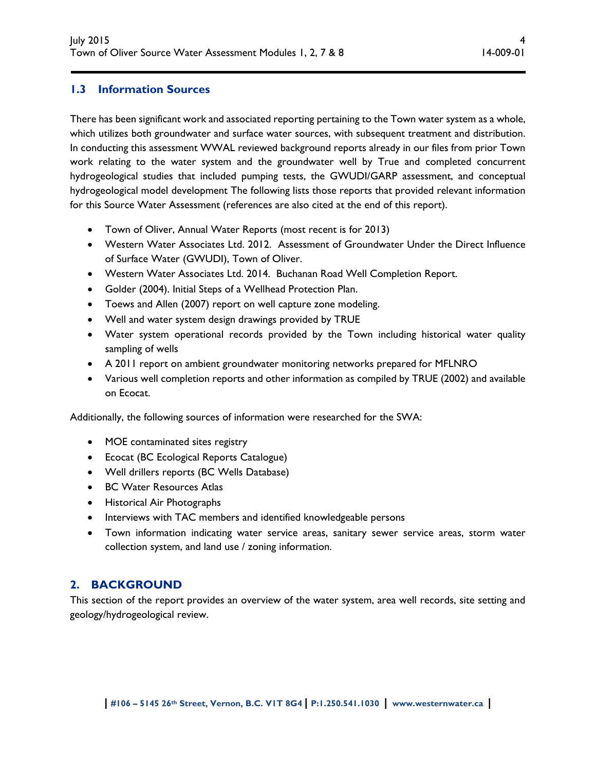# **1.3 Information Sources**

There has been significant work and associated reporting pertaining to the Town water system as a whole, which utilizes both groundwater and surface water sources, with subsequent treatment and distribution. In conducting this assessment WWAL reviewed background reports already in our files from prior Town work relating to the water system and the groundwater well by True and completed concurrent hydrogeological studies that included pumping tests, the GWUDI/GARP assessment, and conceptual hydrogeological model development The following lists those reports that provided relevant information for this Source Water Assessment (references are also cited at the end of this report).

- Town of Oliver, Annual Water Reports (most recent is for 2013)
- Western Water Associates Ltd. 2012. Assessment of Groundwater Under the Direct Influence of Surface Water (GWUDI), Town of Oliver.
- Western Water Associates Ltd. 2014. Buchanan Road Well Completion Report.
- Golder (2004). Initial Steps of a Wellhead Protection Plan.
- Toews and Allen (2007) report on well capture zone modeling.
- Well and water system design drawings provided by TRUE
- Water system operational records provided by the Town including historical water quality sampling of wells
- A 2011 report on ambient groundwater monitoring networks prepared for MFLNRO
- Various well completion reports and other information as compiled by TRUE (2002) and available on Ecocat.

Additionally, the following sources of information were researched for the SWA:

- MOE contaminated sites registry
- Ecocat (BC Ecological Reports Catalogue)
- Well drillers reports (BC Wells Database)
- BC Water Resources Atlas
- **•** Historical Air Photographs
- Interviews with TAC members and identified knowledgeable persons
- Town information indicating water service areas, sanitary sewer service areas, storm water collection system, and land use / zoning information.

# **2. BACKGROUND**

This section of the report provides an overview of the water system, area well records, site setting and geology/hydrogeological review.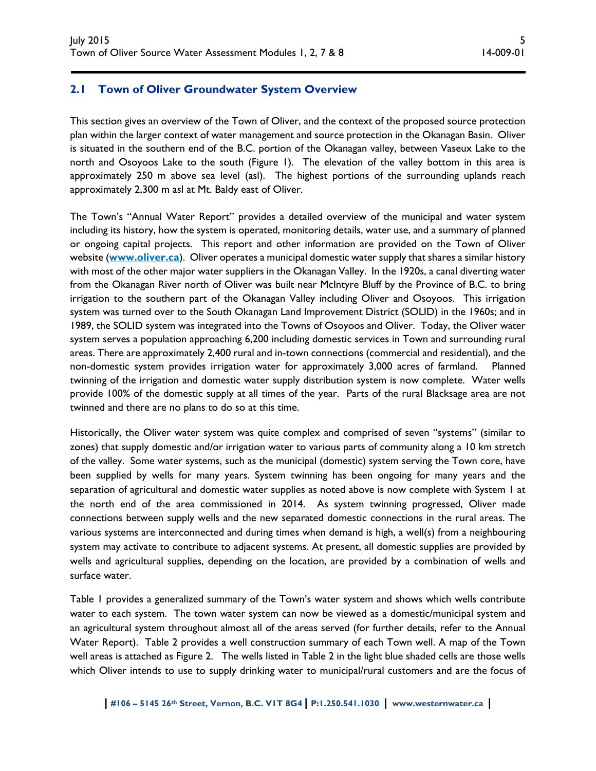### **2.1 Town of Oliver Groundwater System Overview**

This section gives an overview of the Town of Oliver, and the context of the proposed source protection plan within the larger context of water management and source protection in the Okanagan Basin. Oliver is situated in the southern end of the B.C. portion of the Okanagan valley, between Vaseux Lake to the north and Osoyoos Lake to the south (Figure 1). The elevation of the valley bottom in this area is approximately 250 m above sea level (asl). The highest portions of the surrounding uplands reach approximately 2,300 m asl at Mt. Baldy east of Oliver.

The Town's "Annual Water Report" provides a detailed overview of the municipal and water system including its history, how the system is operated, monitoring details, water use, and a summary of planned or ongoing capital projects. This report and other information are provided on the Town of Oliver website (**www.oliver.ca**). Oliver operates a municipal domestic water supply that shares a similar history with most of the other major water suppliers in the Okanagan Valley. In the 1920s, a canal diverting water from the Okanagan River north of Oliver was built near McIntyre Bluff by the Province of B.C. to bring irrigation to the southern part of the Okanagan Valley including Oliver and Osoyoos. This irrigation system was turned over to the South Okanagan Land Improvement District (SOLID) in the 1960s; and in 1989, the SOLID system was integrated into the Towns of Osoyoos and Oliver. Today, the OIiver water system serves a population approaching 6,200 including domestic services in Town and surrounding rural areas. There are approximately 2,400 rural and in-town connections (commercial and residential), and the non-domestic system provides irrigation water for approximately 3,000 acres of farmland. Planned twinning of the irrigation and domestic water supply distribution system is now complete. Water wells provide 100% of the domestic supply at all times of the year. Parts of the rural Blacksage area are not twinned and there are no plans to do so at this time.

Historically, the Oliver water system was quite complex and comprised of seven "systems" (similar to zones) that supply domestic and/or irrigation water to various parts of community along a 10 km stretch of the valley. Some water systems, such as the municipal (domestic) system serving the Town core, have been supplied by wells for many years. System twinning has been ongoing for many years and the separation of agricultural and domestic water supplies as noted above is now complete with System 1 at the north end of the area commissioned in 2014. As system twinning progressed, Oliver made connections between supply wells and the new separated domestic connections in the rural areas. The various systems are interconnected and during times when demand is high, a well(s) from a neighbouring system may activate to contribute to adjacent systems. At present, all domestic supplies are provided by wells and agricultural supplies, depending on the location, are provided by a combination of wells and surface water.

Table 1 provides a generalized summary of the Town's water system and shows which wells contribute water to each system. The town water system can now be viewed as a domestic/municipal system and an agricultural system throughout almost all of the areas served (for further details, refer to the Annual Water Report). Table 2 provides a well construction summary of each Town well. A map of the Town well areas is attached as Figure 2. The wells listed in Table 2 in the light blue shaded cells are those wells which Oliver intends to use to supply drinking water to municipal/rural customers and are the focus of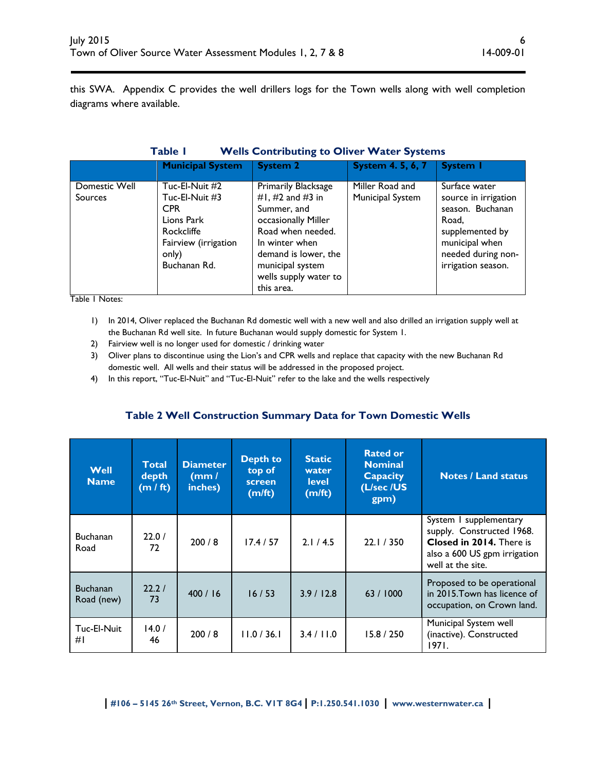this SWA. Appendix C provides the well drillers logs for the Town wells along with well completion diagrams where available.

|  | Table I | <b>Wells Contributing to Oliver Water Systems</b> |
|--|---------|---------------------------------------------------|
|--|---------|---------------------------------------------------|

|                                 | <b>Municipal System</b>                                                                                                            | <b>System 2</b>                                                                                                                                                                                         | <b>System 4.5, 6, 7</b>             | System I                                                                                                                                            |
|---------------------------------|------------------------------------------------------------------------------------------------------------------------------------|---------------------------------------------------------------------------------------------------------------------------------------------------------------------------------------------------------|-------------------------------------|-----------------------------------------------------------------------------------------------------------------------------------------------------|
| Domestic Well<br><b>Sources</b> | Tuc-El-Nuit #2<br>Tuc-El-Nuit #3<br><b>CPR</b><br>Lions Park<br><b>Rockcliffe</b><br>Fairview (irrigation<br>only)<br>Buchanan Rd. | Primarily Blacksage<br>#1, #2 and #3 in<br>Summer, and<br>occasionally Miller<br>Road when needed.<br>In winter when<br>demand is lower, the<br>municipal system<br>wells supply water to<br>this area. | Miller Road and<br>Municipal System | Surface water<br>source in irrigation<br>season. Buchanan<br>Road,<br>supplemented by<br>municipal when<br>needed during non-<br>irrigation season. |

Table 1 Notes:

- 1) In 2014, Oliver replaced the Buchanan Rd domestic well with a new well and also drilled an irrigation supply well at the Buchanan Rd well site. In future Buchanan would supply domestic for System 1.
- 2) Fairview well is no longer used for domestic / drinking water
- 3) Oliver plans to discontinue using the Lion's and CPR wells and replace that capacity with the new Buchanan Rd domestic well. All wells and their status will be addressed in the proposed project.
- 4) In this report, "Tuc-El-Nuit" and "Tuc-El-Nuit" refer to the lake and the wells respectively

# **Table 2 Well Construction Summary Data for Town Domestic Wells**

| Well<br><b>Name</b>           | <b>Total</b><br>depth<br>(m / ft) | <b>Rated or</b><br><b>Static</b><br><b>Depth to</b><br><b>Diameter</b><br><b>Nominal</b><br>top of<br>water<br><b>Capacity</b><br>(mm /<br><b>level</b><br>screen<br>(L/sec /US<br>inches)<br>(m/ft)<br>(m/ft)<br>gpm) |             |            | <b>Notes / Land status</b> |                                                                                                                                      |
|-------------------------------|-----------------------------------|------------------------------------------------------------------------------------------------------------------------------------------------------------------------------------------------------------------------|-------------|------------|----------------------------|--------------------------------------------------------------------------------------------------------------------------------------|
| <b>Buchanan</b><br>Road       | 22.0/<br>72                       | 200/8                                                                                                                                                                                                                  | 17.4 / 57   | 2.1 / 4.5  | 22.1 / 350                 | System I supplementary<br>supply. Constructed 1968.<br>Closed in 2014. There is<br>also a 600 US gpm irrigation<br>well at the site. |
| <b>Buchanan</b><br>Road (new) | 22.2/<br>73                       | 400/16                                                                                                                                                                                                                 | 16/53       | 3.9/12.8   | 63 / 1000                  | Proposed to be operational<br>in 2015. Town has licence of<br>occupation, on Crown land.                                             |
| Tuc-El-Nuit<br>#I             | 14.0/<br>46                       | 200/8                                                                                                                                                                                                                  | 11.0 / 36.1 | 3.4 / 11.0 | 15.8 / 250                 | Municipal System well<br>(inactive). Constructed<br>1971.                                                                            |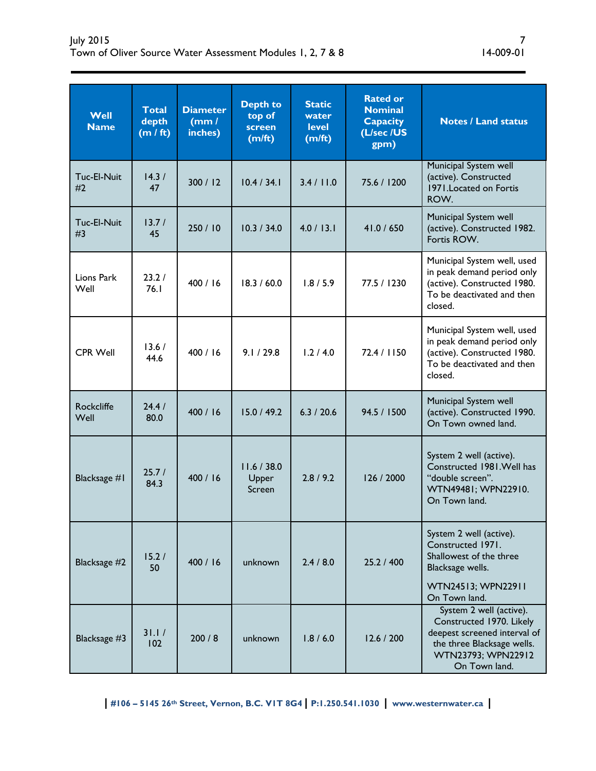| Well<br><b>Name</b>       | <b>Total</b><br>depth<br>(m / ft) | <b>Diameter</b><br>(mm)<br>inches) | <b>Depth to</b><br>top of<br>screen<br>(m/ft) | <b>Static</b><br>water<br><b>level</b><br>(m/ft) | <b>Rated or</b><br><b>Nominal</b><br><b>Capacity</b><br>(L/sec /US<br>gpm) | <b>Notes / Land status</b>                                                                                                                               |
|---------------------------|-----------------------------------|------------------------------------|-----------------------------------------------|--------------------------------------------------|----------------------------------------------------------------------------|----------------------------------------------------------------------------------------------------------------------------------------------------------|
| Tuc-El-Nuit<br>#2         | 14.3/<br>47                       | 300 / 12                           | 10.4 / 34.1                                   | 3.4 / 11.0                                       | 75.6 / 1200                                                                | Municipal System well<br>(active). Constructed<br>1971. Located on Fortis<br>ROW.                                                                        |
| Tuc-El-Nuit<br>#3         | 13.7/<br>45                       | 250 / 10                           | 10.3 / 34.0                                   | 4.0 / 13.1                                       | 41.0 / 650                                                                 | Municipal System well<br>(active). Constructed 1982.<br>Fortis ROW.                                                                                      |
| Lions Park<br>Well        | 23.2/<br>76.1                     | 400/16                             | 18.3 / 60.0                                   | 1.8 / 5.9                                        | 77.5 / 1230                                                                | Municipal System well, used<br>in peak demand period only<br>(active). Constructed 1980.<br>To be deactivated and then<br>closed.                        |
| <b>CPR Well</b>           | 13.6/<br>44.6                     | 400/16                             | 9.1 / 29.8                                    | 1.2 / 4.0                                        | 72.4 / 1150                                                                | Municipal System well, used<br>in peak demand period only<br>(active). Constructed 1980.<br>To be deactivated and then<br>closed.                        |
| <b>Rockcliffe</b><br>Well | 24.4/<br>80.0                     | 400 / 16                           | 15.0 / 49.2                                   | 6.3 / 20.6                                       | 94.5 / 1500                                                                | Municipal System well<br>(active). Constructed 1990.<br>On Town owned land.                                                                              |
| Blacksage #1              | 25.7/<br>84.3                     | 400/16                             | 11.6 / 38.0<br>Upper<br>Screen                | 2.8/9.2                                          | 126 / 2000                                                                 | System 2 well (active).<br>Constructed 1981. Well has<br>"double screen".<br>WTN49481; WPN22910.<br>On Town land.                                        |
| Blacksage #2              | 15.2/<br>50                       | 400 / 16                           | unknown                                       | 2.4 / 8.0                                        | 25.2 / 400                                                                 | System 2 well (active).<br>Constructed 1971.<br>Shallowest of the three<br>Blacksage wells.<br>WTN24513; WPN22911<br>On Town land.                       |
| Blacksage #3              | 31.1/<br>102                      | 200/8                              | unknown                                       | 1.8 / 6.0                                        | 12.6 / 200                                                                 | System 2 well (active).<br>Constructed 1970. Likely<br>deepest screened interval of<br>the three Blacksage wells.<br>WTN23793; WPN22912<br>On Town land. |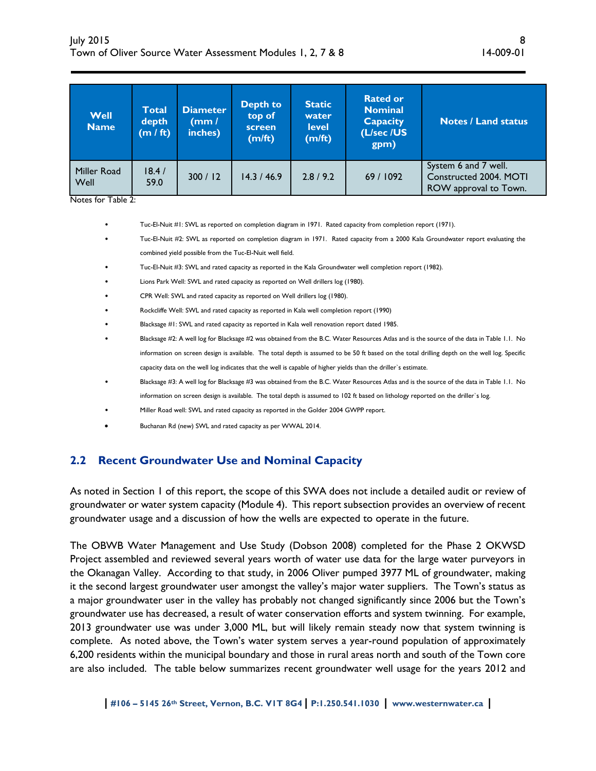| Well<br><b>Name</b> | <b>Total</b><br>depth<br>(m / ft) | <b>Diameter</b><br>(mm /<br>inches) | <b>Depth to</b><br>top of<br>screen<br>(m/ft) | <b>Static</b><br>water<br><b>level</b><br>(m/ft) | <b>Rated or</b><br><b>Nominal</b><br><b>Capacity</b><br>(L/sec /US<br>gpm) | <b>Notes / Land status</b>                                              |
|---------------------|-----------------------------------|-------------------------------------|-----------------------------------------------|--------------------------------------------------|----------------------------------------------------------------------------|-------------------------------------------------------------------------|
| Miller Road<br>Well | 18.4/<br>59.0                     | 300 / 12                            | 14.3 / 46.9                                   | 2.8/9.2                                          | 69/1092                                                                    | System 6 and 7 well.<br>Constructed 2004. MOTI<br>ROW approval to Town. |

Notes for Table 2:

- Tuc-El-Nuit #1: SWL as reported on completion diagram in 1971. Rated capacity from completion report (1971).
- Tuc-El-Nuit #2: SWL as reported on completion diagram in 1971. Rated capacity from a 2000 Kala Groundwater report evaluating the combined yield possible from the Tuc-El-Nuit well field.
- Tuc-El-Nuit #3: SWL and rated capacity as reported in the Kala Groundwater well completion report (1982).
- Lions Park Well: SWL and rated capacity as reported on Well drillers log (1980).
- CPR Well: SWL and rated capacity as reported on Well drillers log (1980).
- Rockcliffe Well: SWL and rated capacity as reported in Kala well completion report (1990)
- Blacksage #1: SWL and rated capacity as reported in Kala well renovation report dated 1985.
- Blacksage #2: A well log for Blacksage #2 was obtained from the B.C. Water Resources Atlas and is the source of the data in Table 1.1. No information on screen design is available. The total depth is assumed to be 50 ft based on the total drilling depth on the well log. Specific capacity data on the well log indicates that the well is capable of higher yields than the driller`s estimate.
- Blacksage #3: A well log for Blacksage #3 was obtained from the B.C. Water Resources Atlas and is the source of the data in Table 1.1. No information on screen design is available. The total depth is assumed to 102 ft based on lithology reported on the driller`s log.
- Miller Road well: SWL and rated capacity as reported in the Golder 2004 GWPP report.
- Buchanan Rd (new) SWL and rated capacity as per WWAL 2014.

### **2.2 Recent Groundwater Use and Nominal Capacity**

As noted in Section 1 of this report, the scope of this SWA does not include a detailed audit or review of groundwater or water system capacity (Module 4). This report subsection provides an overview of recent groundwater usage and a discussion of how the wells are expected to operate in the future.

The OBWB Water Management and Use Study (Dobson 2008) completed for the Phase 2 OKWSD Project assembled and reviewed several years worth of water use data for the large water purveyors in the Okanagan Valley. According to that study, in 2006 Oliver pumped 3977 ML of groundwater, making it the second largest groundwater user amongst the valley's major water suppliers. The Town's status as a major groundwater user in the valley has probably not changed significantly since 2006 but the Town's groundwater use has decreased, a result of water conservation efforts and system twinning. For example, 2013 groundwater use was under 3,000 ML, but will likely remain steady now that system twinning is complete. As noted above, the Town's water system serves a year-round population of approximately 6,200 residents within the municipal boundary and those in rural areas north and south of the Town core are also included. The table below summarizes recent groundwater well usage for the years 2012 and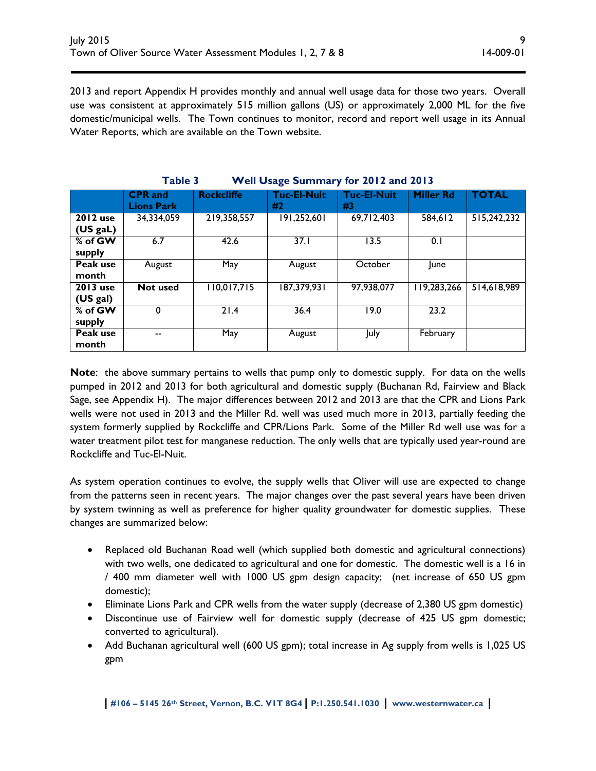2013 and report Appendix H provides monthly and annual well usage data for those two years. Overall use was consistent at approximately 515 million gallons (US) or approximately 2,000 ML for the five domestic/municipal wells. The Town continues to monitor, record and report well usage in its Annual Water Reports, which are available on the Town website.

| $\cdots$ on $\bullet$ sage summany<br>$101$ averaged avers |                                     |                   |                          |                          |                  |              |  |  |  |  |
|------------------------------------------------------------|-------------------------------------|-------------------|--------------------------|--------------------------|------------------|--------------|--|--|--|--|
|                                                            | <b>CPR</b> and<br><b>Lions Park</b> | <b>Rockcliffe</b> | <b>Tuc-El-Nuit</b><br>#2 | <b>Tuc-El-Nuit</b><br>#3 | <b>Miller Rd</b> | <b>TOTAL</b> |  |  |  |  |
| <b>2012</b> use<br>34,334,059<br>(US gal)                  |                                     | 219,358,557       | 191,252,601              | 69,712,403               | 584,612          | 515,242,232  |  |  |  |  |
| % of GW<br>supply                                          | 6.7                                 | 42.6              | 37.1                     | 13.5                     | 0.1              |              |  |  |  |  |
| Peak use<br>month                                          | August                              | May               | August                   | October                  | <b>June</b>      |              |  |  |  |  |
| <b>2013</b> use<br>(US gal)                                | <b>Not used</b>                     | 110,017,715       | 187,379,931              | 97,938,077               | 119,283,266      | 514,618,989  |  |  |  |  |
| $%$ of GW<br>supply                                        | 0                                   | 21.4              | 36.4                     | 19.0                     | 23.2             |              |  |  |  |  |
| Peak use<br>month                                          | --                                  | May               | August                   | July                     | February         |              |  |  |  |  |

**Table 3 Well Usage Summary for 2012 and 2013** 

**Note**: the above summary pertains to wells that pump only to domestic supply. For data on the wells pumped in 2012 and 2013 for both agricultural and domestic supply (Buchanan Rd, Fairview and Black Sage, see Appendix H). The major differences between 2012 and 2013 are that the CPR and Lions Park wells were not used in 2013 and the Miller Rd. well was used much more in 2013, partially feeding the system formerly supplied by Rockcliffe and CPR/Lions Park. Some of the Miller Rd well use was for a water treatment pilot test for manganese reduction. The only wells that are typically used year-round are Rockcliffe and Tuc-El-Nuit.

As system operation continues to evolve, the supply wells that Oliver will use are expected to change from the patterns seen in recent years. The major changes over the past several years have been driven by system twinning as well as preference for higher quality groundwater for domestic supplies. These changes are summarized below:

- Replaced old Buchanan Road well (which supplied both domestic and agricultural connections) with two wells, one dedicated to agricultural and one for domestic. The domestic well is a 16 in / 400 mm diameter well with 1000 US gpm design capacity; (net increase of 650 US gpm domestic);
- Eliminate Lions Park and CPR wells from the water supply (decrease of 2,380 US gpm domestic)
- Discontinue use of Fairview well for domestic supply (decrease of 425 US gpm domestic; converted to agricultural).
- Add Buchanan agricultural well (600 US gpm); total increase in Ag supply from wells is 1,025 US gpm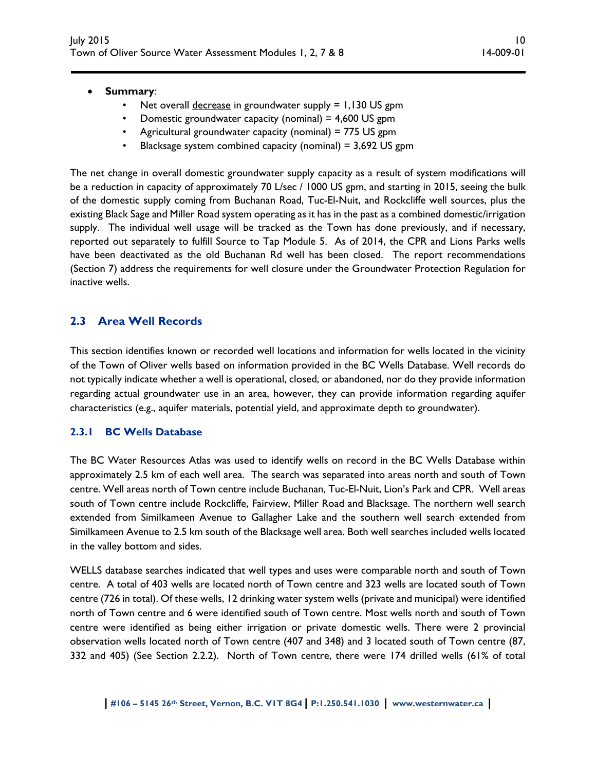#### **Summary**:

- Net overall *decrease* in groundwater supply = 1,130 US gpm
- Domestic groundwater capacity (nominal) = 4,600 US gpm
- Agricultural groundwater capacity (nominal) = 775 US gpm
- Blacksage system combined capacity (nominal) = 3,692 US gpm

The net change in overall domestic groundwater supply capacity as a result of system modifications will be a reduction in capacity of approximately 70 L/sec / 1000 US gpm, and starting in 2015, seeing the bulk of the domestic supply coming from Buchanan Road, Tuc-El-Nuit, and Rockcliffe well sources, plus the existing Black Sage and Miller Road system operating as it has in the past as a combined domestic/irrigation supply. The individual well usage will be tracked as the Town has done previously, and if necessary, reported out separately to fulfill Source to Tap Module 5. As of 2014, the CPR and Lions Parks wells have been deactivated as the old Buchanan Rd well has been closed. The report recommendations (Section 7) address the requirements for well closure under the Groundwater Protection Regulation for inactive wells.

### **2.3 Area Well Records**

This section identifies known or recorded well locations and information for wells located in the vicinity of the Town of Oliver wells based on information provided in the BC Wells Database. Well records do not typically indicate whether a well is operational, closed, or abandoned, nor do they provide information regarding actual groundwater use in an area, however, they can provide information regarding aquifer characteristics (e.g., aquifer materials, potential yield, and approximate depth to groundwater).

#### **2.3.1 BC Wells Database**

The BC Water Resources Atlas was used to identify wells on record in the BC Wells Database within approximately 2.5 km of each well area. The search was separated into areas north and south of Town centre. Well areas north of Town centre include Buchanan, Tuc-El-Nuit, Lion's Park and CPR. Well areas south of Town centre include Rockcliffe, Fairview, Miller Road and Blacksage. The northern well search extended from Similkameen Avenue to Gallagher Lake and the southern well search extended from Similkameen Avenue to 2.5 km south of the Blacksage well area. Both well searches included wells located in the valley bottom and sides.

WELLS database searches indicated that well types and uses were comparable north and south of Town centre. A total of 403 wells are located north of Town centre and 323 wells are located south of Town centre (726 in total). Of these wells, 12 drinking water system wells (private and municipal) were identified north of Town centre and 6 were identified south of Town centre. Most wells north and south of Town centre were identified as being either irrigation or private domestic wells. There were 2 provincial observation wells located north of Town centre (407 and 348) and 3 located south of Town centre (87, 332 and 405) (See Section 2.2.2). North of Town centre, there were 174 drilled wells (61% of total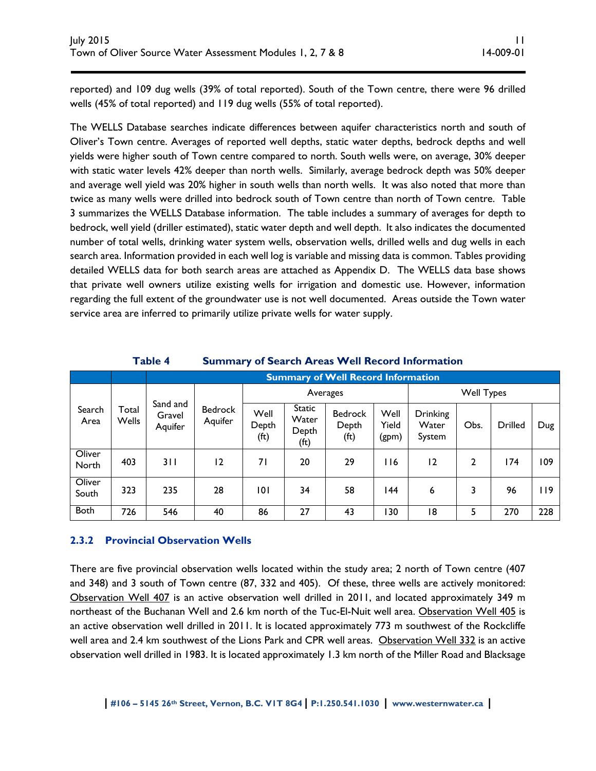reported) and 109 dug wells (39% of total reported). South of the Town centre, there were 96 drilled wells (45% of total reported) and 119 dug wells (55% of total reported).

The WELLS Database searches indicate differences between aquifer characteristics north and south of Oliver's Town centre. Averages of reported well depths, static water depths, bedrock depths and well yields were higher south of Town centre compared to north. South wells were, on average, 30% deeper with static water levels 42% deeper than north wells. Similarly, average bedrock depth was 50% deeper and average well yield was 20% higher in south wells than north wells. It was also noted that more than twice as many wells were drilled into bedrock south of Town centre than north of Town centre. Table 3 summarizes the WELLS Database information. The table includes a summary of averages for depth to bedrock, well yield (driller estimated), static water depth and well depth. It also indicates the documented number of total wells, drinking water system wells, observation wells, drilled wells and dug wells in each search area. Information provided in each well log is variable and missing data is common. Tables providing detailed WELLS data for both search areas are attached as Appendix D. The WELLS data base shows that private well owners utilize existing wells for irrigation and domestic use. However, information regarding the full extent of the groundwater use is not well documented. Areas outside the Town water service area are inferred to primarily utilize private wells for water supply.

#### **Table 4 Summary of Search Areas Well Record Information**

|                 |                       |                               | <b>Summary of Well Record Information</b> |                                    |                                         |                                              |                        |                                    |      |         |      |
|-----------------|-----------------------|-------------------------------|-------------------------------------------|------------------------------------|-----------------------------------------|----------------------------------------------|------------------------|------------------------------------|------|---------|------|
|                 |                       |                               |                                           | Averages                           |                                         |                                              |                        | <b>Well Types</b>                  |      |         |      |
| Search<br>Area  | Total<br><b>Wells</b> | Sand and<br>Gravel<br>Aquifer | <b>Bedrock</b><br>Aquifer                 | Well<br>Depth<br>(f <sub>t</sub> ) | <b>Static</b><br>Water<br>Depth<br>(ft) | <b>Bedrock</b><br>Depth<br>(f <sub>t</sub> ) | Well<br>Yield<br>(gpm) | <b>Drinking</b><br>Water<br>System | Obs. | Drilled | Dug  |
| Oliver<br>North | 403                   | 3 I I                         | 12                                        | 71                                 | 20                                      | 29                                           | l 16                   | 12                                 | 2    | 174     | 109  |
| Oliver<br>South | 323                   | 235                           | 28                                        | 101                                | 34                                      | 58                                           | 144                    | 6                                  | 3    | 96      | i 19 |
| <b>Both</b>     | 726                   | 546                           | 40                                        | 86                                 | 27                                      | 43                                           | 30                     | 18                                 | 5    | 270     | 228  |

#### **2.3.2 Provincial Observation Wells**

There are five provincial observation wells located within the study area; 2 north of Town centre (407 and 348) and 3 south of Town centre (87, 332 and 405). Of these, three wells are actively monitored: Observation Well 407 is an active observation well drilled in 2011, and located approximately 349 m northeast of the Buchanan Well and 2.6 km north of the Tuc-El-Nuit well area. Observation Well 405 is an active observation well drilled in 2011. It is located approximately 773 m southwest of the Rockcliffe well area and 2.4 km southwest of the Lions Park and CPR well areas. Observation Well 332 is an active observation well drilled in 1983. It is located approximately 1.3 km north of the Miller Road and Blacksage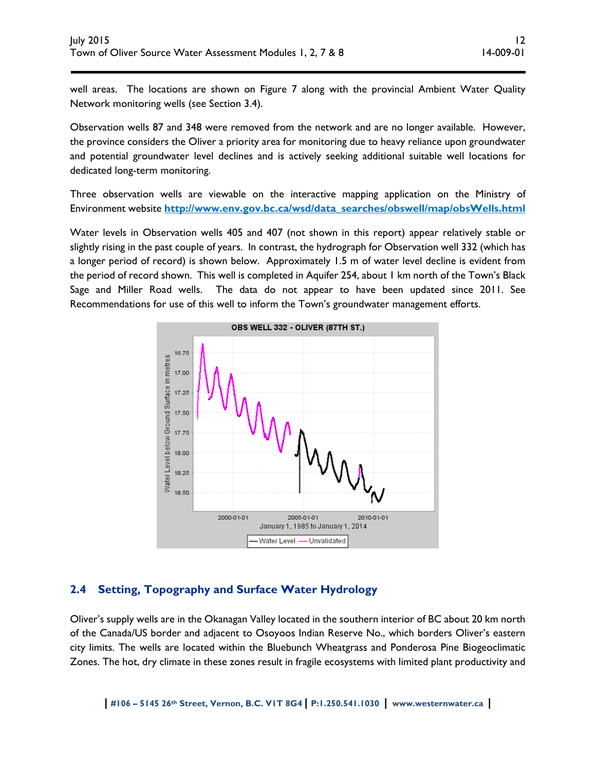well areas. The locations are shown on Figure 7 along with the provincial Ambient Water Quality Network monitoring wells (see Section 3.4).

Observation wells 87 and 348 were removed from the network and are no longer available. However, the province considers the Oliver a priority area for monitoring due to heavy reliance upon groundwater and potential groundwater level declines and is actively seeking additional suitable well locations for dedicated long-term monitoring.

Three observation wells are viewable on the interactive mapping application on the Ministry of Environment website **http://www.env.gov.bc.ca/wsd/data\_searches/obswell/map/obsWells.html**

Water levels in Observation wells 405 and 407 (not shown in this report) appear relatively stable or slightly rising in the past couple of years. In contrast, the hydrograph for Observation well 332 (which has a longer period of record) is shown below. Approximately 1.5 m of water level decline is evident from the period of record shown. This well is completed in Aquifer 254, about 1 km north of the Town's Black Sage and Miller Road wells. The data do not appear to have been updated since 2011. See Recommendations for use of this well to inform the Town's groundwater management efforts.



# **2.4 Setting, Topography and Surface Water Hydrology**

Oliver's supply wells are in the Okanagan Valley located in the southern interior of BC about 20 km north of the Canada/US border and adjacent to Osoyoos Indian Reserve No., which borders Oliver's eastern city limits. The wells are located within the Bluebunch Wheatgrass and Ponderosa Pine Biogeoclimatic Zones. The hot, dry climate in these zones result in fragile ecosystems with limited plant productivity and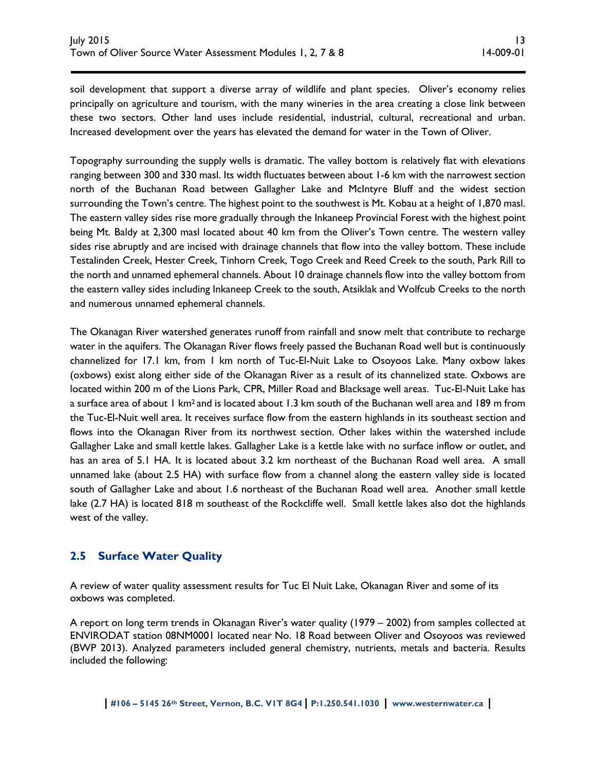soil development that support a diverse array of wildlife and plant species. Oliver's economy relies principally on agriculture and tourism, with the many wineries in the area creating a close link between these two sectors. Other land uses include residential, industrial, cultural, recreational and urban. Increased development over the years has elevated the demand for water in the Town of Oliver.

Topography surrounding the supply wells is dramatic. The valley bottom is relatively flat with elevations ranging between 300 and 330 masl. Its width fluctuates between about 1-6 km with the narrowest section north of the Buchanan Road between Gallagher Lake and McIntyre Bluff and the widest section surrounding the Town's centre. The highest point to the southwest is Mt. Kobau at a height of 1,870 masl. The eastern valley sides rise more gradually through the Inkaneep Provincial Forest with the highest point being Mt. Baldy at 2,300 masl located about 40 km from the Oliver's Town centre. The western valley sides rise abruptly and are incised with drainage channels that flow into the valley bottom. These include Testalinden Creek, Hester Creek, Tinhorn Creek, Togo Creek and Reed Creek to the south, Park Rill to the north and unnamed ephemeral channels. About 10 drainage channels flow into the valley bottom from the eastern valley sides including Inkaneep Creek to the south, Atsiklak and Wolfcub Creeks to the north and numerous unnamed ephemeral channels.

The Okanagan River watershed generates runoff from rainfall and snow melt that contribute to recharge water in the aquifers. The Okanagan River flows freely passed the Buchanan Road well but is continuously channelized for 17.1 km, from 1 km north of Tuc-El-Nuit Lake to Osoyoos Lake. Many oxbow lakes (oxbows) exist along either side of the Okanagan River as a result of its channelized state. Oxbows are located within 200 m of the Lions Park, CPR, Miller Road and Blacksage well areas. Tuc-El-Nuit Lake has a surface area of about 1 km<sup>2</sup> and is located about 1.3 km south of the Buchanan well area and 189 m from the Tuc-El-Nuit well area. It receives surface flow from the eastern highlands in its southeast section and flows into the Okanagan River from its northwest section. Other lakes within the watershed include Gallagher Lake and small kettle lakes. Gallagher Lake is a kettle lake with no surface inflow or outlet, and has an area of 5.1 HA. It is located about 3.2 km northeast of the Buchanan Road well area. A small unnamed lake (about 2.5 HA) with surface flow from a channel along the eastern valley side is located south of Gallagher Lake and about 1.6 northeast of the Buchanan Road well area. Another small kettle lake (2.7 HA) is located 818 m southeast of the Rockcliffe well. Small kettle lakes also dot the highlands west of the valley.

# **2.5 Surface Water Quality**

A review of water quality assessment results for Tuc El Nuit Lake, Okanagan River and some of its oxbows was completed.

A report on long term trends in Okanagan River's water quality (1979 – 2002) from samples collected at ENVIRODAT station 08NM0001 located near No. 18 Road between Oliver and Osoyoos was reviewed (BWP 2013). Analyzed parameters included general chemistry, nutrients, metals and bacteria. Results included the following: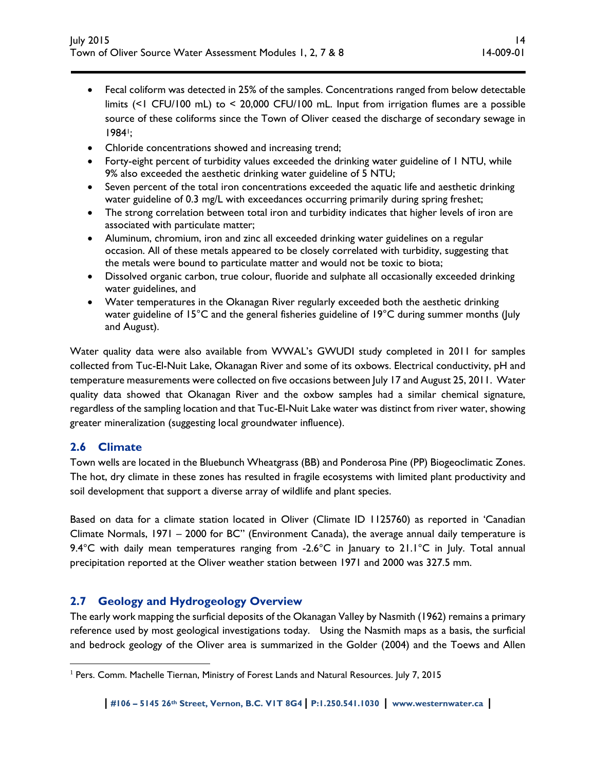- Fecal coliform was detected in 25% of the samples. Concentrations ranged from below detectable limits (<1 CFU/100 mL) to < 20,000 CFU/100 mL. Input from irrigation flumes are a possible source of these coliforms since the Town of Oliver ceased the discharge of secondary sewage in 19841;
- Chloride concentrations showed and increasing trend;
- Forty-eight percent of turbidity values exceeded the drinking water guideline of 1 NTU, while 9% also exceeded the aesthetic drinking water guideline of 5 NTU;
- Seven percent of the total iron concentrations exceeded the aquatic life and aesthetic drinking water guideline of 0.3 mg/L with exceedances occurring primarily during spring freshet;
- The strong correlation between total iron and turbidity indicates that higher levels of iron are associated with particulate matter;
- Aluminum, chromium, iron and zinc all exceeded drinking water guidelines on a regular occasion. All of these metals appeared to be closely correlated with turbidity, suggesting that the metals were bound to particulate matter and would not be toxic to biota;
- Dissolved organic carbon, true colour, fluoride and sulphate all occasionally exceeded drinking water guidelines, and
- Water temperatures in the Okanagan River regularly exceeded both the aesthetic drinking water guideline of 15°C and the general fisheries guideline of 19°C during summer months (July and August).

Water quality data were also available from WWAL's GWUDI study completed in 2011 for samples collected from Tuc-El-Nuit Lake, Okanagan River and some of its oxbows. Electrical conductivity, pH and temperature measurements were collected on five occasions between July 17 and August 25, 2011. Water quality data showed that Okanagan River and the oxbow samples had a similar chemical signature, regardless of the sampling location and that Tuc-El-Nuit Lake water was distinct from river water, showing greater mineralization (suggesting local groundwater influence).

### **2.6 Climate**

 $\overline{a}$ 

Town wells are located in the Bluebunch Wheatgrass (BB) and Ponderosa Pine (PP) Biogeoclimatic Zones. The hot, dry climate in these zones has resulted in fragile ecosystems with limited plant productivity and soil development that support a diverse array of wildlife and plant species.

Based on data for a climate station located in Oliver (Climate ID 1125760) as reported in 'Canadian Climate Normals, 1971 – 2000 for BC" (Environment Canada), the average annual daily temperature is 9.4 $\degree$ C with daily mean temperatures ranging from -2.6 $\degree$ C in January to 21.1 $\degree$ C in July. Total annual precipitation reported at the Oliver weather station between 1971 and 2000 was 327.5 mm.

# **2.7 Geology and Hydrogeology Overview**

The early work mapping the surficial deposits of the Okanagan Valley by Nasmith (1962) remains a primary reference used by most geological investigations today. Using the Nasmith maps as a basis, the surficial and bedrock geology of the Oliver area is summarized in the Golder (2004) and the Toews and Allen

<sup>&</sup>lt;sup>1</sup> Pers. Comm. Machelle Tiernan, Ministry of Forest Lands and Natural Resources. July 7, 2015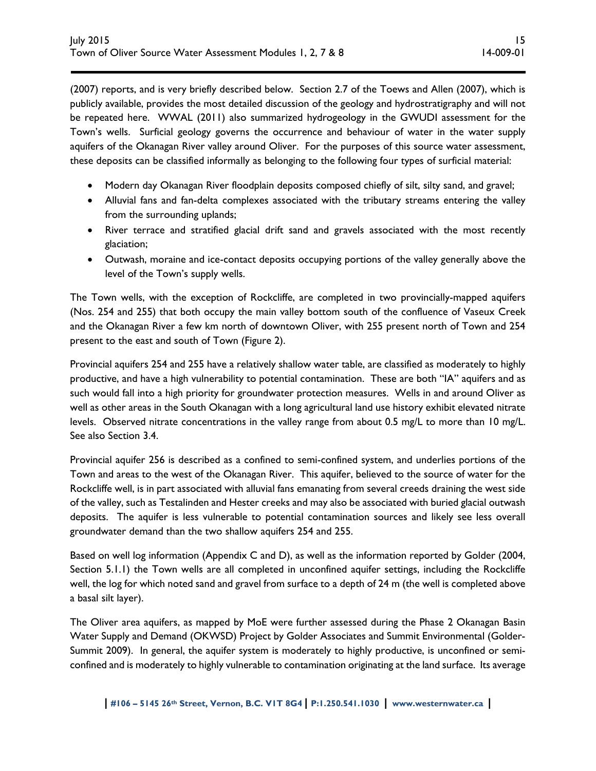(2007) reports, and is very briefly described below. Section 2.7 of the Toews and Allen (2007), which is publicly available, provides the most detailed discussion of the geology and hydrostratigraphy and will not be repeated here. WWAL (2011) also summarized hydrogeology in the GWUDI assessment for the Town's wells. Surficial geology governs the occurrence and behaviour of water in the water supply aquifers of the Okanagan River valley around Oliver. For the purposes of this source water assessment, these deposits can be classified informally as belonging to the following four types of surficial material:

- Modern day Okanagan River floodplain deposits composed chiefly of silt, silty sand, and gravel;
- Alluvial fans and fan-delta complexes associated with the tributary streams entering the valley from the surrounding uplands;
- River terrace and stratified glacial drift sand and gravels associated with the most recently glaciation;
- Outwash, moraine and ice-contact deposits occupying portions of the valley generally above the level of the Town's supply wells.

The Town wells, with the exception of Rockcliffe, are completed in two provincially-mapped aquifers (Nos. 254 and 255) that both occupy the main valley bottom south of the confluence of Vaseux Creek and the Okanagan River a few km north of downtown Oliver, with 255 present north of Town and 254 present to the east and south of Town (Figure 2).

Provincial aquifers 254 and 255 have a relatively shallow water table, are classified as moderately to highly productive, and have a high vulnerability to potential contamination. These are both "IA" aquifers and as such would fall into a high priority for groundwater protection measures. Wells in and around Oliver as well as other areas in the South Okanagan with a long agricultural land use history exhibit elevated nitrate levels. Observed nitrate concentrations in the valley range from about 0.5 mg/L to more than 10 mg/L. See also Section 3.4.

Provincial aquifer 256 is described as a confined to semi-confined system, and underlies portions of the Town and areas to the west of the Okanagan River. This aquifer, believed to the source of water for the Rockcliffe well, is in part associated with alluvial fans emanating from several creeds draining the west side of the valley, such as Testalinden and Hester creeks and may also be associated with buried glacial outwash deposits. The aquifer is less vulnerable to potential contamination sources and likely see less overall groundwater demand than the two shallow aquifers 254 and 255.

Based on well log information (Appendix C and D), as well as the information reported by Golder (2004, Section 5.1.1) the Town wells are all completed in unconfined aquifer settings, including the Rockcliffe well, the log for which noted sand and gravel from surface to a depth of 24 m (the well is completed above a basal silt layer).

The Oliver area aquifers, as mapped by MoE were further assessed during the Phase 2 Okanagan Basin Water Supply and Demand (OKWSD) Project by Golder Associates and Summit Environmental (Golder-Summit 2009). In general, the aquifer system is moderately to highly productive, is unconfined or semiconfined and is moderately to highly vulnerable to contamination originating at the land surface. Its average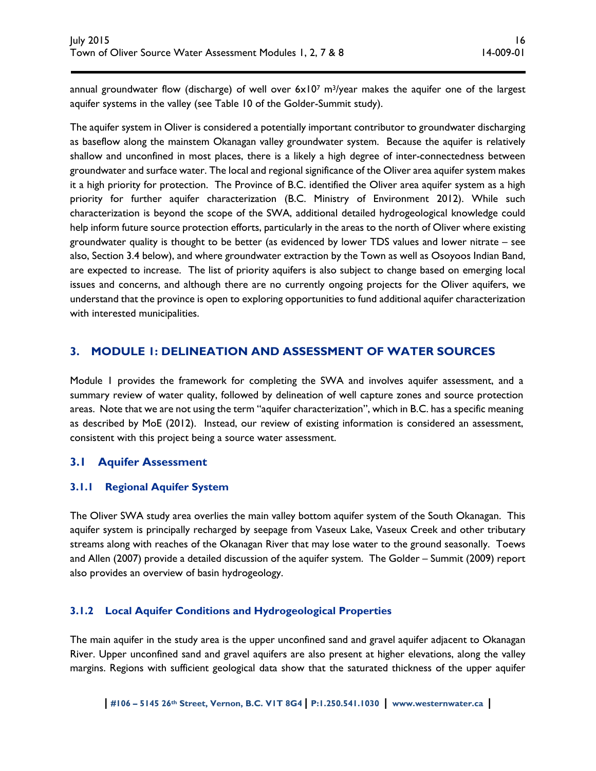annual groundwater flow (discharge) of well over  $6 \times 10^7$  m<sup>3</sup>/year makes the aquifer one of the largest aquifer systems in the valley (see Table 10 of the Golder-Summit study).

The aquifer system in Oliver is considered a potentially important contributor to groundwater discharging as baseflow along the mainstem Okanagan valley groundwater system. Because the aquifer is relatively shallow and unconfined in most places, there is a likely a high degree of inter-connectedness between groundwater and surface water. The local and regional significance of the Oliver area aquifer system makes it a high priority for protection. The Province of B.C. identified the Oliver area aquifer system as a high priority for further aquifer characterization (B.C. Ministry of Environment 2012). While such characterization is beyond the scope of the SWA, additional detailed hydrogeological knowledge could help inform future source protection efforts, particularly in the areas to the north of Oliver where existing groundwater quality is thought to be better (as evidenced by lower TDS values and lower nitrate – see also, Section 3.4 below), and where groundwater extraction by the Town as well as Osoyoos Indian Band, are expected to increase. The list of priority aquifers is also subject to change based on emerging local issues and concerns, and although there are no currently ongoing projects for the Oliver aquifers, we understand that the province is open to exploring opportunities to fund additional aquifer characterization with interested municipalities.

# **3. MODULE 1: DELINEATION AND ASSESSMENT OF WATER SOURCES**

Module 1 provides the framework for completing the SWA and involves aquifer assessment, and a summary review of water quality, followed by delineation of well capture zones and source protection areas. Note that we are not using the term "aquifer characterization", which in B.C. has a specific meaning as described by MoE (2012). Instead, our review of existing information is considered an assessment, consistent with this project being a source water assessment.

# **3.1 Aquifer Assessment**

### **3.1.1 Regional Aquifer System**

The Oliver SWA study area overlies the main valley bottom aquifer system of the South Okanagan. This aquifer system is principally recharged by seepage from Vaseux Lake, Vaseux Creek and other tributary streams along with reaches of the Okanagan River that may lose water to the ground seasonally. Toews and Allen (2007) provide a detailed discussion of the aquifer system. The Golder – Summit (2009) report also provides an overview of basin hydrogeology.

### **3.1.2 Local Aquifer Conditions and Hydrogeological Properties**

The main aquifer in the study area is the upper unconfined sand and gravel aquifer adjacent to Okanagan River. Upper unconfined sand and gravel aquifers are also present at higher elevations, along the valley margins. Regions with sufficient geological data show that the saturated thickness of the upper aquifer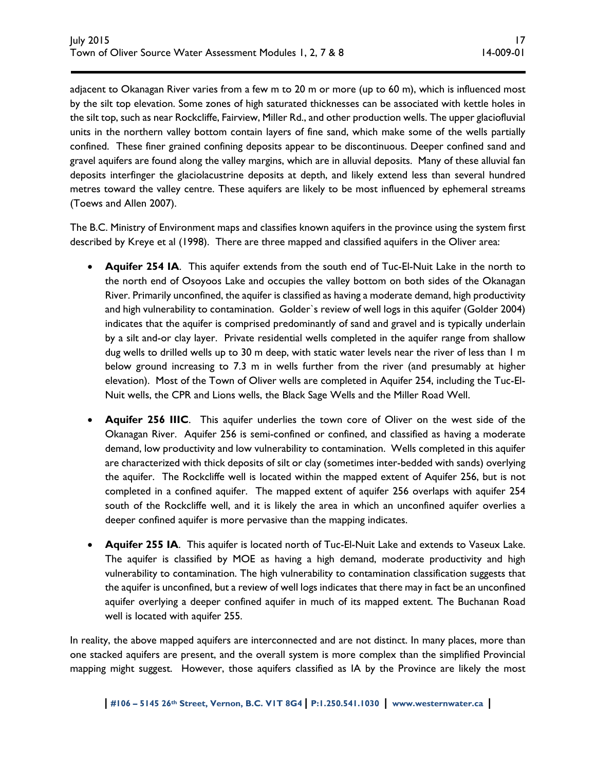adjacent to Okanagan River varies from a few m to 20 m or more (up to 60 m), which is influenced most by the silt top elevation. Some zones of high saturated thicknesses can be associated with kettle holes in the silt top, such as near Rockcliffe, Fairview, Miller Rd., and other production wells. The upper glaciofluvial units in the northern valley bottom contain layers of fine sand, which make some of the wells partially confined. These finer grained confining deposits appear to be discontinuous. Deeper confined sand and gravel aquifers are found along the valley margins, which are in alluvial deposits. Many of these alluvial fan deposits interfinger the glaciolacustrine deposits at depth, and likely extend less than several hundred metres toward the valley centre. These aquifers are likely to be most influenced by ephemeral streams (Toews and Allen 2007).

The B.C. Ministry of Environment maps and classifies known aquifers in the province using the system first described by Kreye et al (1998). There are three mapped and classified aquifers in the Oliver area:

- **Aquifer 254 IA**. This aquifer extends from the south end of Tuc-El-Nuit Lake in the north to the north end of Osoyoos Lake and occupies the valley bottom on both sides of the Okanagan River. Primarily unconfined, the aquifer is classified as having a moderate demand, high productivity and high vulnerability to contamination. Golder`s review of well logs in this aquifer (Golder 2004) indicates that the aquifer is comprised predominantly of sand and gravel and is typically underlain by a silt and-or clay layer. Private residential wells completed in the aquifer range from shallow dug wells to drilled wells up to 30 m deep, with static water levels near the river of less than 1 m below ground increasing to 7.3 m in wells further from the river (and presumably at higher elevation). Most of the Town of Oliver wells are completed in Aquifer 254, including the Tuc-El-Nuit wells, the CPR and Lions wells, the Black Sage Wells and the Miller Road Well.
- **Aquifer 256 IIIC**. This aquifer underlies the town core of Oliver on the west side of the Okanagan River. Aquifer 256 is semi-confined or confined, and classified as having a moderate demand, low productivity and low vulnerability to contamination. Wells completed in this aquifer are characterized with thick deposits of silt or clay (sometimes inter-bedded with sands) overlying the aquifer. The Rockcliffe well is located within the mapped extent of Aquifer 256, but is not completed in a confined aquifer. The mapped extent of aquifer 256 overlaps with aquifer 254 south of the Rockcliffe well, and it is likely the area in which an unconfined aquifer overlies a deeper confined aquifer is more pervasive than the mapping indicates.
- **Aquifer 255 IA**. This aquifer is located north of Tuc-El-Nuit Lake and extends to Vaseux Lake. The aquifer is classified by MOE as having a high demand, moderate productivity and high vulnerability to contamination. The high vulnerability to contamination classification suggests that the aquifer is unconfined, but a review of well logs indicates that there may in fact be an unconfined aquifer overlying a deeper confined aquifer in much of its mapped extent. The Buchanan Road well is located with aquifer 255.

In reality, the above mapped aquifers are interconnected and are not distinct. In many places, more than one stacked aquifers are present, and the overall system is more complex than the simplified Provincial mapping might suggest. However, those aquifers classified as IA by the Province are likely the most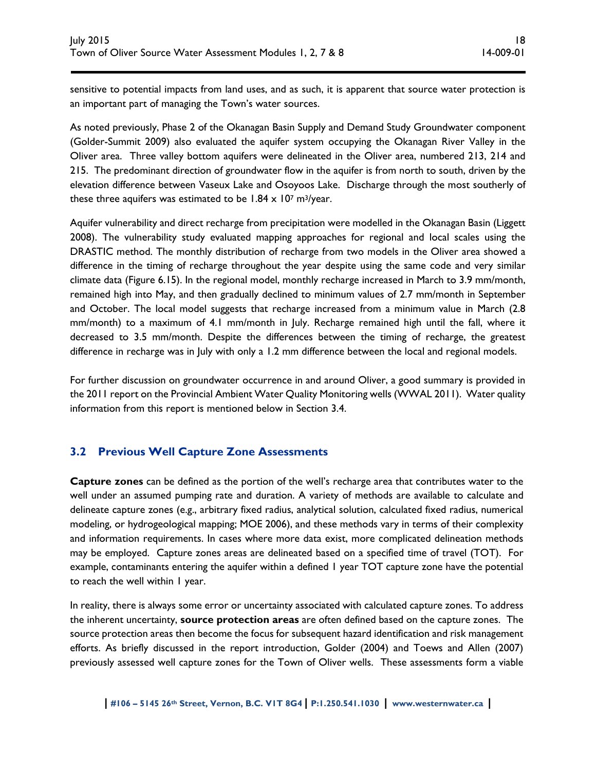sensitive to potential impacts from land uses, and as such, it is apparent that source water protection is an important part of managing the Town's water sources.

As noted previously, Phase 2 of the Okanagan Basin Supply and Demand Study Groundwater component (Golder-Summit 2009) also evaluated the aquifer system occupying the Okanagan River Valley in the Oliver area. Three valley bottom aquifers were delineated in the Oliver area, numbered 213, 214 and 215. The predominant direction of groundwater flow in the aquifer is from north to south, driven by the elevation difference between Vaseux Lake and Osoyoos Lake. Discharge through the most southerly of these three aquifers was estimated to be  $1.84 \times 10^7$  m<sup>3</sup>/year.

Aquifer vulnerability and direct recharge from precipitation were modelled in the Okanagan Basin (Liggett 2008). The vulnerability study evaluated mapping approaches for regional and local scales using the DRASTIC method. The monthly distribution of recharge from two models in the Oliver area showed a difference in the timing of recharge throughout the year despite using the same code and very similar climate data (Figure 6.15). In the regional model, monthly recharge increased in March to 3.9 mm/month, remained high into May, and then gradually declined to minimum values of 2.7 mm/month in September and October. The local model suggests that recharge increased from a minimum value in March (2.8 mm/month) to a maximum of 4.1 mm/month in July. Recharge remained high until the fall, where it decreased to 3.5 mm/month. Despite the differences between the timing of recharge, the greatest difference in recharge was in July with only a 1.2 mm difference between the local and regional models.

For further discussion on groundwater occurrence in and around Oliver, a good summary is provided in the 2011 report on the Provincial Ambient Water Quality Monitoring wells (WWAL 2011). Water quality information from this report is mentioned below in Section 3.4.

# **3.2 Previous Well Capture Zone Assessments**

**Capture zones** can be defined as the portion of the well's recharge area that contributes water to the well under an assumed pumping rate and duration. A variety of methods are available to calculate and delineate capture zones (e.g., arbitrary fixed radius, analytical solution, calculated fixed radius, numerical modeling, or hydrogeological mapping; MOE 2006), and these methods vary in terms of their complexity and information requirements. In cases where more data exist, more complicated delineation methods may be employed. Capture zones areas are delineated based on a specified time of travel (TOT). For example, contaminants entering the aquifer within a defined 1 year TOT capture zone have the potential to reach the well within 1 year.

In reality, there is always some error or uncertainty associated with calculated capture zones. To address the inherent uncertainty, **source protection areas** are often defined based on the capture zones. The source protection areas then become the focus for subsequent hazard identification and risk management efforts. As briefly discussed in the report introduction, Golder (2004) and Toews and Allen (2007) previously assessed well capture zones for the Town of Oliver wells. These assessments form a viable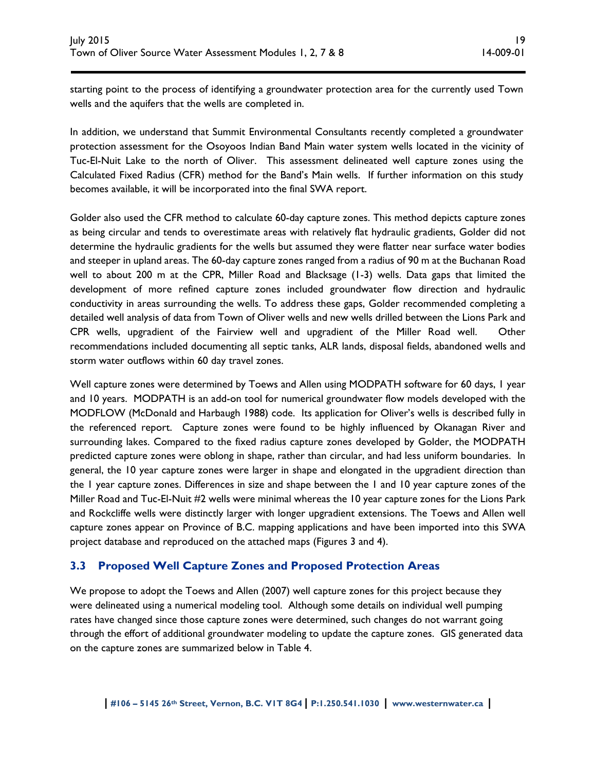starting point to the process of identifying a groundwater protection area for the currently used Town wells and the aquifers that the wells are completed in.

In addition, we understand that Summit Environmental Consultants recently completed a groundwater protection assessment for the Osoyoos Indian Band Main water system wells located in the vicinity of Tuc-El-Nuit Lake to the north of Oliver. This assessment delineated well capture zones using the Calculated Fixed Radius (CFR) method for the Band's Main wells. If further information on this study becomes available, it will be incorporated into the final SWA report.

Golder also used the CFR method to calculate 60-day capture zones. This method depicts capture zones as being circular and tends to overestimate areas with relatively flat hydraulic gradients, Golder did not determine the hydraulic gradients for the wells but assumed they were flatter near surface water bodies and steeper in upland areas. The 60-day capture zones ranged from a radius of 90 m at the Buchanan Road well to about 200 m at the CPR, Miller Road and Blacksage (1-3) wells. Data gaps that limited the development of more refined capture zones included groundwater flow direction and hydraulic conductivity in areas surrounding the wells. To address these gaps, Golder recommended completing a detailed well analysis of data from Town of Oliver wells and new wells drilled between the Lions Park and CPR wells, upgradient of the Fairview well and upgradient of the Miller Road well. Other recommendations included documenting all septic tanks, ALR lands, disposal fields, abandoned wells and storm water outflows within 60 day travel zones.

Well capture zones were determined by Toews and Allen using MODPATH software for 60 days, I year and 10 years. MODPATH is an add-on tool for numerical groundwater flow models developed with the MODFLOW (McDonald and Harbaugh 1988) code. Its application for Oliver's wells is described fully in the referenced report. Capture zones were found to be highly influenced by Okanagan River and surrounding lakes. Compared to the fixed radius capture zones developed by Golder, the MODPATH predicted capture zones were oblong in shape, rather than circular, and had less uniform boundaries. In general, the 10 year capture zones were larger in shape and elongated in the upgradient direction than the 1 year capture zones. Differences in size and shape between the 1 and 10 year capture zones of the Miller Road and Tuc-El-Nuit #2 wells were minimal whereas the 10 year capture zones for the Lions Park and Rockcliffe wells were distinctly larger with longer upgradient extensions. The Toews and Allen well capture zones appear on Province of B.C. mapping applications and have been imported into this SWA project database and reproduced on the attached maps (Figures 3 and 4).

# **3.3 Proposed Well Capture Zones and Proposed Protection Areas**

We propose to adopt the Toews and Allen (2007) well capture zones for this project because they were delineated using a numerical modeling tool. Although some details on individual well pumping rates have changed since those capture zones were determined, such changes do not warrant going through the effort of additional groundwater modeling to update the capture zones. GIS generated data on the capture zones are summarized below in Table 4.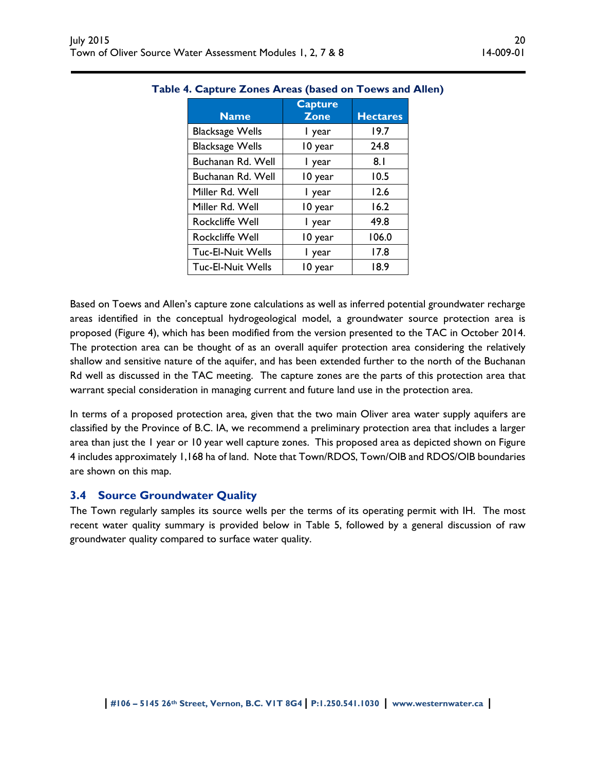| <b>Name</b>              | <b>Capture</b><br><b>Zone</b> | <b>Hectares</b> |
|--------------------------|-------------------------------|-----------------|
| <b>Blacksage Wells</b>   | I year                        | 19.7            |
| <b>Blacksage Wells</b>   | 10 year                       | 24.8            |
| Buchanan Rd. Well        | I year                        | 8.1             |
| Buchanan Rd. Well        | 10 year                       | 10.5            |
| Miller Rd. Well          | I year                        | 12.6            |
| Miller Rd. Well          | 10 year                       | 16.2            |
| <b>Rockcliffe Well</b>   | l year                        | 49.8            |
| <b>Rockcliffe Well</b>   | 10 year                       | 106.0           |
| <b>Tuc-El-Nuit Wells</b> | I year                        | 17.8            |
| <b>Tuc-El-Nuit Wells</b> | 10 year                       | 18.9            |

#### **Table 4. Capture Zones Areas (based on Toews and Allen)**

Based on Toews and Allen's capture zone calculations as well as inferred potential groundwater recharge areas identified in the conceptual hydrogeological model, a groundwater source protection area is proposed (Figure 4), which has been modified from the version presented to the TAC in October 2014. The protection area can be thought of as an overall aquifer protection area considering the relatively shallow and sensitive nature of the aquifer, and has been extended further to the north of the Buchanan Rd well as discussed in the TAC meeting. The capture zones are the parts of this protection area that warrant special consideration in managing current and future land use in the protection area.

In terms of a proposed protection area, given that the two main Oliver area water supply aquifers are classified by the Province of B.C. IA, we recommend a preliminary protection area that includes a larger area than just the 1 year or 10 year well capture zones. This proposed area as depicted shown on Figure 4 includes approximately 1,168 ha of land. Note that Town/RDOS, Town/OIB and RDOS/OIB boundaries are shown on this map.

### **3.4 Source Groundwater Quality**

The Town regularly samples its source wells per the terms of its operating permit with IH. The most recent water quality summary is provided below in Table 5, followed by a general discussion of raw groundwater quality compared to surface water quality.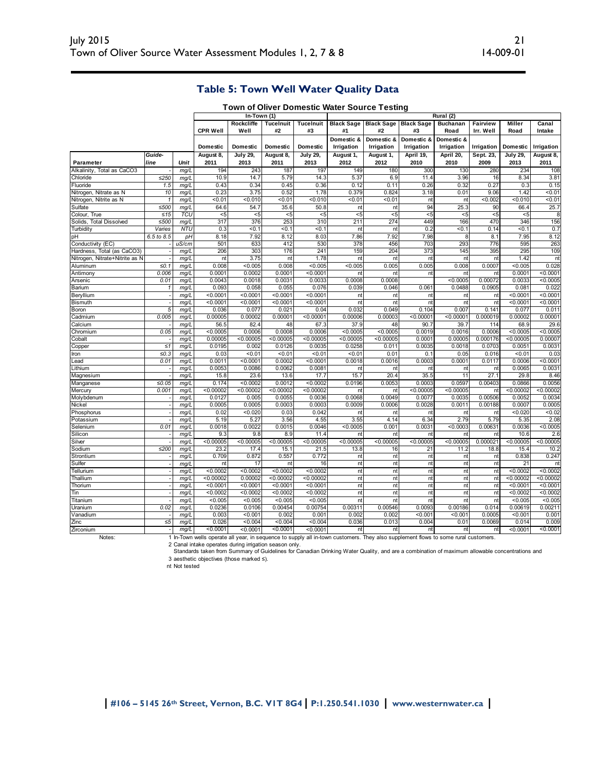# **Table 5: Town Well Water Quality Data**

|                                   |              |              |                     | $In-Town(1)$        |                     |                        |                          |                                    |                          | Rural (2)                |                       |                     |                       |
|-----------------------------------|--------------|--------------|---------------------|---------------------|---------------------|------------------------|--------------------------|------------------------------------|--------------------------|--------------------------|-----------------------|---------------------|-----------------------|
|                                   |              |              | <b>CPR Well</b>     | Rockcliffe<br>Well  | TuceInuit<br>#2     | <b>TuceInuit</b><br>#3 | #1                       | <b>Black Sage Black Sage</b><br>#2 | <b>Black Sage</b><br>#3  | <b>Buchanan</b><br>Road  | Fairview<br>Irr. Well | Miller<br>Road      | Canal<br>Intake       |
|                                   |              |              | <b>Domestic</b>     | <b>Domestic</b>     | Domestic            | Domestic               | Domestic &<br>Irrigation | Domestic &<br>Irrigation           | Domestic &<br>Irrigation | Domestic &<br>Irrigation | Irrigation            | Domestic            | Irrigation            |
|                                   | Guide-       |              | August 8,           | <b>July 29,</b>     | August 8,           | <b>July 29,</b>        | August 1,                | August 1,                          | April 19,                | April 20,                | Sept. 23,             | <b>July 29,</b>     | August 8,             |
| Parameter                         | line         | Unit         | 2011                | 2013                | 2011                | 2013                   | 2012                     | 2012                               | 2010                     | 2010                     | 2009                  | 2013                | 2011                  |
| Alkalinity, Total as CaCO3        |              | mq/L         | 194                 | 243                 | 187                 | 197                    | 149                      | 180                                | 300                      | 130                      | 280                   | 234                 | 108                   |
| Chloride                          | ≤250         | mq/L         | 10.9                | 14.7                | 5.79                | 14.3                   | 5.37                     | 6.9                                | 11.4                     | 3.96                     | 16                    | 8.34                | 3.81                  |
| Fluoride                          | 1.5          | mg/l         | 0.43                | 0.34                | 0.45                | 0.36                   | 0.12                     | 0.11                               | 0.26                     | 0.32                     | 0.27                  | 0.3                 | 0.15                  |
| Nitrogen, Nitrate as N            | 10           | mg/L         | 0.23                | 3.75                | 0.52                | 1.78                   | 0.379                    | 0.824                              | 3.18                     | 0.01                     | 9.06                  | 1.42                | 50.01                 |
| Nitrogen, Nitrite as N            | $\mathbf{1}$ | mq/L         | 50.01               | 50.010              | 50.01               | 50.010                 | 50.01                    | 50.01                              | nt                       | nt                       | < 0.002               | < 0.010             | 50.01                 |
| Sulfate                           | ≤500         | mq/l         | 64.6                | 54.7                | 35.6                | 50.8                   | nt                       | nt                                 | 94                       | 25.3                     | 90                    | 66.4                | 25.7                  |
| Colour, True                      | ≤15          | TCU          | $5$                 | $5$                 | $\overline{5}$      | $5$                    | $5$                      | $5$                                | $5$                      | $5$                      | $\overline{5}$        | $5$                 |                       |
| Solids.<br><b>Total Dissolved</b> | ≤500         | mg/L         | 317                 | 376                 | 253                 | 310                    | 211                      | 274                                | 449                      | 166                      | 470                   | 346                 | 156                   |
| Turbidity                         | Varies       | <b>NTU</b>   | 0.3                 | < 0.1               | < 0.1               | 50.1                   | nt                       | nt                                 | 0.2                      | &0.7                     | 0.14                  | <0.1                | 0.7                   |
| pH                                | 6.5 to 8.5   | pH           | 8.18                | 7.92                | 8.12                | 8.03                   | 7.86                     | 7.92                               | 7.98                     | 8                        | 8.1                   | 7.95                | 8.12                  |
| Conductivity (EC)                 |              | uS/cm        | 501                 | 633                 | 412                 | 530<br>241             | 378                      | 456                                | 703                      | 293                      | 776                   | 595                 | 263<br>109            |
| Hardness, Total (as CaCO3)        |              | mg/L         | 206                 | 303                 | 176                 | 1.78                   | 159                      | 204                                | 373                      | 145                      | 395                   | 295<br>1.42         |                       |
| Nitrogen, Nitrate+Nitrite as N    | $\leq 0.1$   | mq/L         | nt<br>0.008         | 3.75<br>< 0.005     | nt<br>0.008         | < 0.005                | nt<br>< 0.005            | nt<br>0.005                        | nt<br>0.005              | nt<br>0.008              | nt<br>0.0007          | < 0.005             | nt<br>0.028           |
| Aluminum<br>Antimony              | 0.006        | mg/L         | 0.0001              | 0.0002              | 0.0001              | < 0.0001               | nt                       | nt                                 | nt                       | nt                       | nt                    | 0.0001              | < 0.0001              |
| Arsenic                           | 0.01         | mg/L<br>mg/L | 0.0043              | 0.0018              | 0.0031              | 0.0033                 | 0.0008                   | 0.0008                             |                          | < 0.0005                 | 0.00072               | 0.0033              | < 0.0005              |
| Barium                            |              | mg/L         | 0.093               | 0.058               | 0.055               | 0.076                  | 0.039                    | 0.046                              | 0.061                    | 0.0488                   | 0.0905                | 0.081               | 0.022                 |
| Beryllium                         |              | mq/L         | < 0.0001            | < 0.000             | < 0.0001            | < 0.000                | nt                       | nt                                 | nt                       | nt                       | nt                    | < 0.000             | < 0.000               |
| <b>Bismuth</b>                    |              | mq/L         | < 0.0001            | < 0.0001            | < 0.0001            | < 0.0001               | nt                       | nt                                 | nt                       | nt                       | nt                    | < 0.0001            | $<$ 0.0001            |
| Boron                             | 5            | mg/L         | 0.036               | 0.077               | 0.021               | 0.04                   | 0.032                    | 0.049                              | 0.104                    | 0.007                    | 0.141                 | 0.077               | 0.011                 |
| Cadmium                           | 0.005        | mg/L         | 0.00005             | 0.00002             | 0.00001             | < 0.00001              | 0.00006                  | 0.00003                            | < 0.00001                | < 0.00001                | 0.000019              | 0.00002             | 0.00001               |
| Calcium                           |              | mg/L         | 56.5                | 82.4                | 48                  | 67.3                   | 37.9                     | 48                                 | 90.7                     | 39.7                     | 114                   | 68.9                | 29.6                  |
| Chromium                          | 0.05         | mq/L         | < 0.0005            | 0.0006              | 0.0008              | 0.0006                 | < 0.0005                 | < 0.0005                           | 0.0019                   | 0.0016                   | 0.0006                | < 0.0005            | < 0.0005              |
| Cobalt                            |              | mg/L         | 0.00005             | < 0.00005           | < 0.00005           | < 0.00005              | < 0.00005                | < 0.00005                          | 0.0001                   | 0.00005                  | 0.000176              | < 0.00005           | 0.00007               |
| Copper                            | $\leq 1$     | mq/L         | 0.0195              | 0.002               | 0.0126              | 0.0035                 | 0.0258                   | 0.011                              | 0.0035                   | 0.0018                   | 0.0703                | 0.0051              | 0.0031                |
| Iron                              | $\leq 0.3$   | mq/L         | 0.03                | < 0.01              | < 0.01              | < 0.01                 | 50.01                    | 0.01                               | 0.1                      | 0.05                     | 0.016                 | 50.01               | 0.03                  |
| ead                               | 0.01         | mg/L         | 0.0011              | < 0.0001            | 0.0002              | < 0.0001               | 0.0018                   | 0.0016                             | 0.0003                   | 0.0001                   | 0.0117                | 0.0006              | < 0.0001              |
| Lithium                           |              | mg/L         | 0.0053              | 0.0086              | 0.0062              | 0.0081                 | nt                       | nt                                 | nt                       | nt                       | nt                    | 0.0065              | 0.0031                |
| Magnesium                         |              | mg/L         | 15.8                | 23.6                | 13.6                | 17.7                   | 15.7                     | 20.4                               | 35.5                     | 11                       | 27.1                  | 29.8                | 8.46                  |
| Manganese                         | ≤0.05        | mq/L         | 0.174               | < 0.0002            | 0.0012              | < 0.0002               | 0.0196                   | 0.0053                             | 0.0003                   | 0.0597                   | 0.00403               | 0.0866              | 0.0056                |
| Mercury                           | 0.001        | mq/L         | < 0.00002           | < 0.00002           | < 0.00002           | < 0.00002              | nt                       | nt                                 | < 0.00005                | < 0.00005                | nt                    | < 0.00002           | < 0.00002             |
| Molybdenum                        |              | mg/L         | 0.0127              | 0.005               | 0.0055              | 0.0036                 | 0.0068                   | 0.0049                             | 0.0077                   | 0.0035                   | 0.00506               | 0.0052              | 0.0034                |
| Nickel                            |              | mg/L         | 0.0005              | 0.0005              | 0.0003              | 0.0003                 | 0.0009                   | 0.0006                             | 0.0028                   | 0.0011                   | 0.00188               | 0.0007              | 0.0005                |
| Phosphorus                        |              | mg/L         | 0.02                | < 0.020             | 0.03                | 0.042                  | nt                       | nt                                 | nt                       | nt                       | nt                    | < 0.020             | $0.02$                |
| Potassium                         |              | mq/L         | 5.19                | 5.27                | 3.56                | 4.55                   | 3.55                     | 4.14                               | 6.34                     | 2.79                     | 5.79                  | 5.35                | 2.08                  |
| Selenium                          | 0.01         | mg/L         | 0.0018              | 0.0022              | 0.0015              | 0.0046                 | < 0.0005                 | 0.001                              | 0.0031                   | < 0.0003                 | 0.00631               | 0.0036              | < 0.0005              |
| Silicon                           |              | mg/L         | 9.3                 | 9.8                 | 8.9                 | 11.4                   | nt                       | nt                                 | nt                       | nt                       | nt                    | 10.6                | 2.6                   |
| Silver                            |              | mg/L         | < 0.00005           | < 0.00005           | < 0.00005           | < 0.00005              | < 0.00005                | < 0.00005                          | < 0.00005                | < 0.00005                | 0.00002               | < 0.00005           | < 0.00005             |
| Sodium                            | $≤200$       | mq/L         | 23.2                | 17.4                | 15.1                | 21.5                   | 13.8                     | 16                                 | 21                       | 11.2                     | 18.8                  | 15.4                | 10.2                  |
| Strontium                         |              | mq/L         | 0.709               | 0.872               | 0.557               | 0.772                  | nt                       | nt                                 | nt                       | nt                       | nt                    | 0.838               | 0.247                 |
| Sulfer                            |              | mg/L         | nt                  | 17                  | nt                  | 16                     | nt                       | nt                                 | nt                       | nt                       | nt                    | 21                  |                       |
| Tellurium                         |              | mg/L         | < 0.0002            | < 0.0002            | < 0.0002            | < 0.0002               | nt                       | nt                                 | nt                       | nt                       | nt                    | < 0.0002            | < 0.0002              |
| Thallium                          |              | mq/l         | < 0.00002           | 0.00002<br>< 0.0001 | < 0.00002           | < 0.00002<br>< 0.0001  | nt                       | nt                                 | nt                       | nt                       | nt                    | < 0.00002           | < 0.00002<br>< 0.0001 |
| Thorium                           |              | mq/L         | < 0.0001            | < 0.0002            | < 0.0001            | < 0.0002               | nt                       | nt                                 | nt                       | nt                       | nt<br>nt              | < 0.0001            | < 0.0002              |
| Tin                               |              | mg/L         | < 0.0002<br>< 0.005 | < 0.005             | < 0.0002<br>< 0.005 | < 0.005                | nt<br>nt                 | nt<br>nt                           | nt<br>nt                 | nt<br>nt                 | nt                    | < 0.0002<br>< 0.005 | < 0.005               |
| Titanium<br>Uranium               | 0.02         | mg/l<br>mg/L | 0.0236              | 0.0106              | 0.00454             | 0.00754                | 0.00311                  | 0.00546                            | 0.0093                   | 0.00186                  | 0.014                 | 0.00619             | 0.00211               |
| Vanadium                          |              | mq/L         | 0.003               | < 0.001             | 0.002               | 0.001                  | 0.002                    | 0.002                              | < 0.001                  | $0.001$                  | 0.0005                | < 0.001             | 0.001                 |
| Zinc                              | $\leq 5$     | mg/L         | 0.026               | < 0.004             | < 0.004             | < 0.004                | 0.036                    | 0.013                              | 0.004                    | 0.01                     | 0.0069                | 0.014               | 0.009                 |
| Zirconium                         |              | mg/L         | < 0.0001            | < 0.0001            | < 0.0001            | < 0.0001               | nt                       | nt                                 | nt                       | nt                       | nt                    | < 0.0001            | < 0.0001              |
|                                   |              |              |                     |                     |                     |                        |                          |                                    |                          |                          |                       |                     |                       |

**Town of Oliver Domestic Water Source Testing**

Notes:

In-Town wells operate all year, in sequence to supply all in-town customers. They also supplement flows to some rural customers.

2

3 Canal intake operates during irrigation season only.<br>Standards taken from Summary of Guidelines for Canadian Drinking Water Quality, and are a combination of maximum allowable concentrations and<br>aesthetic objectives (thos

nt Not tested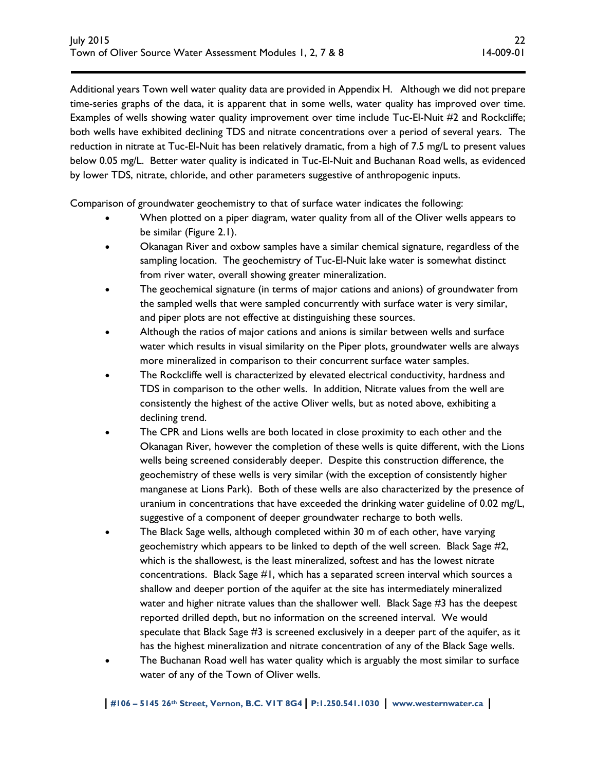Additional years Town well water quality data are provided in Appendix H. Although we did not prepare time-series graphs of the data, it is apparent that in some wells, water quality has improved over time. Examples of wells showing water quality improvement over time include Tuc-El-Nuit #2 and Rockcliffe; both wells have exhibited declining TDS and nitrate concentrations over a period of several years. The reduction in nitrate at Tuc-El-Nuit has been relatively dramatic, from a high of 7.5 mg/L to present values below 0.05 mg/L. Better water quality is indicated in Tuc-El-Nuit and Buchanan Road wells, as evidenced by lower TDS, nitrate, chloride, and other parameters suggestive of anthropogenic inputs.

Comparison of groundwater geochemistry to that of surface water indicates the following:

- When plotted on a piper diagram, water quality from all of the Oliver wells appears to be similar (Figure 2.1).
- Okanagan River and oxbow samples have a similar chemical signature, regardless of the sampling location. The geochemistry of Tuc-El-Nuit lake water is somewhat distinct from river water, overall showing greater mineralization.
- The geochemical signature (in terms of major cations and anions) of groundwater from the sampled wells that were sampled concurrently with surface water is very similar, and piper plots are not effective at distinguishing these sources.
- Although the ratios of major cations and anions is similar between wells and surface water which results in visual similarity on the Piper plots, groundwater wells are always more mineralized in comparison to their concurrent surface water samples.
- The Rockcliffe well is characterized by elevated electrical conductivity, hardness and TDS in comparison to the other wells. In addition, Nitrate values from the well are consistently the highest of the active Oliver wells, but as noted above, exhibiting a declining trend.
- The CPR and Lions wells are both located in close proximity to each other and the Okanagan River, however the completion of these wells is quite different, with the Lions wells being screened considerably deeper. Despite this construction difference, the geochemistry of these wells is very similar (with the exception of consistently higher manganese at Lions Park). Both of these wells are also characterized by the presence of uranium in concentrations that have exceeded the drinking water guideline of 0.02 mg/L, suggestive of a component of deeper groundwater recharge to both wells.
- The Black Sage wells, although completed within 30 m of each other, have varying geochemistry which appears to be linked to depth of the well screen. Black Sage #2, which is the shallowest, is the least mineralized, softest and has the lowest nitrate concentrations. Black Sage #1, which has a separated screen interval which sources a shallow and deeper portion of the aquifer at the site has intermediately mineralized water and higher nitrate values than the shallower well. Black Sage #3 has the deepest reported drilled depth, but no information on the screened interval. We would speculate that Black Sage #3 is screened exclusively in a deeper part of the aquifer, as it has the highest mineralization and nitrate concentration of any of the Black Sage wells.
- The Buchanan Road well has water quality which is arguably the most similar to surface water of any of the Town of Oliver wells.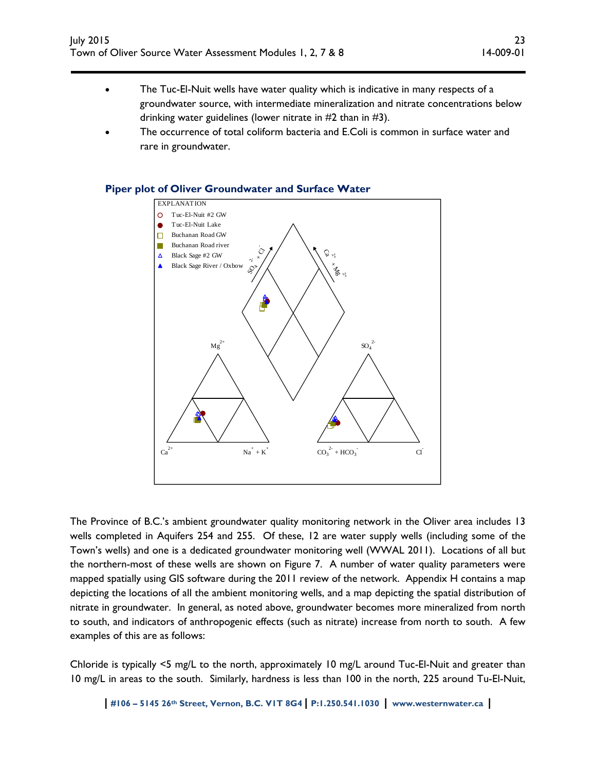- The Tuc-El-Nuit wells have water quality which is indicative in many respects of a groundwater source, with intermediate mineralization and nitrate concentrations below drinking water guidelines (lower nitrate in #2 than in #3).
- The occurrence of total coliform bacteria and E.Coli is common in surface water and rare in groundwater.

#### **Piper plot of Oliver Groundwater and Surface Water**



The Province of B.C.'s ambient groundwater quality monitoring network in the Oliver area includes 13 wells completed in Aquifers 254 and 255. Of these, 12 are water supply wells (including some of the Town's wells) and one is a dedicated groundwater monitoring well (WWAL 2011). Locations of all but the northern-most of these wells are shown on Figure 7. A number of water quality parameters were mapped spatially using GIS software during the 2011 review of the network. Appendix H contains a map depicting the locations of all the ambient monitoring wells, and a map depicting the spatial distribution of nitrate in groundwater. In general, as noted above, groundwater becomes more mineralized from north to south, and indicators of anthropogenic effects (such as nitrate) increase from north to south. A few examples of this are as follows:

Chloride is typically <5 mg/L to the north, approximately 10 mg/L around Tuc-El-Nuit and greater than 10 mg/L in areas to the south. Similarly, hardness is less than 100 in the north, 225 around Tu-El-Nuit,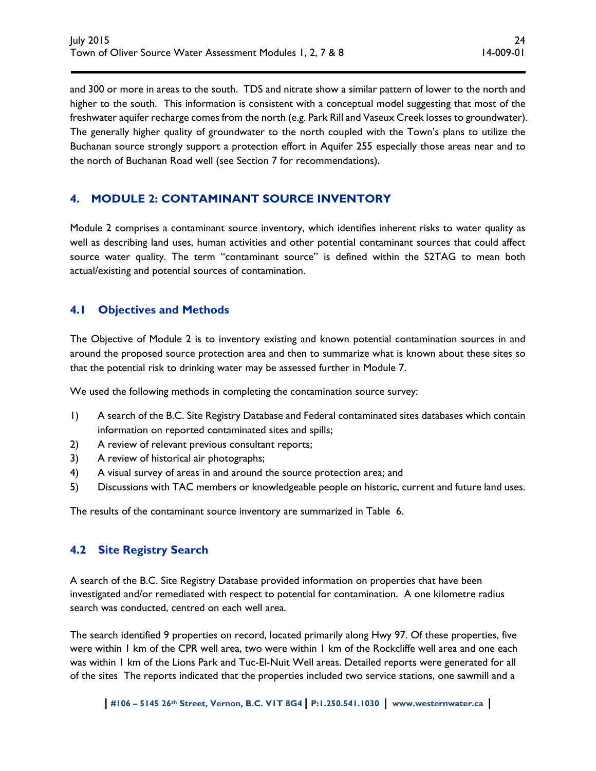and 300 or more in areas to the south. TDS and nitrate show a similar pattern of lower to the north and higher to the south. This information is consistent with a conceptual model suggesting that most of the freshwater aquifer recharge comes from the north (e.g. Park Rill and Vaseux Creek losses to groundwater). The generally higher quality of groundwater to the north coupled with the Town's plans to utilize the Buchanan source strongly support a protection effort in Aquifer 255 especially those areas near and to the north of Buchanan Road well (see Section 7 for recommendations).

# **4. MODULE 2: CONTAMINANT SOURCE INVENTORY**

Module 2 comprises a contaminant source inventory, which identifies inherent risks to water quality as well as describing land uses, human activities and other potential contaminant sources that could affect source water quality. The term "contaminant source" is defined within the S2TAG to mean both actual/existing and potential sources of contamination.

# **4.1 Objectives and Methods**

The Objective of Module 2 is to inventory existing and known potential contamination sources in and around the proposed source protection area and then to summarize what is known about these sites so that the potential risk to drinking water may be assessed further in Module 7.

We used the following methods in completing the contamination source survey:

- 1) A search of the B.C. Site Registry Database and Federal contaminated sites databases which contain information on reported contaminated sites and spills;
- 2) A review of relevant previous consultant reports;
- 3) A review of historical air photographs;
- 4) A visual survey of areas in and around the source protection area; and
- 5) Discussions with TAC members or knowledgeable people on historic, current and future land uses.

The results of the contaminant source inventory are summarized in Table 6.

### **4.2 Site Registry Search**

A search of the B.C. Site Registry Database provided information on properties that have been investigated and/or remediated with respect to potential for contamination. A one kilometre radius search was conducted, centred on each well area.

The search identified 9 properties on record, located primarily along Hwy 97. Of these properties, five were within 1 km of the CPR well area, two were within 1 km of the Rockcliffe well area and one each was within 1 km of the Lions Park and Tuc-El-Nuit Well areas. Detailed reports were generated for all of the sites The reports indicated that the properties included two service stations, one sawmill and a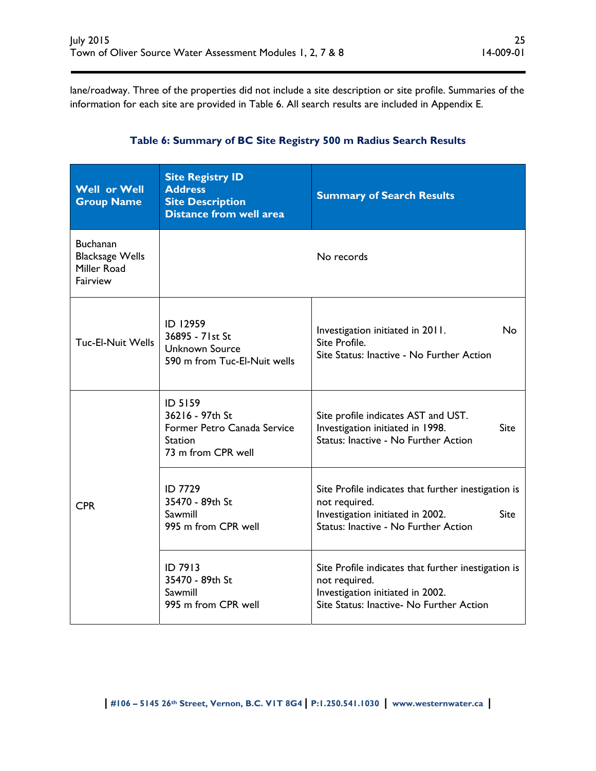lane/roadway. Three of the properties did not include a site description or site profile. Summaries of the information for each site are provided in Table 6. All search results are included in Appendix E.

| <b>Well or Well</b><br><b>Group Name</b>                             | <b>Site Registry ID</b><br><b>Address</b><br><b>Site Description</b><br><b>Distance from well area</b> | <b>Summary of Search Results</b>                                                                                                                         |  |  |
|----------------------------------------------------------------------|--------------------------------------------------------------------------------------------------------|----------------------------------------------------------------------------------------------------------------------------------------------------------|--|--|
| <b>Buchanan</b><br><b>Blacksage Wells</b><br>Miller Road<br>Fairview |                                                                                                        | No records                                                                                                                                               |  |  |
| Tuc-El-Nuit Wells                                                    | ID 12959<br>36895 - 71st St<br><b>Unknown Source</b><br>590 m from Tuc-El-Nuit wells                   | Investigation initiated in 2011.<br>No<br>Site Profile.<br>Site Status: Inactive - No Further Action                                                     |  |  |
|                                                                      | ID 5159<br>36216 - 97th St<br>Former Petro Canada Service<br><b>Station</b><br>73 m from CPR well      | Site profile indicates AST and UST.<br>Investigation initiated in 1998.<br><b>Site</b><br>Status: Inactive - No Further Action                           |  |  |
| <b>CPR</b>                                                           | <b>ID 7729</b><br>35470 - 89th St<br>Sawmill<br>995 m from CPR well                                    | Site Profile indicates that further inestigation is<br>not required.<br>Investigation initiated in 2002.<br>Site<br>Status: Inactive - No Further Action |  |  |
|                                                                      | ID 7913<br>35470 - 89th St<br>Sawmill<br>995 m from CPR well                                           | Site Profile indicates that further inestigation is<br>not required.<br>Investigation initiated in 2002.<br>Site Status: Inactive- No Further Action     |  |  |

# **Table 6: Summary of BC Site Registry 500 m Radius Search Results**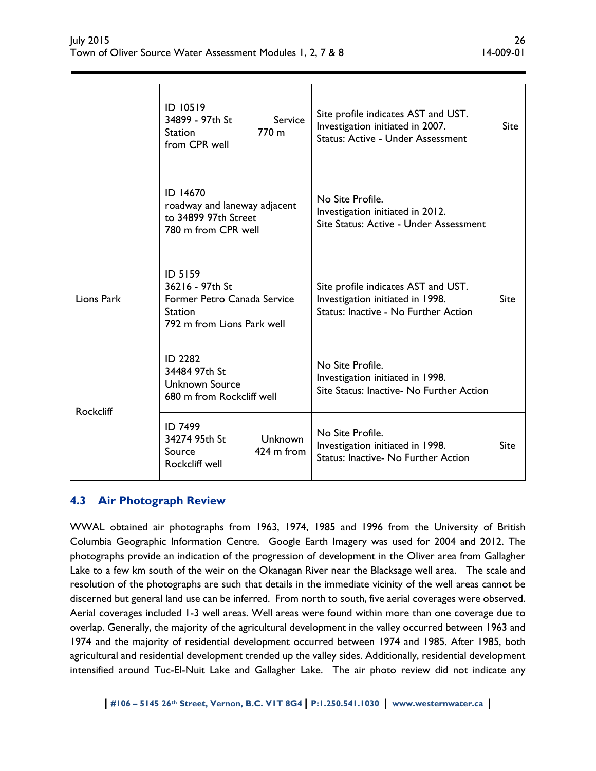|                  | ID 10519<br>34899 - 97th St<br>Service<br>770 <sub>m</sub><br><b>Station</b><br>from CPR well                    | Site profile indicates AST and UST.<br>Investigation initiated in 2007.<br><b>Status: Active - Under Assessment</b> | <b>Site</b> |
|------------------|------------------------------------------------------------------------------------------------------------------|---------------------------------------------------------------------------------------------------------------------|-------------|
|                  | ID 14670<br>roadway and laneway adjacent<br>to 34899 97th Street<br>780 m from CPR well                          | No Site Profile.<br>Investigation initiated in 2012.<br>Site Status: Active - Under Assessment                      |             |
| Lions Park       | <b>ID 5159</b><br>36216 - 97th St<br>Former Petro Canada Service<br><b>Station</b><br>792 m from Lions Park well | Site profile indicates AST and UST.<br>Investigation initiated in 1998.<br>Status: Inactive - No Further Action     | Site        |
|                  | <b>ID 2282</b><br>34484 97th St<br><b>Unknown Source</b><br>680 m from Rockcliff well                            | No Site Profile.<br>Investigation initiated in 1998.<br>Site Status: Inactive- No Further Action                    |             |
| <b>Rockcliff</b> | <b>ID 7499</b><br>34274 95th St<br><b>Unknown</b><br>$424 \text{ m from}$<br>Source<br>Rockcliff well            | No Site Profile.<br>Investigation initiated in 1998.<br>Status: Inactive- No Further Action                         | Site        |

# **4.3 Air Photograph Review**

WWAL obtained air photographs from 1963, 1974, 1985 and 1996 from the University of British Columbia Geographic Information Centre. Google Earth Imagery was used for 2004 and 2012. The photographs provide an indication of the progression of development in the Oliver area from Gallagher Lake to a few km south of the weir on the Okanagan River near the Blacksage well area. The scale and resolution of the photographs are such that details in the immediate vicinity of the well areas cannot be discerned but general land use can be inferred. From north to south, five aerial coverages were observed. Aerial coverages included 1-3 well areas. Well areas were found within more than one coverage due to overlap. Generally, the majority of the agricultural development in the valley occurred between 1963 and 1974 and the majority of residential development occurred between 1974 and 1985. After 1985, both agricultural and residential development trended up the valley sides. Additionally, residential development intensified around Tuc-El-Nuit Lake and Gallagher Lake. The air photo review did not indicate any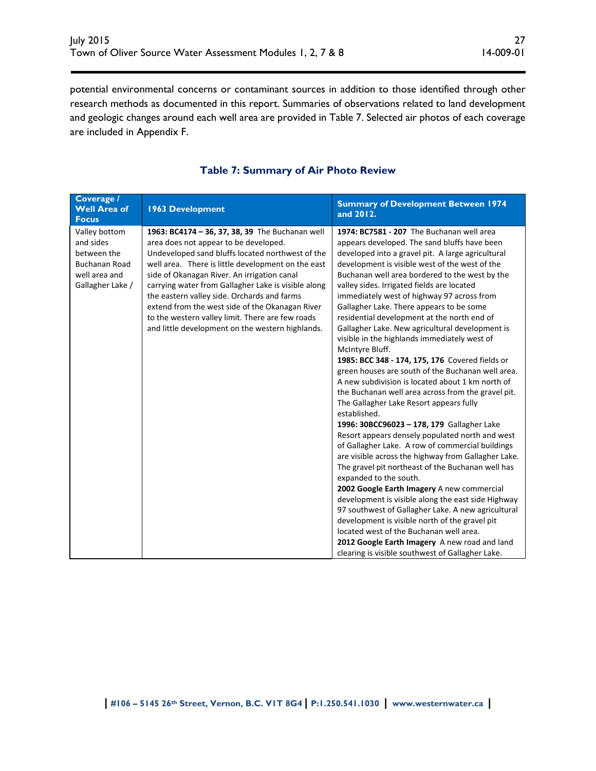potential environmental concerns or contaminant sources in addition to those identified through other research methods as documented in this report. Summaries of observations related to land development and geologic changes around each well area are provided in Table 7. Selected air photos of each coverage are included in Appendix F.

| Coverage /<br><b>Well Area of</b><br><b>Focus</b>                                                      | <b>1963 Development</b>                                                                                                                                                                                                                                                                                                                                                                                                                                                                                            | <b>Summary of Development Between 1974</b><br>and 2012.                                                                                                                                                                                                                                                                                                                                                                                                                                                                                                                                                                                                                                                                                                                                                                                                                                                                                                                                                                                                                                                                                                                                                                                                                                                                                                                                                                                                                                             |
|--------------------------------------------------------------------------------------------------------|--------------------------------------------------------------------------------------------------------------------------------------------------------------------------------------------------------------------------------------------------------------------------------------------------------------------------------------------------------------------------------------------------------------------------------------------------------------------------------------------------------------------|-----------------------------------------------------------------------------------------------------------------------------------------------------------------------------------------------------------------------------------------------------------------------------------------------------------------------------------------------------------------------------------------------------------------------------------------------------------------------------------------------------------------------------------------------------------------------------------------------------------------------------------------------------------------------------------------------------------------------------------------------------------------------------------------------------------------------------------------------------------------------------------------------------------------------------------------------------------------------------------------------------------------------------------------------------------------------------------------------------------------------------------------------------------------------------------------------------------------------------------------------------------------------------------------------------------------------------------------------------------------------------------------------------------------------------------------------------------------------------------------------------|
| Valley bottom<br>and sides<br>between the<br><b>Buchanan Road</b><br>well area and<br>Gallagher Lake / | 1963: BC4174 - 36, 37, 38, 39 The Buchanan well<br>area does not appear to be developed.<br>Undeveloped sand bluffs located northwest of the<br>well area. There is little development on the east<br>side of Okanagan River. An irrigation canal<br>carrying water from Gallagher Lake is visible along<br>the eastern valley side. Orchards and farms<br>extend from the west side of the Okanagan River<br>to the western valley limit. There are few roads<br>and little development on the western highlands. | 1974: BC7581 - 207 The Buchanan well area<br>appears developed. The sand bluffs have been<br>developed into a gravel pit. A large agricultural<br>development is visible west of the west of the<br>Buchanan well area bordered to the west by the<br>valley sides. Irrigated fields are located<br>immediately west of highway 97 across from<br>Gallagher Lake. There appears to be some<br>residential development at the north end of<br>Gallagher Lake. New agricultural development is<br>visible in the highlands immediately west of<br>McIntyre Bluff.<br>1985: BCC 348 - 174, 175, 176 Covered fields or<br>green houses are south of the Buchanan well area.<br>A new subdivision is located about 1 km north of<br>the Buchanan well area across from the gravel pit.<br>The Gallagher Lake Resort appears fully<br>established.<br>1996: 30BCC96023 - 178, 179 Gallagher Lake<br>Resort appears densely populated north and west<br>of Gallagher Lake. A row of commercial buildings<br>are visible across the highway from Gallagher Lake.<br>The gravel pit northeast of the Buchanan well has<br>expanded to the south.<br>2002 Google Earth Imagery A new commercial<br>development is visible along the east side Highway<br>97 southwest of Gallagher Lake. A new agricultural<br>development is visible north of the gravel pit<br>located west of the Buchanan well area.<br>2012 Google Earth Imagery A new road and land<br>clearing is visible southwest of Gallagher Lake. |

#### **Table 7: Summary of Air Photo Review**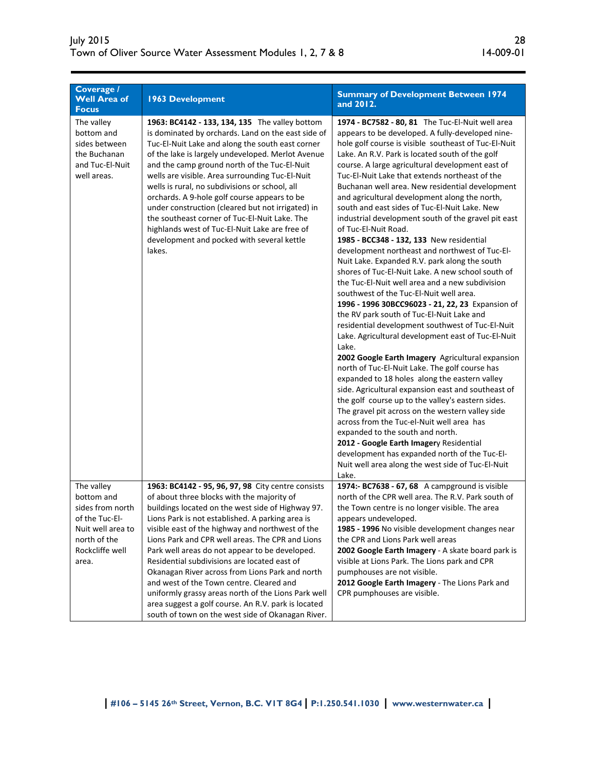| Coverage /<br><b>Well Area of</b><br><b>Focus</b>                                           | <b>1963 Development</b>                                                                                                                                                                                                                                                                                                                                                                                                                                                                                                                                                                                                            | <b>Summary of Development Between 1974</b><br>and 2012.                                                                                                                                                                                                                                                                                                                                                                                                                                                                                                                                                                                                                                                                                                                                                                                                                                                                                                                                                                                                                                                                                                                                                                                                                                                                                                                                                                                                                                                                                                                                                                                          |
|---------------------------------------------------------------------------------------------|------------------------------------------------------------------------------------------------------------------------------------------------------------------------------------------------------------------------------------------------------------------------------------------------------------------------------------------------------------------------------------------------------------------------------------------------------------------------------------------------------------------------------------------------------------------------------------------------------------------------------------|--------------------------------------------------------------------------------------------------------------------------------------------------------------------------------------------------------------------------------------------------------------------------------------------------------------------------------------------------------------------------------------------------------------------------------------------------------------------------------------------------------------------------------------------------------------------------------------------------------------------------------------------------------------------------------------------------------------------------------------------------------------------------------------------------------------------------------------------------------------------------------------------------------------------------------------------------------------------------------------------------------------------------------------------------------------------------------------------------------------------------------------------------------------------------------------------------------------------------------------------------------------------------------------------------------------------------------------------------------------------------------------------------------------------------------------------------------------------------------------------------------------------------------------------------------------------------------------------------------------------------------------------------|
| The valley<br>bottom and<br>sides between<br>the Buchanan<br>and Tuc-El-Nuit<br>well areas. | 1963: BC4142 - 133, 134, 135 The valley bottom<br>is dominated by orchards. Land on the east side of<br>Tuc-El-Nuit Lake and along the south east corner<br>of the lake is largely undeveloped. Merlot Avenue<br>and the camp ground north of the Tuc-El-Nuit<br>wells are visible. Area surrounding Tuc-El-Nuit<br>wells is rural, no subdivisions or school, all<br>orchards. A 9-hole golf course appears to be<br>under construction (cleared but not irrigated) in<br>the southeast corner of Tuc-El-Nuit Lake. The<br>highlands west of Tuc-El-Nuit Lake are free of<br>development and pocked with several kettle<br>lakes. | 1974 - BC7582 - 80, 81 The Tuc-El-Nuit well area<br>appears to be developed. A fully-developed nine-<br>hole golf course is visible southeast of Tuc-El-Nuit<br>Lake. An R.V. Park is located south of the golf<br>course. A large agricultural development east of<br>Tuc-El-Nuit Lake that extends northeast of the<br>Buchanan well area. New residential development<br>and agricultural development along the north,<br>south and east sides of Tuc-El-Nuit Lake. New<br>industrial development south of the gravel pit east<br>of Tuc-El-Nuit Road.<br>1985 - BCC348 - 132, 133 New residential<br>development northeast and northwest of Tuc-El-<br>Nuit Lake. Expanded R.V. park along the south<br>shores of Tuc-El-Nuit Lake. A new school south of<br>the Tuc-El-Nuit well area and a new subdivision<br>southwest of the Tuc-El-Nuit well area.<br>1996 - 1996 30BCC96023 - 21, 22, 23 Expansion of<br>the RV park south of Tuc-El-Nuit Lake and<br>residential development southwest of Tuc-El-Nuit<br>Lake. Agricultural development east of Tuc-El-Nuit<br>Lake.<br>2002 Google Earth Imagery Agricultural expansion<br>north of Tuc-El-Nuit Lake. The golf course has<br>expanded to 18 holes along the eastern valley<br>side. Agricultural expansion east and southeast of<br>the golf course up to the valley's eastern sides.<br>The gravel pit across on the western valley side<br>across from the Tuc-el-Nuit well area has<br>expanded to the south and north.<br>2012 - Google Earth Imagery Residential<br>development has expanded north of the Tuc-El-<br>Nuit well area along the west side of Tuc-El-Nuit<br>Lake. |
| The valley<br>bottom and<br>sides from north                                                | 1963: BC4142 - 95, 96, 97, 98 City centre consists<br>of about three blocks with the majority of<br>buildings located on the west side of Highway 97.                                                                                                                                                                                                                                                                                                                                                                                                                                                                              | 1974:- BC7638 - 67, 68 A campground is visible<br>north of the CPR well area. The R.V. Park south of<br>the Town centre is no longer visible. The area                                                                                                                                                                                                                                                                                                                                                                                                                                                                                                                                                                                                                                                                                                                                                                                                                                                                                                                                                                                                                                                                                                                                                                                                                                                                                                                                                                                                                                                                                           |
| of the Tuc-El-                                                                              | Lions Park is not established. A parking area is                                                                                                                                                                                                                                                                                                                                                                                                                                                                                                                                                                                   | appears undeveloped.                                                                                                                                                                                                                                                                                                                                                                                                                                                                                                                                                                                                                                                                                                                                                                                                                                                                                                                                                                                                                                                                                                                                                                                                                                                                                                                                                                                                                                                                                                                                                                                                                             |
| Nuit well area to                                                                           | visible east of the highway and northwest of the                                                                                                                                                                                                                                                                                                                                                                                                                                                                                                                                                                                   | 1985 - 1996 No visible development changes near                                                                                                                                                                                                                                                                                                                                                                                                                                                                                                                                                                                                                                                                                                                                                                                                                                                                                                                                                                                                                                                                                                                                                                                                                                                                                                                                                                                                                                                                                                                                                                                                  |
| north of the                                                                                | Lions Park and CPR well areas. The CPR and Lions                                                                                                                                                                                                                                                                                                                                                                                                                                                                                                                                                                                   | the CPR and Lions Park well areas                                                                                                                                                                                                                                                                                                                                                                                                                                                                                                                                                                                                                                                                                                                                                                                                                                                                                                                                                                                                                                                                                                                                                                                                                                                                                                                                                                                                                                                                                                                                                                                                                |
| Rockcliffe well                                                                             | Park well areas do not appear to be developed.                                                                                                                                                                                                                                                                                                                                                                                                                                                                                                                                                                                     | 2002 Google Earth Imagery - A skate board park is                                                                                                                                                                                                                                                                                                                                                                                                                                                                                                                                                                                                                                                                                                                                                                                                                                                                                                                                                                                                                                                                                                                                                                                                                                                                                                                                                                                                                                                                                                                                                                                                |
| area.                                                                                       | Residential subdivisions are located east of                                                                                                                                                                                                                                                                                                                                                                                                                                                                                                                                                                                       | visible at Lions Park. The Lions park and CPR                                                                                                                                                                                                                                                                                                                                                                                                                                                                                                                                                                                                                                                                                                                                                                                                                                                                                                                                                                                                                                                                                                                                                                                                                                                                                                                                                                                                                                                                                                                                                                                                    |
|                                                                                             | Okanagan River across from Lions Park and north                                                                                                                                                                                                                                                                                                                                                                                                                                                                                                                                                                                    | pumphouses are not visible.                                                                                                                                                                                                                                                                                                                                                                                                                                                                                                                                                                                                                                                                                                                                                                                                                                                                                                                                                                                                                                                                                                                                                                                                                                                                                                                                                                                                                                                                                                                                                                                                                      |
|                                                                                             | and west of the Town centre. Cleared and<br>uniformly grassy areas north of the Lions Park well                                                                                                                                                                                                                                                                                                                                                                                                                                                                                                                                    | 2012 Google Earth Imagery - The Lions Park and<br>CPR pumphouses are visible.                                                                                                                                                                                                                                                                                                                                                                                                                                                                                                                                                                                                                                                                                                                                                                                                                                                                                                                                                                                                                                                                                                                                                                                                                                                                                                                                                                                                                                                                                                                                                                    |
|                                                                                             | area suggest a golf course. An R.V. park is located                                                                                                                                                                                                                                                                                                                                                                                                                                                                                                                                                                                |                                                                                                                                                                                                                                                                                                                                                                                                                                                                                                                                                                                                                                                                                                                                                                                                                                                                                                                                                                                                                                                                                                                                                                                                                                                                                                                                                                                                                                                                                                                                                                                                                                                  |
|                                                                                             | south of town on the west side of Okanagan River.                                                                                                                                                                                                                                                                                                                                                                                                                                                                                                                                                                                  |                                                                                                                                                                                                                                                                                                                                                                                                                                                                                                                                                                                                                                                                                                                                                                                                                                                                                                                                                                                                                                                                                                                                                                                                                                                                                                                                                                                                                                                                                                                                                                                                                                                  |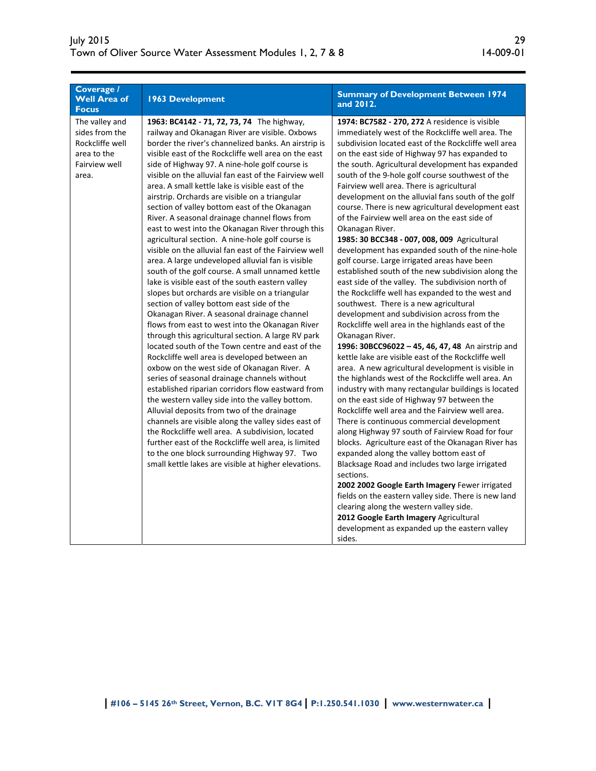| Coverage /<br><b>Well Area of</b><br><b>Focus</b>                                            | <b>1963 Development</b>                                                                                                                                                                                                                                                                                                                                                                                                                                                                                                                                                                                                                                                                                                                                                                                                                                                                                                                                                                                                                                                                                                                                                                                                                                                                                                                                                                                                                                                                                                                                                                                                                                                                                                                                    | <b>Summary of Development Between 1974</b><br>and 2012.                                                                                                                                                                                                                                                                                                                                                                                                                                                                                                                                                                                                                                                                                                                                                                                                                                                                                                                                                                                                                                                                                                                                                                                                                                                                                                                                                                                                                                                                                                                                                                                                                                                                                                                                                                                                                                                                                              |
|----------------------------------------------------------------------------------------------|------------------------------------------------------------------------------------------------------------------------------------------------------------------------------------------------------------------------------------------------------------------------------------------------------------------------------------------------------------------------------------------------------------------------------------------------------------------------------------------------------------------------------------------------------------------------------------------------------------------------------------------------------------------------------------------------------------------------------------------------------------------------------------------------------------------------------------------------------------------------------------------------------------------------------------------------------------------------------------------------------------------------------------------------------------------------------------------------------------------------------------------------------------------------------------------------------------------------------------------------------------------------------------------------------------------------------------------------------------------------------------------------------------------------------------------------------------------------------------------------------------------------------------------------------------------------------------------------------------------------------------------------------------------------------------------------------------------------------------------------------------|------------------------------------------------------------------------------------------------------------------------------------------------------------------------------------------------------------------------------------------------------------------------------------------------------------------------------------------------------------------------------------------------------------------------------------------------------------------------------------------------------------------------------------------------------------------------------------------------------------------------------------------------------------------------------------------------------------------------------------------------------------------------------------------------------------------------------------------------------------------------------------------------------------------------------------------------------------------------------------------------------------------------------------------------------------------------------------------------------------------------------------------------------------------------------------------------------------------------------------------------------------------------------------------------------------------------------------------------------------------------------------------------------------------------------------------------------------------------------------------------------------------------------------------------------------------------------------------------------------------------------------------------------------------------------------------------------------------------------------------------------------------------------------------------------------------------------------------------------------------------------------------------------------------------------------------------------|
| The valley and<br>sides from the<br>Rockcliffe well<br>area to the<br>Fairview well<br>area. | 1963: BC4142 - 71, 72, 73, 74 The highway,<br>railway and Okanagan River are visible. Oxbows<br>border the river's channelized banks. An airstrip is<br>visible east of the Rockcliffe well area on the east<br>side of Highway 97. A nine-hole golf course is<br>visible on the alluvial fan east of the Fairview well<br>area. A small kettle lake is visible east of the<br>airstrip. Orchards are visible on a triangular<br>section of valley bottom east of the Okanagan<br>River. A seasonal drainage channel flows from<br>east to west into the Okanagan River through this<br>agricultural section. A nine-hole golf course is<br>visible on the alluvial fan east of the Fairview well<br>area. A large undeveloped alluvial fan is visible<br>south of the golf course. A small unnamed kettle<br>lake is visible east of the south eastern valley<br>slopes but orchards are visible on a triangular<br>section of valley bottom east side of the<br>Okanagan River. A seasonal drainage channel<br>flows from east to west into the Okanagan River<br>through this agricultural section. A large RV park<br>located south of the Town centre and east of the<br>Rockcliffe well area is developed between an<br>oxbow on the west side of Okanagan River. A<br>series of seasonal drainage channels without<br>established riparian corridors flow eastward from<br>the western valley side into the valley bottom.<br>Alluvial deposits from two of the drainage<br>channels are visible along the valley sides east of<br>the Rockcliffe well area. A subdivision, located<br>further east of the Rockcliffe well area, is limited<br>to the one block surrounding Highway 97. Two<br>small kettle lakes are visible at higher elevations. | 1974: BC7582 - 270, 272 A residence is visible<br>immediately west of the Rockcliffe well area. The<br>subdivision located east of the Rockcliffe well area<br>on the east side of Highway 97 has expanded to<br>the south. Agricultural development has expanded<br>south of the 9-hole golf course southwest of the<br>Fairview well area. There is agricultural<br>development on the alluvial fans south of the golf<br>course. There is new agricultural development east<br>of the Fairview well area on the east side of<br>Okanagan River.<br>1985: 30 BCC348 - 007, 008, 009 Agricultural<br>development has expanded south of the nine-hole<br>golf course. Large irrigated areas have been<br>established south of the new subdivision along the<br>east side of the valley. The subdivision north of<br>the Rockcliffe well has expanded to the west and<br>southwest. There is a new agricultural<br>development and subdivision across from the<br>Rockcliffe well area in the highlands east of the<br>Okanagan River.<br>1996: 30BCC96022 - 45, 46, 47, 48 An airstrip and<br>kettle lake are visible east of the Rockcliffe well<br>area. A new agricultural development is visible in<br>the highlands west of the Rockcliffe well area. An<br>industry with many rectangular buildings is located<br>on the east side of Highway 97 between the<br>Rockcliffe well area and the Fairview well area.<br>There is continuous commercial development<br>along Highway 97 south of Fairview Road for four<br>blocks. Agriculture east of the Okanagan River has<br>expanded along the valley bottom east of<br>Blacksage Road and includes two large irrigated<br>sections.<br>2002 2002 Google Earth Imagery Fewer irrigated<br>fields on the eastern valley side. There is new land<br>clearing along the western valley side.<br>2012 Google Earth Imagery Agricultural<br>development as expanded up the eastern valley<br>sides. |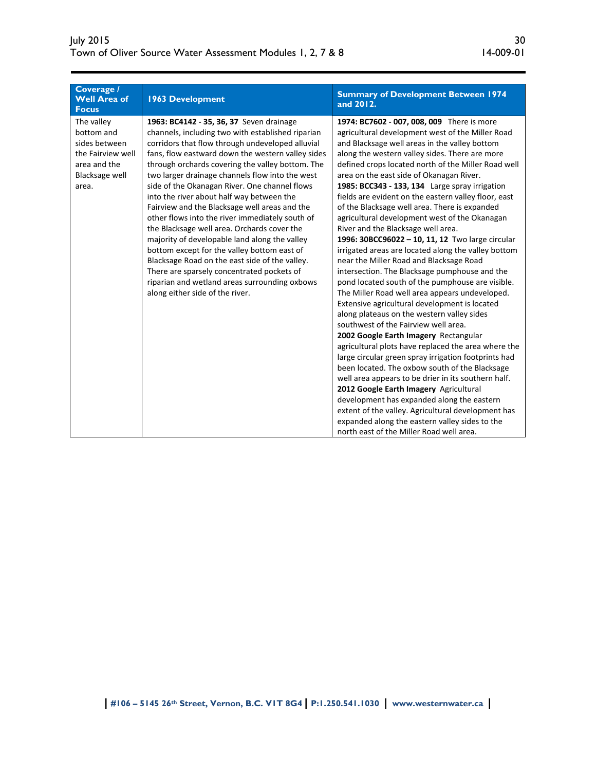| Coverage /<br><b>Well Area of</b><br><b>Focus</b>                                                                | <b>1963 Development</b>                                                                                                                                                                                                                                                                                                                                                                                                                                                                                                                                                                                                                                                                                                                                                                                                                            | <b>Summary of Development Between 1974</b><br>and 2012.                                                                                                                                                                                                                                                                                                                                                                                                                                                                                                                                                                                                                                                                                                                                                                                                                                                                                                                                                                                                                                                                                                                                                                                                                                                                                                                                                                                                                                                                 |
|------------------------------------------------------------------------------------------------------------------|----------------------------------------------------------------------------------------------------------------------------------------------------------------------------------------------------------------------------------------------------------------------------------------------------------------------------------------------------------------------------------------------------------------------------------------------------------------------------------------------------------------------------------------------------------------------------------------------------------------------------------------------------------------------------------------------------------------------------------------------------------------------------------------------------------------------------------------------------|-------------------------------------------------------------------------------------------------------------------------------------------------------------------------------------------------------------------------------------------------------------------------------------------------------------------------------------------------------------------------------------------------------------------------------------------------------------------------------------------------------------------------------------------------------------------------------------------------------------------------------------------------------------------------------------------------------------------------------------------------------------------------------------------------------------------------------------------------------------------------------------------------------------------------------------------------------------------------------------------------------------------------------------------------------------------------------------------------------------------------------------------------------------------------------------------------------------------------------------------------------------------------------------------------------------------------------------------------------------------------------------------------------------------------------------------------------------------------------------------------------------------------|
| The valley<br>bottom and<br>sides between<br>the Fairview well<br>area and the<br><b>Blacksage well</b><br>area. | 1963: BC4142 - 35, 36, 37 Seven drainage<br>channels, including two with established riparian<br>corridors that flow through undeveloped alluvial<br>fans, flow eastward down the western valley sides<br>through orchards covering the valley bottom. The<br>two larger drainage channels flow into the west<br>side of the Okanagan River. One channel flows<br>into the river about half way between the<br>Fairview and the Blacksage well areas and the<br>other flows into the river immediately south of<br>the Blacksage well area. Orchards cover the<br>majority of developable land along the valley<br>bottom except for the valley bottom east of<br>Blacksage Road on the east side of the valley.<br>There are sparsely concentrated pockets of<br>riparian and wetland areas surrounding oxbows<br>along either side of the river. | 1974: BC7602 - 007, 008, 009 There is more<br>agricultural development west of the Miller Road<br>and Blacksage well areas in the valley bottom<br>along the western valley sides. There are more<br>defined crops located north of the Miller Road well<br>area on the east side of Okanagan River.<br>1985: BCC343 - 133, 134 Large spray irrigation<br>fields are evident on the eastern valley floor, east<br>of the Blacksage well area. There is expanded<br>agricultural development west of the Okanagan<br>River and the Blacksage well area.<br>1996: 30BCC96022 - 10, 11, 12 Two large circular<br>irrigated areas are located along the valley bottom<br>near the Miller Road and Blacksage Road<br>intersection. The Blacksage pumphouse and the<br>pond located south of the pumphouse are visible.<br>The Miller Road well area appears undeveloped.<br>Extensive agricultural development is located<br>along plateaus on the western valley sides<br>southwest of the Fairview well area.<br>2002 Google Earth Imagery Rectangular<br>agricultural plots have replaced the area where the<br>large circular green spray irrigation footprints had<br>been located. The oxbow south of the Blacksage<br>well area appears to be drier in its southern half.<br>2012 Google Earth Imagery Agricultural<br>development has expanded along the eastern<br>extent of the valley. Agricultural development has<br>expanded along the eastern valley sides to the<br>north east of the Miller Road well area. |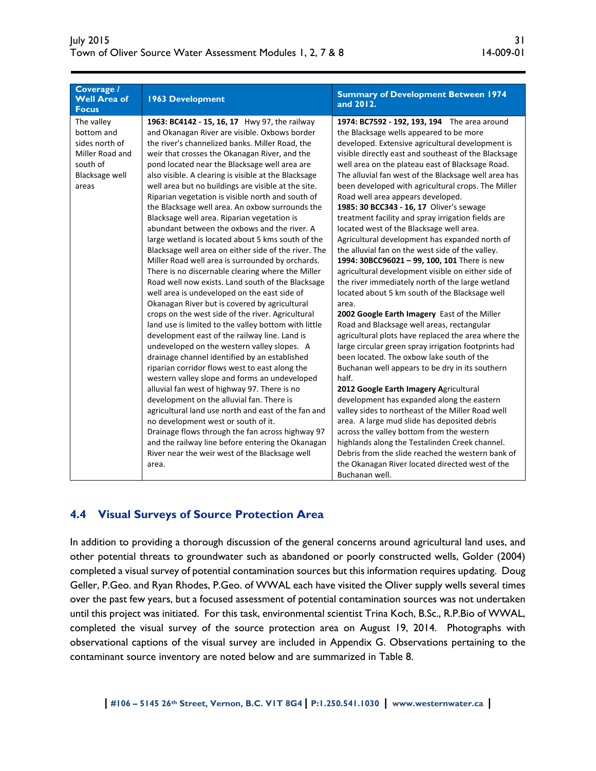| Coverage /<br><b>Well Area of</b><br><b>Focus</b>                                                           | <b>1963 Development</b>                                                                                                                                                                                                                                                                                                                                                                                                                                                                                                                                                                                                                                                                                                                                                                                                                                                                                                                                                                                                                                                                                                                                                                                                                                                                                                                                                                                                                                                                                                                                                                                                                                                               | <b>Summary of Development Between 1974</b><br>and 2012.                                                                                                                                                                                                                                                                                                                                                                                                                                                                                                                                                                                                                                                                                                                                                                                                                                                                                                                                                                                                                                                                                                                                                                                                                                                                                                                                                                                                                                                                                                                                                                         |
|-------------------------------------------------------------------------------------------------------------|---------------------------------------------------------------------------------------------------------------------------------------------------------------------------------------------------------------------------------------------------------------------------------------------------------------------------------------------------------------------------------------------------------------------------------------------------------------------------------------------------------------------------------------------------------------------------------------------------------------------------------------------------------------------------------------------------------------------------------------------------------------------------------------------------------------------------------------------------------------------------------------------------------------------------------------------------------------------------------------------------------------------------------------------------------------------------------------------------------------------------------------------------------------------------------------------------------------------------------------------------------------------------------------------------------------------------------------------------------------------------------------------------------------------------------------------------------------------------------------------------------------------------------------------------------------------------------------------------------------------------------------------------------------------------------------|---------------------------------------------------------------------------------------------------------------------------------------------------------------------------------------------------------------------------------------------------------------------------------------------------------------------------------------------------------------------------------------------------------------------------------------------------------------------------------------------------------------------------------------------------------------------------------------------------------------------------------------------------------------------------------------------------------------------------------------------------------------------------------------------------------------------------------------------------------------------------------------------------------------------------------------------------------------------------------------------------------------------------------------------------------------------------------------------------------------------------------------------------------------------------------------------------------------------------------------------------------------------------------------------------------------------------------------------------------------------------------------------------------------------------------------------------------------------------------------------------------------------------------------------------------------------------------------------------------------------------------|
| The valley<br>bottom and<br>sides north of<br>Miller Road and<br>south of<br><b>Blacksage well</b><br>areas | 1963: BC4142 - 15, 16, 17 Hwy 97, the railway<br>and Okanagan River are visible. Oxbows border<br>the river's channelized banks. Miller Road, the<br>weir that crosses the Okanagan River, and the<br>pond located near the Blacksage well area are<br>also visible. A clearing is visible at the Blacksage<br>well area but no buildings are visible at the site.<br>Riparian vegetation is visible north and south of<br>the Blacksage well area. An oxbow surrounds the<br>Blacksage well area. Riparian vegetation is<br>abundant between the oxbows and the river. A<br>large wetland is located about 5 kms south of the<br>Blacksage well area on either side of the river. The<br>Miller Road well area is surrounded by orchards.<br>There is no discernable clearing where the Miller<br>Road well now exists. Land south of the Blacksage<br>well area is undeveloped on the east side of<br>Okanagan River but is covered by agricultural<br>crops on the west side of the river. Agricultural<br>land use is limited to the valley bottom with little<br>development east of the railway line. Land is<br>undeveloped on the western valley slopes. A<br>drainage channel identified by an established<br>riparian corridor flows west to east along the<br>western valley slope and forms an undeveloped<br>alluvial fan west of highway 97. There is no<br>development on the alluvial fan. There is<br>agricultural land use north and east of the fan and<br>no development west or south of it.<br>Drainage flows through the fan across highway 97<br>and the railway line before entering the Okanagan<br>River near the weir west of the Blacksage well<br>area. | 1974: BC7592 - 192, 193, 194 The area around<br>the Blacksage wells appeared to be more<br>developed. Extensive agricultural development is<br>visible directly east and southeast of the Blacksage<br>well area on the plateau east of Blacksage Road.<br>The alluvial fan west of the Blacksage well area has<br>been developed with agricultural crops. The Miller<br>Road well area appears developed.<br>1985: 30 BCC343 - 16, 17 Oliver's sewage<br>treatment facility and spray irrigation fields are<br>located west of the Blacksage well area.<br>Agricultural development has expanded north of<br>the alluvial fan on the west side of the valley.<br>1994: 30BCC96021 - 99, 100, 101 There is new<br>agricultural development visible on either side of<br>the river immediately north of the large wetland<br>located about 5 km south of the Blacksage well<br>area.<br>2002 Google Earth Imagery East of the Miller<br>Road and Blacksage well areas, rectangular<br>agricultural plots have replaced the area where the<br>large circular green spray irrigation footprints had<br>been located. The oxbow lake south of the<br>Buchanan well appears to be dry in its southern<br>half.<br>2012 Google Earth Imagery Agricultural<br>development has expanded along the eastern<br>valley sides to northeast of the Miller Road well<br>area. A large mud slide has deposited debris<br>across the valley bottom from the western<br>highlands along the Testalinden Creek channel.<br>Debris from the slide reached the western bank of<br>the Okanagan River located directed west of the<br>Buchanan well. |

# **4.4 Visual Surveys of Source Protection Area**

In addition to providing a thorough discussion of the general concerns around agricultural land uses, and other potential threats to groundwater such as abandoned or poorly constructed wells, Golder (2004) completed a visual survey of potential contamination sources but this information requires updating. Doug Geller, P.Geo. and Ryan Rhodes, P.Geo. of WWAL each have visited the Oliver supply wells several times over the past few years, but a focused assessment of potential contamination sources was not undertaken until this project was initiated. For this task, environmental scientist Trina Koch, B.Sc., R.P.Bio of WWAL, completed the visual survey of the source protection area on August 19, 2014. Photographs with observational captions of the visual survey are included in Appendix G. Observations pertaining to the contaminant source inventory are noted below and are summarized in Table 8.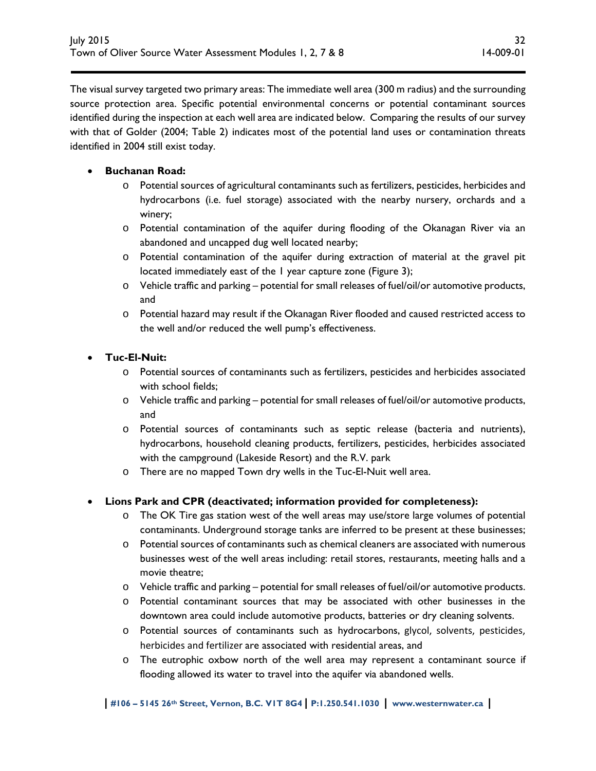The visual survey targeted two primary areas: The immediate well area (300 m radius) and the surrounding source protection area. Specific potential environmental concerns or potential contaminant sources identified during the inspection at each well area are indicated below. Comparing the results of our survey with that of Golder (2004; Table 2) indicates most of the potential land uses or contamination threats identified in 2004 still exist today.

### **Buchanan Road:**

- o Potential sources of agricultural contaminants such as fertilizers, pesticides, herbicides and hydrocarbons (i.e. fuel storage) associated with the nearby nursery, orchards and a winery;
- o Potential contamination of the aquifer during flooding of the Okanagan River via an abandoned and uncapped dug well located nearby;
- o Potential contamination of the aquifer during extraction of material at the gravel pit located immediately east of the 1 year capture zone (Figure 3);
- o Vehicle traffic and parking potential for small releases of fuel/oil/or automotive products, and
- o Potential hazard may result if the Okanagan River flooded and caused restricted access to the well and/or reduced the well pump's effectiveness.

#### **Tuc-El-Nuit:**

- o Potential sources of contaminants such as fertilizers, pesticides and herbicides associated with school fields;
- o Vehicle traffic and parking potential for small releases of fuel/oil/or automotive products, and
- o Potential sources of contaminants such as septic release (bacteria and nutrients), hydrocarbons, household cleaning products, fertilizers, pesticides, herbicides associated with the campground (Lakeside Resort) and the R.V. park
- o There are no mapped Town dry wells in the Tuc-El-Nuit well area.

### **Lions Park and CPR (deactivated; information provided for completeness):**

- o The OK Tire gas station west of the well areas may use/store large volumes of potential contaminants. Underground storage tanks are inferred to be present at these businesses;
- o Potential sources of contaminants such as chemical cleaners are associated with numerous businesses west of the well areas including: retail stores, restaurants, meeting halls and a movie theatre;
- o Vehicle traffic and parking potential for small releases of fuel/oil/or automotive products.
- o Potential contaminant sources that may be associated with other businesses in the downtown area could include automotive products, batteries or dry cleaning solvents.
- o Potential sources of contaminants such as hydrocarbons, glycol, solvents, pesticides, herbicides and fertilizer are associated with residential areas, and
- o The eutrophic oxbow north of the well area may represent a contaminant source if flooding allowed its water to travel into the aquifer via abandoned wells.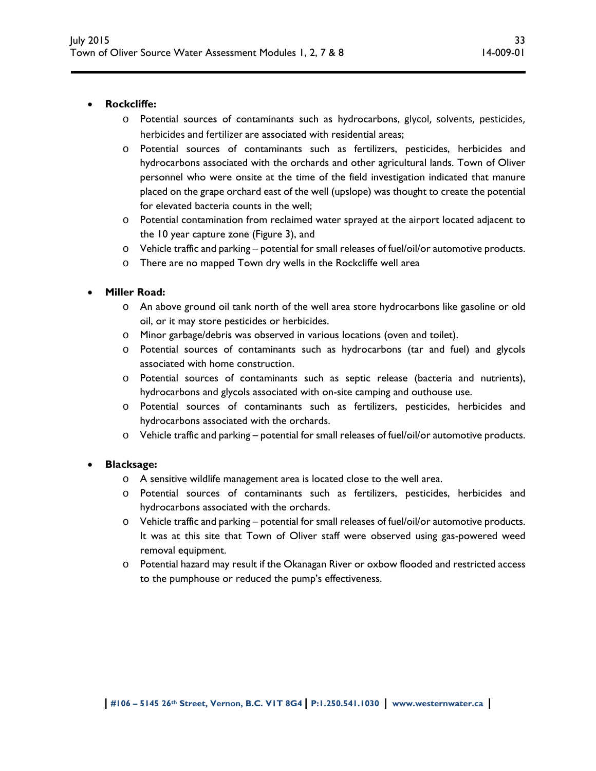#### **Rockcliffe:**

- o Potential sources of contaminants such as hydrocarbons, glycol, solvents, pesticides, herbicides and fertilizer are associated with residential areas;
- o Potential sources of contaminants such as fertilizers, pesticides, herbicides and hydrocarbons associated with the orchards and other agricultural lands. Town of Oliver personnel who were onsite at the time of the field investigation indicated that manure placed on the grape orchard east of the well (upslope) was thought to create the potential for elevated bacteria counts in the well;
- o Potential contamination from reclaimed water sprayed at the airport located adjacent to the 10 year capture zone (Figure 3), and
- o Vehicle traffic and parking potential for small releases of fuel/oil/or automotive products.
- o There are no mapped Town dry wells in the Rockcliffe well area

#### **Miller Road:**

- o An above ground oil tank north of the well area store hydrocarbons like gasoline or old oil, or it may store pesticides or herbicides.
- o Minor garbage/debris was observed in various locations (oven and toilet).
- o Potential sources of contaminants such as hydrocarbons (tar and fuel) and glycols associated with home construction.
- o Potential sources of contaminants such as septic release (bacteria and nutrients), hydrocarbons and glycols associated with on-site camping and outhouse use.
- o Potential sources of contaminants such as fertilizers, pesticides, herbicides and hydrocarbons associated with the orchards.
- o Vehicle traffic and parking potential for small releases of fuel/oil/or automotive products.

#### **Blacksage:**

- o A sensitive wildlife management area is located close to the well area.
- o Potential sources of contaminants such as fertilizers, pesticides, herbicides and hydrocarbons associated with the orchards.
- o Vehicle traffic and parking potential for small releases of fuel/oil/or automotive products. It was at this site that Town of Oliver staff were observed using gas-powered weed removal equipment.
- o Potential hazard may result if the Okanagan River or oxbow flooded and restricted access to the pumphouse or reduced the pump's effectiveness.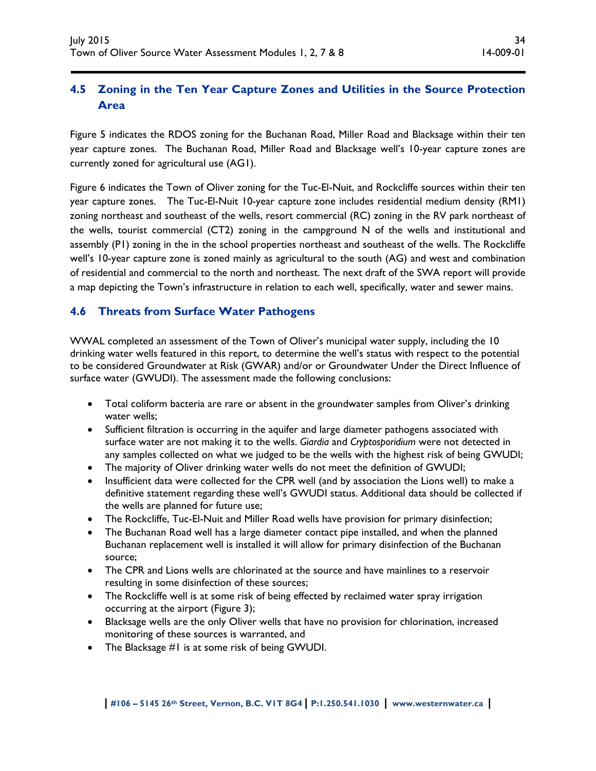# **4.5 Zoning in the Ten Year Capture Zones and Utilities in the Source Protection Area**

Figure 5 indicates the RDOS zoning for the Buchanan Road, Miller Road and Blacksage within their ten year capture zones. The Buchanan Road, Miller Road and Blacksage well's 10-year capture zones are currently zoned for agricultural use (AG1).

Figure 6 indicates the Town of Oliver zoning for the Tuc-El-Nuit, and Rockcliffe sources within their ten year capture zones. The Tuc-El-Nuit 10-year capture zone includes residential medium density (RM1) zoning northeast and southeast of the wells, resort commercial (RC) zoning in the RV park northeast of the wells, tourist commercial (CT2) zoning in the campground N of the wells and institutional and assembly (P1) zoning in the in the school properties northeast and southeast of the wells. The Rockcliffe well's 10-year capture zone is zoned mainly as agricultural to the south (AG) and west and combination of residential and commercial to the north and northeast. The next draft of the SWA report will provide a map depicting the Town's infrastructure in relation to each well, specifically, water and sewer mains.

# **4.6 Threats from Surface Water Pathogens**

WWAL completed an assessment of the Town of Oliver's municipal water supply, including the 10 drinking water wells featured in this report, to determine the well's status with respect to the potential to be considered Groundwater at Risk (GWAR) and/or or Groundwater Under the Direct Influence of surface water (GWUDI). The assessment made the following conclusions:

- Total coliform bacteria are rare or absent in the groundwater samples from Oliver's drinking water wells;
- Sufficient filtration is occurring in the aquifer and large diameter pathogens associated with surface water are not making it to the wells. *Giardia* and *Cryptosporidium* were not detected in any samples collected on what we judged to be the wells with the highest risk of being GWUDI;
- The majority of Oliver drinking water wells do not meet the definition of GWUDI;
- Insufficient data were collected for the CPR well (and by association the Lions well) to make a definitive statement regarding these well's GWUDI status. Additional data should be collected if the wells are planned for future use;
- The Rockcliffe, Tuc-El-Nuit and Miller Road wells have provision for primary disinfection;
- The Buchanan Road well has a large diameter contact pipe installed, and when the planned Buchanan replacement well is installed it will allow for primary disinfection of the Buchanan source;
- The CPR and Lions wells are chlorinated at the source and have mainlines to a reservoir resulting in some disinfection of these sources;
- The Rockcliffe well is at some risk of being effected by reclaimed water spray irrigation occurring at the airport (Figure 3);
- Blacksage wells are the only Oliver wells that have no provision for chlorination, increased monitoring of these sources is warranted, and
- The Blacksage #1 is at some risk of being GWUDI.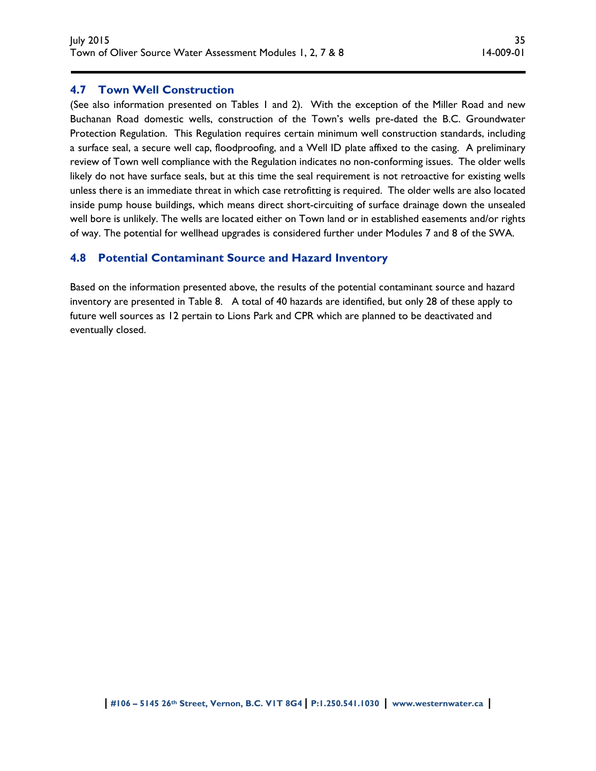### **4.7 Town Well Construction**

(See also information presented on Tables 1 and 2). With the exception of the Miller Road and new Buchanan Road domestic wells, construction of the Town's wells pre-dated the B.C. Groundwater Protection Regulation. This Regulation requires certain minimum well construction standards, including a surface seal, a secure well cap, floodproofing, and a Well ID plate affixed to the casing. A preliminary review of Town well compliance with the Regulation indicates no non-conforming issues. The older wells likely do not have surface seals, but at this time the seal requirement is not retroactive for existing wells unless there is an immediate threat in which case retrofitting is required. The older wells are also located inside pump house buildings, which means direct short-circuiting of surface drainage down the unsealed well bore is unlikely. The wells are located either on Town land or in established easements and/or rights of way. The potential for wellhead upgrades is considered further under Modules 7 and 8 of the SWA.

#### **4.8 Potential Contaminant Source and Hazard Inventory**

Based on the information presented above, the results of the potential contaminant source and hazard inventory are presented in Table 8. A total of 40 hazards are identified, but only 28 of these apply to future well sources as 12 pertain to Lions Park and CPR which are planned to be deactivated and eventually closed.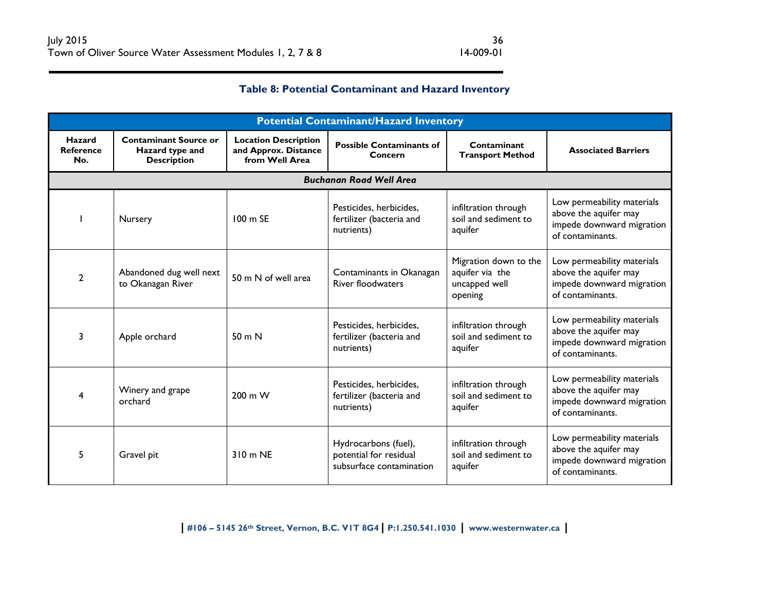# **Table 8: Potential Contaminant and Hazard Inventory**

| <b>Potential Contaminant/Hazard Inventory</b> |                                                                       |                                                                       |                                                                            |                                                                      |                                                                                                      |  |  |  |
|-----------------------------------------------|-----------------------------------------------------------------------|-----------------------------------------------------------------------|----------------------------------------------------------------------------|----------------------------------------------------------------------|------------------------------------------------------------------------------------------------------|--|--|--|
| <b>Hazard</b><br><b>Reference</b><br>No.      | <b>Contaminant Source or</b><br>Hazard type and<br><b>Description</b> | <b>Location Description</b><br>and Approx. Distance<br>from Well Area | <b>Possible Contaminants of</b><br>Concern                                 | Contaminant<br><b>Transport Method</b>                               | <b>Associated Barriers</b>                                                                           |  |  |  |
|                                               | <b>Buchanan Road Well Area</b>                                        |                                                                       |                                                                            |                                                                      |                                                                                                      |  |  |  |
|                                               | Nursery                                                               | $100 \text{ m}$ SE                                                    | Pesticides, herbicides,<br>fertilizer (bacteria and<br>nutrients)          | infiltration through<br>soil and sediment to<br>aquifer              | Low permeability materials<br>above the aquifer may<br>impede downward migration<br>of contaminants. |  |  |  |
| 2                                             | Abandoned dug well next<br>to Okanagan River                          | 50 m N of well area                                                   | Contaminants in Okanagan<br><b>River floodwaters</b>                       | Migration down to the<br>aquifer via the<br>uncapped well<br>opening | Low permeability materials<br>above the aquifer may<br>impede downward migration<br>of contaminants. |  |  |  |
| 3                                             | Apple orchard                                                         | 50 <sub>m</sub> N                                                     | Pesticides, herbicides,<br>fertilizer (bacteria and<br>nutrients)          | infiltration through<br>soil and sediment to<br>aquifer              | Low permeability materials<br>above the aquifer may<br>impede downward migration<br>of contaminants. |  |  |  |
| 4                                             | Winery and grape<br>orchard                                           | 200 m W                                                               | Pesticides, herbicides,<br>fertilizer (bacteria and<br>nutrients)          | infiltration through<br>soil and sediment to<br>aquifer              | Low permeability materials<br>above the aquifer may<br>impede downward migration<br>of contaminants. |  |  |  |
| 5                                             | Gravel pit                                                            | 310 m NE                                                              | Hydrocarbons (fuel),<br>potential for residual<br>subsurface contamination | infiltration through<br>soil and sediment to<br>aquifer              | Low permeability materials<br>above the aquifer may<br>impede downward migration<br>of contaminants. |  |  |  |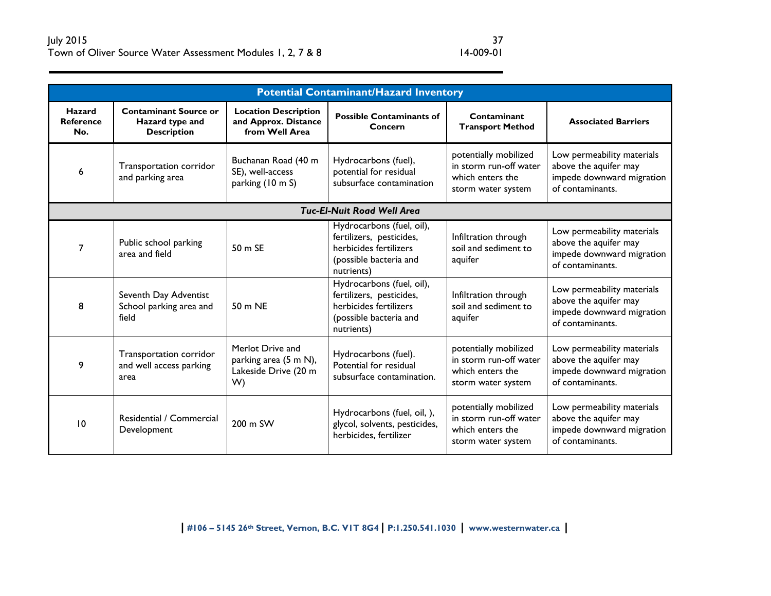| <b>Potential Contaminant/Hazard Inventory</b> |                                                                       |                                                                         |                                                                                                                         |                                                                                           |                                                                                                      |  |  |
|-----------------------------------------------|-----------------------------------------------------------------------|-------------------------------------------------------------------------|-------------------------------------------------------------------------------------------------------------------------|-------------------------------------------------------------------------------------------|------------------------------------------------------------------------------------------------------|--|--|
| Hazard<br><b>Reference</b><br>No.             | <b>Contaminant Source or</b><br>Hazard type and<br><b>Description</b> | <b>Location Description</b><br>and Approx. Distance<br>from Well Area   | <b>Possible Contaminants of</b><br>Concern                                                                              | Contaminant<br><b>Transport Method</b>                                                    | <b>Associated Barriers</b>                                                                           |  |  |
| 6                                             | Transportation corridor<br>and parking area                           | Buchanan Road (40 m<br>SE), well-access<br>parking (10 m S)             | Hydrocarbons (fuel),<br>potential for residual<br>subsurface contamination                                              | potentially mobilized<br>in storm run-off water<br>which enters the<br>storm water system | Low permeability materials<br>above the aquifer may<br>impede downward migration<br>of contaminants. |  |  |
|                                               |                                                                       |                                                                         | <b>Tuc-El-Nuit Road Well Area</b>                                                                                       |                                                                                           |                                                                                                      |  |  |
| 7                                             | Public school parking<br>area and field                               | 50 m SE                                                                 | Hydrocarbons (fuel, oil),<br>fertilizers, pesticides,<br>herbicides fertilizers<br>(possible bacteria and<br>nutrients) | Infiltration through<br>soil and sediment to<br>aquifer                                   | Low permeability materials<br>above the aquifer may<br>impede downward migration<br>of contaminants. |  |  |
| 8                                             | Seventh Day Adventist<br>School parking area and<br>field             | 50 m NE                                                                 | Hydrocarbons (fuel, oil),<br>fertilizers, pesticides,<br>herbicides fertilizers<br>(possible bacteria and<br>nutrients) | Infiltration through<br>soil and sediment to<br>aquifer                                   | Low permeability materials<br>above the aquifer may<br>impede downward migration<br>of contaminants. |  |  |
| 9                                             | Transportation corridor<br>and well access parking<br>area            | Merlot Drive and<br>parking area (5 m N),<br>Lakeside Drive (20 m<br>W) | Hydrocarbons (fuel).<br>Potential for residual<br>subsurface contamination.                                             | potentially mobilized<br>in storm run-off water<br>which enters the<br>storm water system | Low permeability materials<br>above the aquifer may<br>impede downward migration<br>of contaminants. |  |  |
| 10                                            | Residential / Commercial<br>Development                               | 200 m SW                                                                | Hydrocarbons (fuel, oil, ),<br>glycol, solvents, pesticides,<br>herbicides, fertilizer                                  | potentially mobilized<br>in storm run-off water<br>which enters the<br>storm water system | Low permeability materials<br>above the aquifer may<br>impede downward migration<br>of contaminants. |  |  |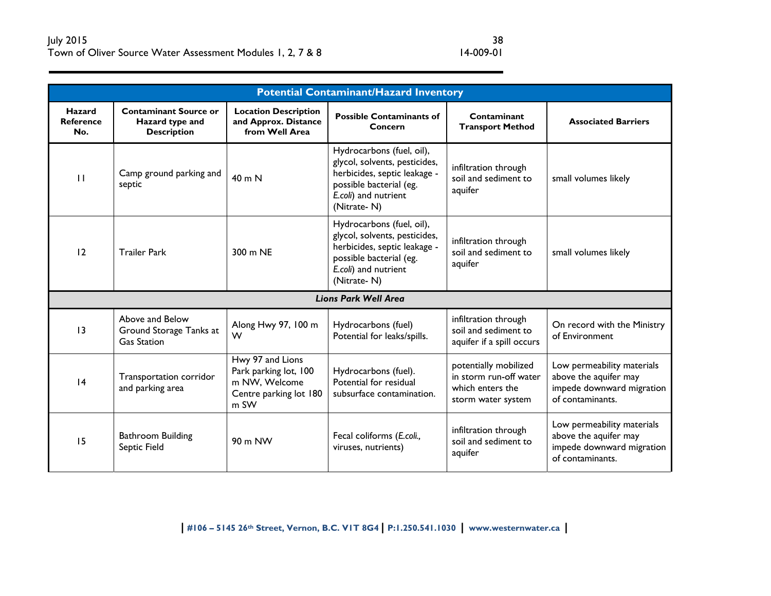| <b>Potential Contaminant/Hazard Inventory</b> |                                                                       |                                                                                              |                                                                                                                                                              |                                                                                           |                                                                                                      |  |  |
|-----------------------------------------------|-----------------------------------------------------------------------|----------------------------------------------------------------------------------------------|--------------------------------------------------------------------------------------------------------------------------------------------------------------|-------------------------------------------------------------------------------------------|------------------------------------------------------------------------------------------------------|--|--|
| Hazard<br><b>Reference</b><br>No.             | <b>Contaminant Source or</b><br>Hazard type and<br><b>Description</b> | <b>Location Description</b><br>and Approx. Distance<br>from Well Area                        | <b>Possible Contaminants of</b><br>Concern                                                                                                                   | Contaminant<br><b>Transport Method</b>                                                    | <b>Associated Barriers</b>                                                                           |  |  |
| $\mathbf{H}$                                  | Camp ground parking and<br>septic                                     | 40 m N                                                                                       | Hydrocarbons (fuel, oil),<br>glycol, solvents, pesticides,<br>herbicides, septic leakage -<br>possible bacterial (eg.<br>E.coli) and nutrient<br>(Nitrate-N) | infiltration through<br>soil and sediment to<br>aquifer                                   | small volumes likely                                                                                 |  |  |
| 12                                            | <b>Trailer Park</b>                                                   | 300 m NE                                                                                     | Hydrocarbons (fuel, oil),<br>glycol, solvents, pesticides,<br>herbicides, septic leakage -<br>possible bacterial (eg.<br>E.coli) and nutrient<br>(Nitrate-N) | infiltration through<br>soil and sediment to<br>aquifer                                   | small volumes likely                                                                                 |  |  |
|                                               |                                                                       |                                                                                              | <b>Lions Park Well Area</b>                                                                                                                                  |                                                                                           |                                                                                                      |  |  |
| 13                                            | Above and Below<br>Ground Storage Tanks at<br><b>Gas Station</b>      | Along Hwy 97, 100 m<br>W                                                                     | Hydrocarbons (fuel)<br>Potential for leaks/spills.                                                                                                           | infiltration through<br>soil and sediment to<br>aquifer if a spill occurs                 | On record with the Ministry<br>of Environment                                                        |  |  |
| 4                                             | Transportation corridor<br>and parking area                           | Hwy 97 and Lions<br>Park parking lot, 100<br>m NW, Welcome<br>Centre parking lot 180<br>m SW | Hydrocarbons (fuel).<br>Potential for residual<br>subsurface contamination.                                                                                  | potentially mobilized<br>in storm run-off water<br>which enters the<br>storm water system | Low permeability materials<br>above the aquifer may<br>impede downward migration<br>of contaminants. |  |  |
| 15                                            | <b>Bathroom Building</b><br>Septic Field                              | 90 m NW                                                                                      | Fecal coliforms (E.coli.,<br>viruses, nutrients)                                                                                                             | infiltration through<br>soil and sediment to<br>aquifer                                   | Low permeability materials<br>above the aquifer may<br>impede downward migration<br>of contaminants. |  |  |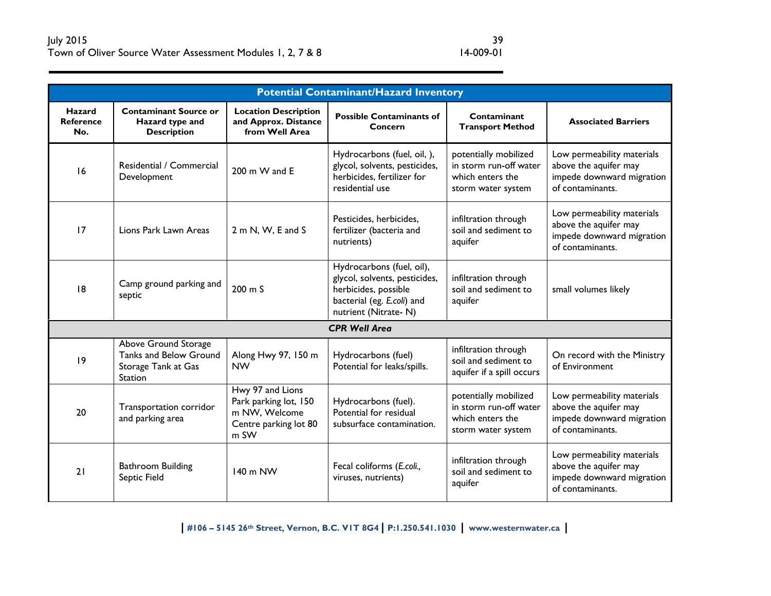|                                          | <b>Potential Contaminant/Hazard Inventory</b>                                           |                                                                                             |                                                                                                                                          |                                                                                           |                                                                                                      |  |  |
|------------------------------------------|-----------------------------------------------------------------------------------------|---------------------------------------------------------------------------------------------|------------------------------------------------------------------------------------------------------------------------------------------|-------------------------------------------------------------------------------------------|------------------------------------------------------------------------------------------------------|--|--|
| <b>Hazard</b><br><b>Reference</b><br>No. | <b>Contaminant Source or</b><br>Hazard type and<br><b>Description</b>                   | <b>Location Description</b><br>and Approx. Distance<br>from Well Area                       | <b>Possible Contaminants of</b><br>Concern                                                                                               | Contaminant<br><b>Transport Method</b>                                                    | <b>Associated Barriers</b>                                                                           |  |  |
| 16                                       | Residential / Commercial<br>Development                                                 | 200 m W and E                                                                               | Hydrocarbons (fuel, oil, ),<br>glycol, solvents, pesticides,<br>herbicides, fertilizer for<br>residential use                            | potentially mobilized<br>in storm run-off water<br>which enters the<br>storm water system | Low permeability materials<br>above the aquifer may<br>impede downward migration<br>of contaminants. |  |  |
| 17                                       | Lions Park Lawn Areas                                                                   | 2 m N, W, E and S                                                                           | Pesticides, herbicides,<br>fertilizer (bacteria and<br>nutrients)                                                                        | infiltration through<br>soil and sediment to<br>aquifer                                   | Low permeability materials<br>above the aquifer may<br>impede downward migration<br>of contaminants. |  |  |
| 8                                        | Camp ground parking and<br>septic                                                       | $200 \text{ m}$ S                                                                           | Hydrocarbons (fuel, oil),<br>glycol, solvents, pesticides,<br>herbicides, possible<br>bacterial (eg. E.coli) and<br>nutrient (Nitrate-N) | infiltration through<br>soil and sediment to<br>aquifer                                   | small volumes likely                                                                                 |  |  |
|                                          |                                                                                         |                                                                                             | <b>CPR Well Area</b>                                                                                                                     |                                                                                           |                                                                                                      |  |  |
| 9                                        | Above Ground Storage<br>Tanks and Below Ground<br>Storage Tank at Gas<br><b>Station</b> | Along Hwy 97, 150 m<br><b>NW</b>                                                            | Hydrocarbons (fuel)<br>Potential for leaks/spills.                                                                                       | infiltration through<br>soil and sediment to<br>aquifer if a spill occurs                 | On record with the Ministry<br>of Environment                                                        |  |  |
| 20                                       | Transportation corridor<br>and parking area                                             | Hwy 97 and Lions<br>Park parking lot, 150<br>m NW, Welcome<br>Centre parking lot 80<br>m SW | Hydrocarbons (fuel).<br>Potential for residual<br>subsurface contamination.                                                              | potentially mobilized<br>in storm run-off water<br>which enters the<br>storm water system | Low permeability materials<br>above the aquifer may<br>impede downward migration<br>of contaminants. |  |  |
| 21                                       | Bathroom Building<br>Septic Field                                                       | 140 m NW                                                                                    | Fecal coliforms (E.coli.,<br>viruses, nutrients)                                                                                         | infiltration through<br>soil and sediment to<br>aquifer                                   | Low permeability materials<br>above the aquifer may<br>impede downward migration<br>of contaminants. |  |  |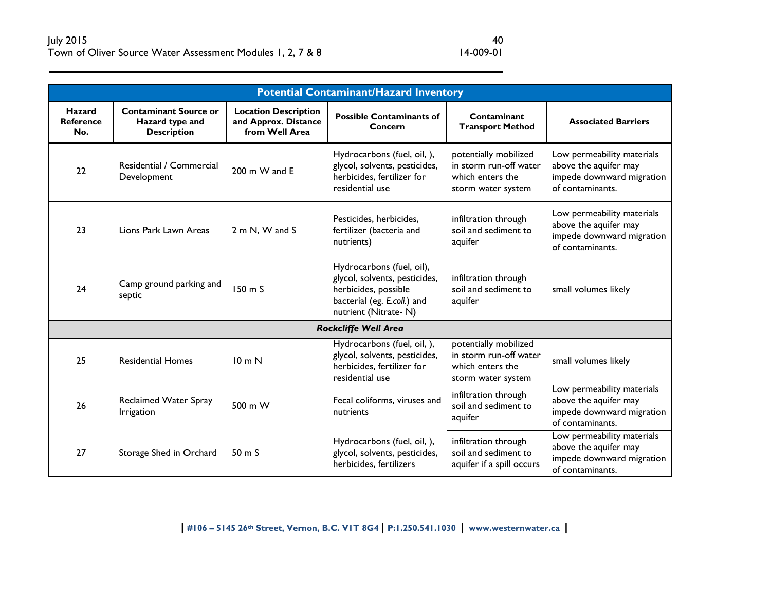| <b>Potential Contaminant/Hazard Inventory</b> |                                                                       |                                                                       |                                                                                                                                           |                                                                                           |                                                                                                      |
|-----------------------------------------------|-----------------------------------------------------------------------|-----------------------------------------------------------------------|-------------------------------------------------------------------------------------------------------------------------------------------|-------------------------------------------------------------------------------------------|------------------------------------------------------------------------------------------------------|
| <b>Hazard</b><br><b>Reference</b><br>No.      | <b>Contaminant Source or</b><br>Hazard type and<br><b>Description</b> | <b>Location Description</b><br>and Approx. Distance<br>from Well Area | <b>Possible Contaminants of</b><br>Concern                                                                                                | Contaminant<br><b>Transport Method</b>                                                    | <b>Associated Barriers</b>                                                                           |
| 22                                            | Residential / Commercial<br>Development                               | 200 m W and E                                                         | Hydrocarbons (fuel, oil, ),<br>glycol, solvents, pesticides,<br>herbicides, fertilizer for<br>residential use                             | potentially mobilized<br>in storm run-off water<br>which enters the<br>storm water system | Low permeability materials<br>above the aquifer may<br>impede downward migration<br>of contaminants. |
| 23                                            | Lions Park Lawn Areas                                                 | 2 m N. W and S                                                        | Pesticides, herbicides,<br>fertilizer (bacteria and<br>nutrients)                                                                         | infiltration through<br>soil and sediment to<br>aquifer                                   | Low permeability materials<br>above the aquifer may<br>impede downward migration<br>of contaminants. |
| 24                                            | Camp ground parking and<br>septic                                     | $150 \text{ m}$                                                       | Hydrocarbons (fuel, oil),<br>glycol, solvents, pesticides,<br>herbicides, possible<br>bacterial (eg. E.coli.) and<br>nutrient (Nitrate-N) | infiltration through<br>soil and sediment to<br>aquifer                                   | small volumes likely                                                                                 |
|                                               |                                                                       |                                                                       | <b>Rockcliffe Well Area</b>                                                                                                               |                                                                                           |                                                                                                      |
| 25                                            | <b>Residential Homes</b>                                              | 10 <sub>m</sub> N                                                     | Hydrocarbons (fuel, oil, ),<br>glycol, solvents, pesticides,<br>herbicides, fertilizer for<br>residential use                             | potentially mobilized<br>in storm run-off water<br>which enters the<br>storm water system | small volumes likely                                                                                 |
| 26                                            | Reclaimed Water Spray<br>Irrigation                                   | 500 m W                                                               | Fecal coliforms, viruses and<br>nutrients                                                                                                 | infiltration through<br>soil and sediment to<br>aquifer                                   | Low permeability materials<br>above the aquifer may<br>impede downward migration<br>of contaminants. |
| 27                                            | Storage Shed in Orchard                                               | $50 \text{ m}$                                                        | Hydrocarbons (fuel, oil, ),<br>glycol, solvents, pesticides,<br>herbicides, fertilizers                                                   | infiltration through<br>soil and sediment to<br>aquifer if a spill occurs                 | Low permeability materials<br>above the aquifer may<br>impede downward migration<br>of contaminants. |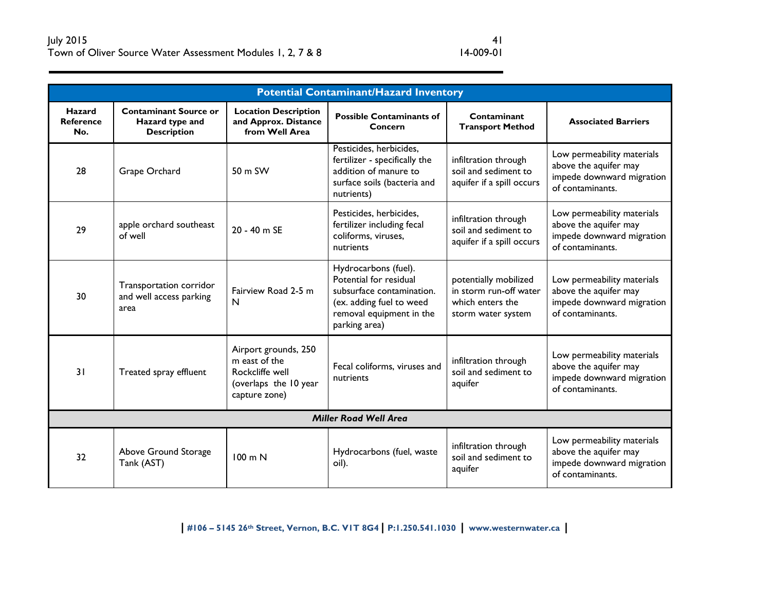| <b>Potential Contaminant/Hazard Inventory</b> |                                                                       |                                                                                                    |                                                                                                                                                      |                                                                                           |                                                                                                      |
|-----------------------------------------------|-----------------------------------------------------------------------|----------------------------------------------------------------------------------------------------|------------------------------------------------------------------------------------------------------------------------------------------------------|-------------------------------------------------------------------------------------------|------------------------------------------------------------------------------------------------------|
| <b>Hazard</b><br><b>Reference</b><br>No.      | <b>Contaminant Source or</b><br>Hazard type and<br><b>Description</b> | <b>Location Description</b><br>and Approx. Distance<br>from Well Area                              | <b>Possible Contaminants of</b><br>Concern                                                                                                           | Contaminant<br><b>Transport Method</b>                                                    | <b>Associated Barriers</b>                                                                           |
| 28                                            | Grape Orchard                                                         | 50 m SW                                                                                            | Pesticides, herbicides,<br>fertilizer - specifically the<br>addition of manure to<br>surface soils (bacteria and<br>nutrients)                       | infiltration through<br>soil and sediment to<br>aquifer if a spill occurs                 | Low permeability materials<br>above the aquifer may<br>impede downward migration<br>of contaminants. |
| 29                                            | apple orchard southeast<br>of well                                    | 20 - 40 m SE                                                                                       | Pesticides, herbicides,<br>fertilizer including fecal<br>coliforms, viruses,<br>nutrients                                                            | infiltration through<br>soil and sediment to<br>aquifer if a spill occurs                 | Low permeability materials<br>above the aquifer may<br>impede downward migration<br>of contaminants. |
| 30                                            | Transportation corridor<br>and well access parking<br>area            | Fairview Road 2-5 m<br>$\mathsf{N}$                                                                | Hydrocarbons (fuel).<br>Potential for residual<br>subsurface contamination.<br>(ex. adding fuel to weed<br>removal equipment in the<br>parking area) | potentially mobilized<br>in storm run-off water<br>which enters the<br>storm water system | Low permeability materials<br>above the aquifer may<br>impede downward migration<br>of contaminants. |
| 31                                            | Treated spray effluent                                                | Airport grounds, 250<br>m east of the<br>Rockcliffe well<br>(overlaps the 10 year<br>capture zone) | Fecal coliforms, viruses and<br>nutrients                                                                                                            | infiltration through<br>soil and sediment to<br>aquifer                                   | Low permeability materials<br>above the aquifer may<br>impede downward migration<br>of contaminants. |
| <b>Miller Road Well Area</b>                  |                                                                       |                                                                                                    |                                                                                                                                                      |                                                                                           |                                                                                                      |
| 32                                            | Above Ground Storage<br>Tank (AST)                                    | 100 m N                                                                                            | Hydrocarbons (fuel, waste<br>oil).                                                                                                                   | infiltration through<br>soil and sediment to<br>aquifer                                   | Low permeability materials<br>above the aquifer may<br>impede downward migration<br>of contaminants. |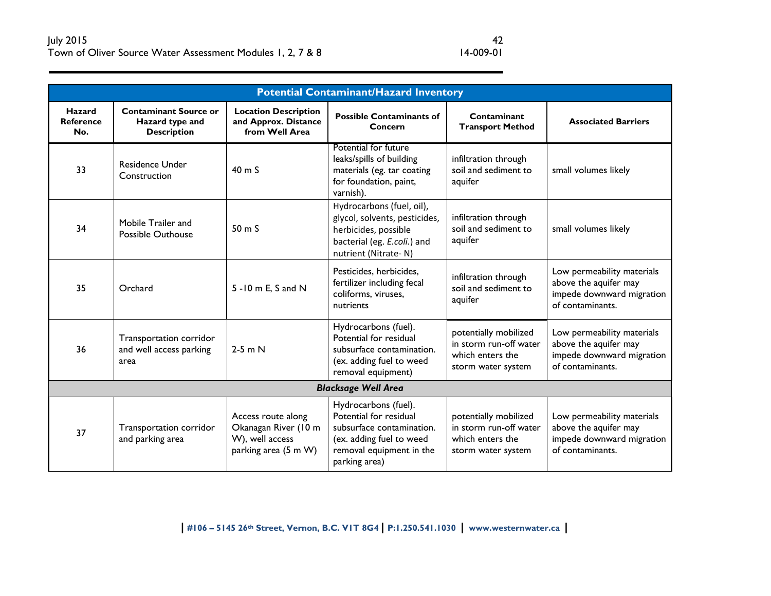|                                   | <b>Potential Contaminant/Hazard Inventory</b>                         |                                                                                       |                                                                                                                                                      |                                                                                           |                                                                                                      |  |
|-----------------------------------|-----------------------------------------------------------------------|---------------------------------------------------------------------------------------|------------------------------------------------------------------------------------------------------------------------------------------------------|-------------------------------------------------------------------------------------------|------------------------------------------------------------------------------------------------------|--|
| Hazard<br><b>Reference</b><br>No. | <b>Contaminant Source or</b><br>Hazard type and<br><b>Description</b> | <b>Location Description</b><br>and Approx. Distance<br>from Well Area                 | <b>Possible Contaminants of</b><br>Concern                                                                                                           | Contaminant<br><b>Transport Method</b>                                                    | <b>Associated Barriers</b>                                                                           |  |
| 33                                | <b>Residence Under</b><br>Construction                                | 40 m S                                                                                | Potential for future<br>leaks/spills of building<br>materials (eg. tar coating<br>for foundation, paint,<br>varnish).                                | infiltration through<br>soil and sediment to<br>aquifer                                   | small volumes likely                                                                                 |  |
| 34                                | Mobile Trailer and<br><b>Possible Outhouse</b>                        | 50 m S                                                                                | Hydrocarbons (fuel, oil),<br>glycol, solvents, pesticides,<br>herbicides, possible<br>bacterial (eg. E.coli.) and<br>nutrient (Nitrate-N)            | infiltration through<br>soil and sediment to<br>aquifer                                   | small volumes likely                                                                                 |  |
| 35                                | Orchard                                                               | 5 - 10 m E, S and N                                                                   | Pesticides, herbicides,<br>fertilizer including fecal<br>coliforms, viruses,<br>nutrients                                                            | infiltration through<br>soil and sediment to<br>aquifer                                   | Low permeability materials<br>above the aquifer may<br>impede downward migration<br>of contaminants. |  |
| 36                                | Transportation corridor<br>and well access parking<br>area            | $2-5$ m N                                                                             | Hydrocarbons (fuel).<br>Potential for residual<br>subsurface contamination.<br>(ex. adding fuel to weed<br>removal equipment)                        | potentially mobilized<br>in storm run-off water<br>which enters the<br>storm water system | Low permeability materials<br>above the aquifer may<br>impede downward migration<br>of contaminants. |  |
| <b>Blacksage Well Area</b>        |                                                                       |                                                                                       |                                                                                                                                                      |                                                                                           |                                                                                                      |  |
| 37                                | Transportation corridor<br>and parking area                           | Access route along<br>Okanagan River (10 m<br>W), well access<br>parking area (5 m W) | Hydrocarbons (fuel).<br>Potential for residual<br>subsurface contamination.<br>(ex. adding fuel to weed<br>removal equipment in the<br>parking area) | potentially mobilized<br>in storm run-off water<br>which enters the<br>storm water system | Low permeability materials<br>above the aquifer may<br>impede downward migration<br>of contaminants. |  |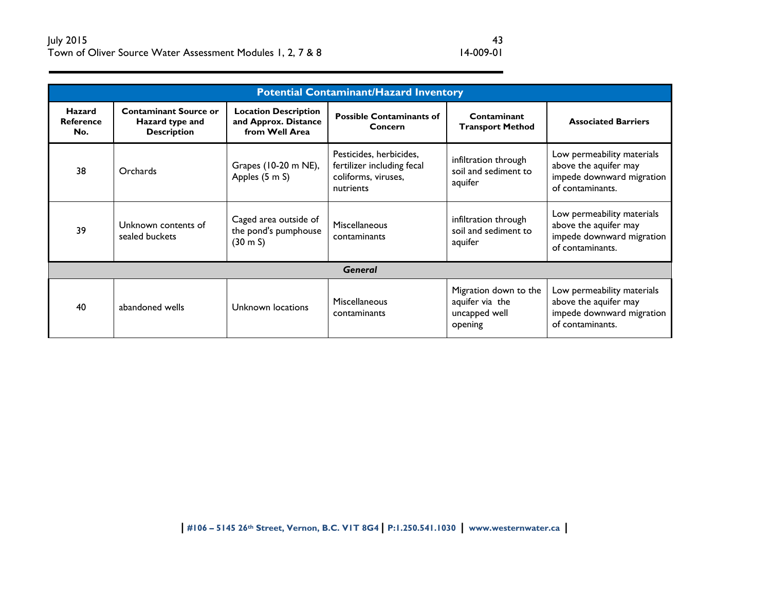| <b>Potential Contaminant/Hazard Inventory</b> |                                                                       |                                                                       |                                                                                           |                                                                      |                                                                                                      |
|-----------------------------------------------|-----------------------------------------------------------------------|-----------------------------------------------------------------------|-------------------------------------------------------------------------------------------|----------------------------------------------------------------------|------------------------------------------------------------------------------------------------------|
| Hazard<br><b>Reference</b><br>No.             | <b>Contaminant Source or</b><br>Hazard type and<br><b>Description</b> | <b>Location Description</b><br>and Approx. Distance<br>from Well Area | <b>Possible Contaminants of</b><br>Concern                                                | Contaminant<br><b>Transport Method</b>                               | <b>Associated Barriers</b>                                                                           |
| 38                                            | Orchards                                                              | Grapes (10-20 m NE),<br>Apples (5 m S)                                | Pesticides, herbicides,<br>fertilizer including fecal<br>coliforms, viruses,<br>nutrients | infiltration through<br>soil and sediment to<br>aquifer              | Low permeability materials<br>above the aquifer may<br>impede downward migration<br>of contaminants. |
| 39                                            | Unknown contents of<br>sealed buckets                                 | Caged area outside of<br>the pond's pumphouse<br>$(30 \, \text{m S})$ | <b>Miscellaneous</b><br>contaminants                                                      | infiltration through<br>soil and sediment to<br>aquifer              | Low permeability materials<br>above the aquifer may<br>impede downward migration<br>of contaminants. |
| <b>General</b>                                |                                                                       |                                                                       |                                                                                           |                                                                      |                                                                                                      |
| 40                                            | abandoned wells                                                       | Unknown locations                                                     | <b>Miscellaneous</b><br>contaminants                                                      | Migration down to the<br>aquifer via the<br>uncapped well<br>opening | Low permeability materials<br>above the aquifer may<br>impede downward migration<br>of contaminants. |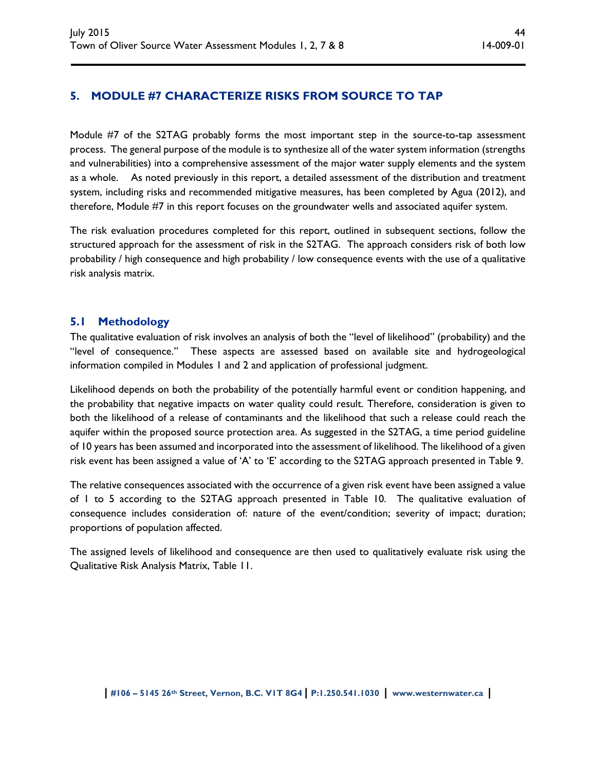# **5. MODULE #7 CHARACTERIZE RISKS FROM SOURCE TO TAP**

Module #7 of the S2TAG probably forms the most important step in the source-to-tap assessment process. The general purpose of the module is to synthesize all of the water system information (strengths and vulnerabilities) into a comprehensive assessment of the major water supply elements and the system as a whole. As noted previously in this report, a detailed assessment of the distribution and treatment system, including risks and recommended mitigative measures, has been completed by Agua (2012), and therefore, Module #7 in this report focuses on the groundwater wells and associated aquifer system.

The risk evaluation procedures completed for this report, outlined in subsequent sections, follow the structured approach for the assessment of risk in the S2TAG. The approach considers risk of both low probability / high consequence and high probability / low consequence events with the use of a qualitative risk analysis matrix.

# **5.1 Methodology**

The qualitative evaluation of risk involves an analysis of both the "level of likelihood" (probability) and the "level of consequence." These aspects are assessed based on available site and hydrogeological information compiled in Modules 1 and 2 and application of professional judgment.

Likelihood depends on both the probability of the potentially harmful event or condition happening, and the probability that negative impacts on water quality could result. Therefore, consideration is given to both the likelihood of a release of contaminants and the likelihood that such a release could reach the aquifer within the proposed source protection area. As suggested in the S2TAG, a time period guideline of 10 years has been assumed and incorporated into the assessment of likelihood. The likelihood of a given risk event has been assigned a value of 'A' to 'E' according to the S2TAG approach presented in Table 9.

The relative consequences associated with the occurrence of a given risk event have been assigned a value of 1 to 5 according to the S2TAG approach presented in Table 10. The qualitative evaluation of consequence includes consideration of: nature of the event/condition; severity of impact; duration; proportions of population affected.

The assigned levels of likelihood and consequence are then used to qualitatively evaluate risk using the Qualitative Risk Analysis Matrix, Table 11.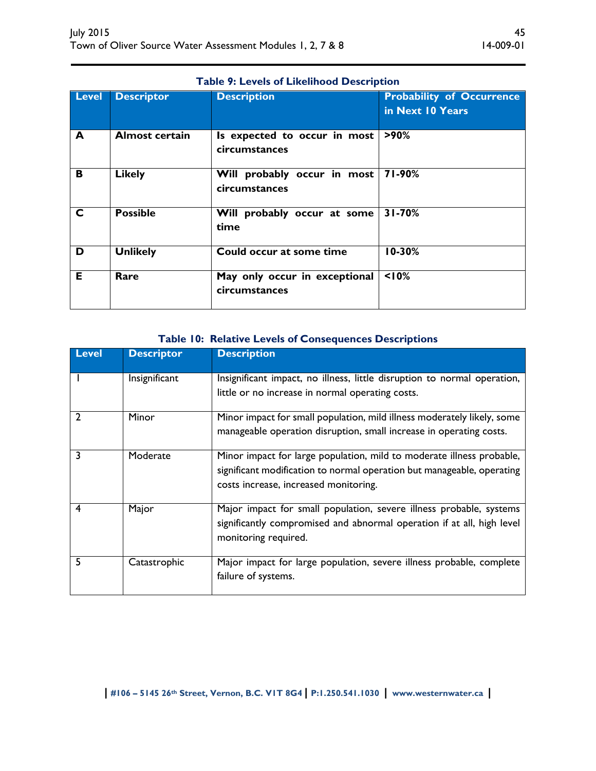| <b>Table 9: Levels of Likelihood Description</b> |                       |                                                |                                                      |  |  |
|--------------------------------------------------|-----------------------|------------------------------------------------|------------------------------------------------------|--|--|
| <b>Level</b>                                     | <b>Descriptor</b>     | <b>Description</b>                             | <b>Probability of Occurrence</b><br>in Next 10 Years |  |  |
| A                                                | <b>Almost certain</b> | Is expected to occur in most<br>circumstances  | $>90\%$                                              |  |  |
| $\overline{\mathbf{B}}$                          | <b>Likely</b>         | Will probably occur in most<br>circumstances   | 71-90%                                               |  |  |
| $\overline{\mathsf{C}}$                          | <b>Possible</b>       | Will probably occur at some<br>time            | $31 - 70%$                                           |  |  |
| $\overline{\mathsf{D}}$                          | <b>Unlikely</b>       | Could occur at some time                       | $10 - 30%$                                           |  |  |
| E                                                | Rare                  | May only occur in exceptional<br>circumstances | 10%                                                  |  |  |

# **Table 10: Relative Levels of Consequences Descriptions**

| <b>Level</b> | <b>Descriptor</b> | <b>Description</b>                                                                             |
|--------------|-------------------|------------------------------------------------------------------------------------------------|
|              | Insignificant     | Insignificant impact, no illness, little disruption to normal operation,                       |
|              |                   | little or no increase in normal operating costs.                                               |
|              | Minor             | Minor impact for small population, mild illness moderately likely, some                        |
|              |                   | manageable operation disruption, small increase in operating costs.                            |
|              | Moderate          | Minor impact for large population, mild to moderate illness probable,                          |
|              |                   | significant modification to normal operation but manageable, operating                         |
|              |                   | costs increase, increased monitoring.                                                          |
|              | Major             | Major impact for small population, severe illness probable, systems                            |
|              |                   | significantly compromised and abnormal operation if at all, high level<br>monitoring required. |
|              | Catastrophic      | Major impact for large population, severe illness probable, complete                           |
|              |                   | failure of systems.                                                                            |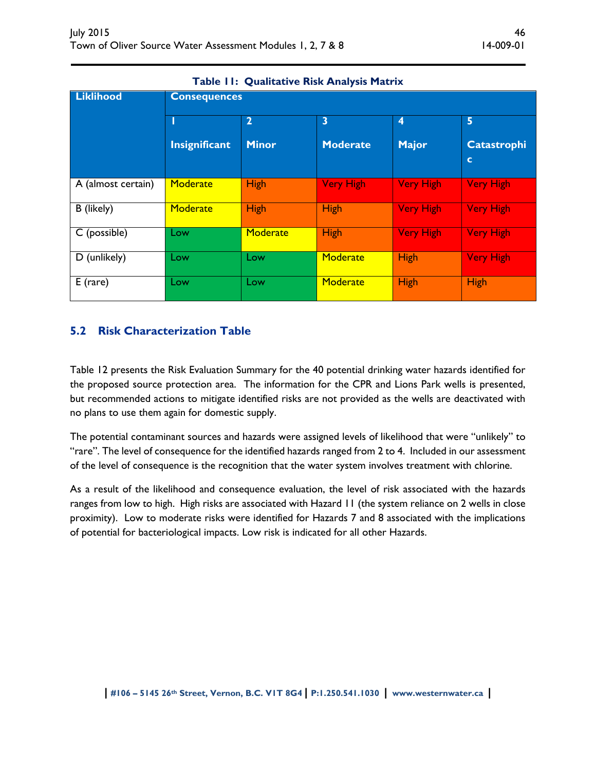| <b>Liklihood</b>   | <b>Consequences</b> |                |                         |                  |                                   |  |  |
|--------------------|---------------------|----------------|-------------------------|------------------|-----------------------------------|--|--|
|                    |                     | $\overline{2}$ | $\overline{\mathbf{3}}$ | $\boldsymbol{4}$ | 5                                 |  |  |
|                    | Insignificant       | <b>Minor</b>   | <b>Moderate</b>         | <b>Major</b>     | <b>Catastrophi</b><br>$\mathbf c$ |  |  |
| A (almost certain) | Moderate            | <b>High</b>    | <b>Very High</b>        | <b>Very High</b> | <b>Very High</b>                  |  |  |
| B (likely)         | <b>Moderate</b>     | <b>High</b>    | <b>High</b>             | <b>Very High</b> | <b>Very High</b>                  |  |  |
| C (possible)       | Low                 | Moderate       | <b>High</b>             | <b>Very High</b> | <b>Very High</b>                  |  |  |
| D (unlikely)       | Low                 | Low            | Moderate                | <b>High</b>      | <b>Very High</b>                  |  |  |
| $E$ (rare)         | Low                 | Low            | Moderate                | <b>High</b>      | High                              |  |  |

# **Table 11: Qualitative Risk Analysis Matrix**

# **5.2 Risk Characterization Table**

Table 12 presents the Risk Evaluation Summary for the 40 potential drinking water hazards identified for the proposed source protection area. The information for the CPR and Lions Park wells is presented, but recommended actions to mitigate identified risks are not provided as the wells are deactivated with no plans to use them again for domestic supply.

The potential contaminant sources and hazards were assigned levels of likelihood that were "unlikely" to "rare". The level of consequence for the identified hazards ranged from 2 to 4. Included in our assessment of the level of consequence is the recognition that the water system involves treatment with chlorine.

As a result of the likelihood and consequence evaluation, the level of risk associated with the hazards ranges from low to high. High risks are associated with Hazard 11 (the system reliance on 2 wells in close proximity). Low to moderate risks were identified for Hazards 7 and 8 associated with the implications of potential for bacteriological impacts. Low risk is indicated for all other Hazards.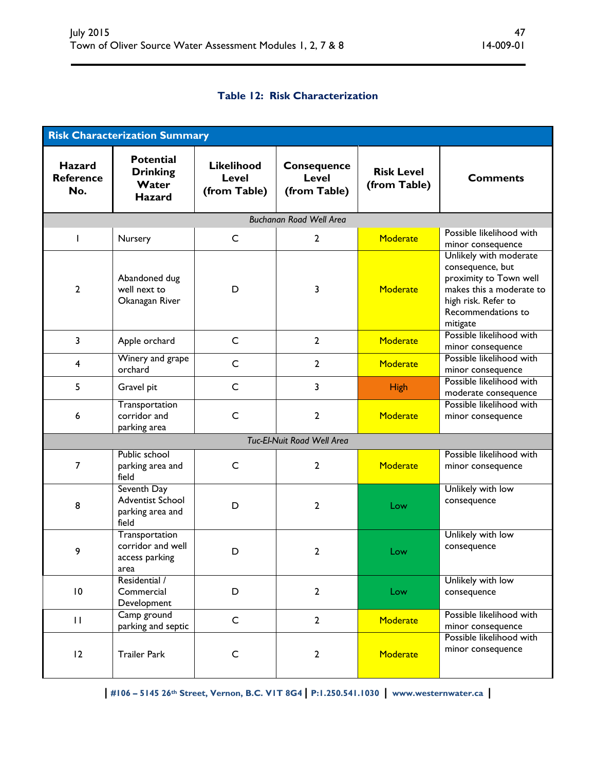# **Table 12: Risk Characterization**

|                                          | <b>Risk Characterization Summary</b>                          |                                                   |                                                    |                                   |                                                                                                                                                           |
|------------------------------------------|---------------------------------------------------------------|---------------------------------------------------|----------------------------------------------------|-----------------------------------|-----------------------------------------------------------------------------------------------------------------------------------------------------------|
| <b>Hazard</b><br><b>Reference</b><br>No. | <b>Potential</b><br><b>Drinking</b><br>Water<br><b>Hazard</b> | <b>Likelihood</b><br><b>Level</b><br>(from Table) | <b>Consequence</b><br><b>Level</b><br>(from Table) | <b>Risk Level</b><br>(from Table) | <b>Comments</b>                                                                                                                                           |
|                                          |                                                               |                                                   | <b>Buchanan Road Well Area</b>                     |                                   |                                                                                                                                                           |
| $\mathbf{I}$                             | Nursery                                                       | C                                                 | $\mathbf{2}$                                       | <b>Moderate</b>                   | Possible likelihood with<br>minor consequence                                                                                                             |
| $\overline{2}$                           | Abandoned dug<br>well next to<br>Okanagan River               | D                                                 | 3                                                  | Moderate                          | Unlikely with moderate<br>consequence, but<br>proximity to Town well<br>makes this a moderate to<br>high risk. Refer to<br>Recommendations to<br>mitigate |
| $\overline{\mathbf{3}}$                  | Apple orchard                                                 | $\mathsf{C}$                                      | $\overline{2}$                                     | <b>Moderate</b>                   | Possible likelihood with<br>minor consequence                                                                                                             |
| $\overline{\mathbf{4}}$                  | Winery and grape<br>orchard                                   | $\mathsf{C}$                                      | $\overline{2}$                                     | Moderate                          | Possible likelihood with<br>minor consequence                                                                                                             |
| 5                                        | Gravel pit                                                    | $\mathsf{C}$                                      | 3                                                  | <b>High</b>                       | Possible likelihood with<br>moderate consequence                                                                                                          |
| 6                                        | Transportation<br>corridor and<br>parking area                | $\mathsf{C}$                                      | $\overline{2}$                                     | Moderate                          | Possible likelihood with<br>minor consequence                                                                                                             |
|                                          |                                                               |                                                   | Tuc-El-Nuit Road Well Area                         |                                   |                                                                                                                                                           |
| 7                                        | Public school<br>parking area and<br>field                    | C                                                 | $\overline{2}$                                     | Moderate                          | Possible likelihood with<br>minor consequence                                                                                                             |
| 8                                        | Seventh Day<br>Adventist School<br>parking area and<br>field  | D                                                 | $\overline{2}$                                     | Low                               | Unlikely with low<br>consequence                                                                                                                          |
| 9                                        | Transportation<br>corridor and well<br>access parking<br>area | D                                                 | $\mathbf{2}$                                       | Low                               | Unlikely with low<br>consequence                                                                                                                          |
| $\overline{10}$                          | Residential /<br>Commercial<br>Development                    | D                                                 | $\overline{2}$                                     | Low                               | Unlikely with low<br>consequence                                                                                                                          |
| $\mathbf{H}$                             | Camp ground<br>parking and septic                             | $\mathsf{C}$                                      | $\overline{2}$                                     | Moderate                          | Possible likelihood with<br>minor consequence                                                                                                             |
| 12                                       | <b>Trailer Park</b>                                           | $\mathsf{C}$                                      | $\mathbf{2}$                                       | Moderate                          | Possible likelihood with<br>minor consequence                                                                                                             |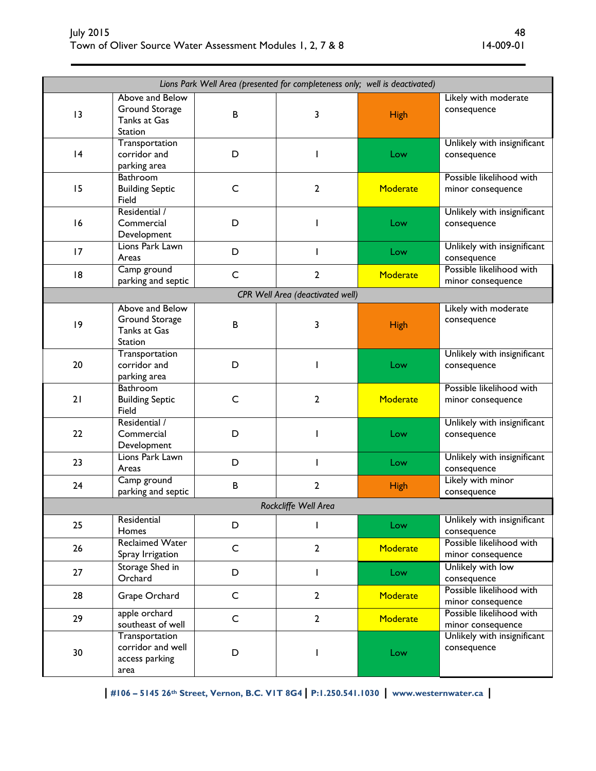| Lions Park Well Area (presented for completeness only; well is deactivated) |                                                               |              |                                         |             |                                               |
|-----------------------------------------------------------------------------|---------------------------------------------------------------|--------------|-----------------------------------------|-------------|-----------------------------------------------|
| 13                                                                          | Above and Below<br>Ground Storage<br>Tanks at Gas<br>Station  | B            | 3                                       | <b>High</b> | Likely with moderate<br>consequence           |
| 4                                                                           | Transportation<br>corridor and<br>parking area                | D            | ı                                       | Low         | Unlikely with insignificant<br>consequence    |
| 15                                                                          | Bathroom<br><b>Building Septic</b><br>Field                   | $\mathsf C$  | $\mathbf{2}$                            | Moderate    | Possible likelihood with<br>minor consequence |
| 16                                                                          | Residential /<br>Commercial<br>Development                    | D            | J.                                      | Low         | Unlikely with insignificant<br>consequence    |
| 17                                                                          | Lions Park Lawn<br>Areas                                      | D            | $\mathbf{I}$                            | Low         | Unlikely with insignificant<br>consequence    |
| 8                                                                           | Camp ground<br>parking and septic                             | $\mathsf C$  | $\mathbf{2}$                            | Moderate    | Possible likelihood with<br>minor consequence |
|                                                                             |                                                               |              | <b>CPR Well Area (deactivated well)</b> |             |                                               |
| 9                                                                           | Above and Below<br>Ground Storage<br>Tanks at Gas<br>Station  | B            | 3                                       | <b>High</b> | Likely with moderate<br>consequence           |
| 20                                                                          | Transportation<br>corridor and<br>parking area                | D            | ı                                       | Low         | Unlikely with insignificant<br>consequence    |
| 21                                                                          | Bathroom<br><b>Building Septic</b><br>Field                   | $\mathsf{C}$ | 2                                       | Moderate    | Possible likelihood with<br>minor consequence |
| 22                                                                          | Residential /<br>Commercial<br>Development                    | D            | J.                                      | Low         | Unlikely with insignificant<br>consequence    |
| 23                                                                          | Lions Park Lawn<br>Areas                                      | D            | $\mathbf{I}$                            | Low         | Unlikely with insignificant<br>consequence    |
| 24                                                                          | Camp ground<br>parking and septic                             | $\sf{B}$     | $\overline{2}$                          | <b>High</b> | Likely with minor<br>consequence              |
|                                                                             |                                                               |              | Rockcliffe Well Area                    |             |                                               |
| 25                                                                          | Residential<br>Homes                                          | D            | $\mathbf{I}$                            | Low         | Unlikely with insignificant<br>consequence    |
| 26                                                                          | <b>Reclaimed Water</b><br>Spray Irrigation                    | $\mathsf{C}$ | $\overline{2}$                          | Moderate    | Possible likelihood with<br>minor consequence |
| 27                                                                          | Storage Shed in<br>Orchard                                    | D            | $\mathbf{I}$                            | Low         | Unlikely with low<br>consequence              |
| 28                                                                          | Grape Orchard                                                 | $\mathsf{C}$ | $\overline{2}$                          | Moderate    | Possible likelihood with<br>minor consequence |
| 29                                                                          | apple orchard<br>southeast of well                            | $\mathsf{C}$ | $\overline{2}$                          | Moderate    | Possible likelihood with<br>minor consequence |
| 30                                                                          | Transportation<br>corridor and well<br>access parking<br>area | D            | ı                                       | Low         | Unlikely with insignificant<br>consequence    |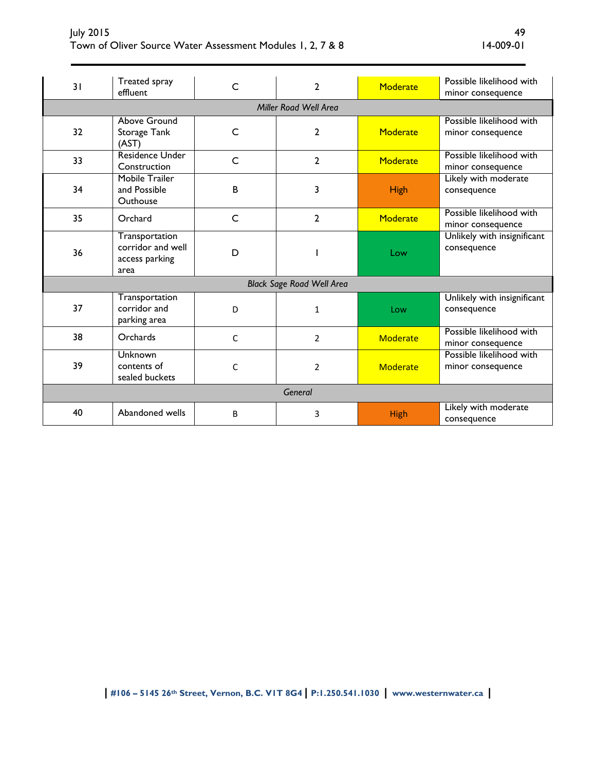| July 2015                                                  |           |
|------------------------------------------------------------|-----------|
| Town of Oliver Source Water Assessment Modules 1, 2, 7 & 8 | 14-009-01 |

| 31      | Treated spray<br>effluent                                     | C            | $\overline{2}$                   | <b>Moderate</b> | Possible likelihood with<br>minor consequence |  |  |
|---------|---------------------------------------------------------------|--------------|----------------------------------|-----------------|-----------------------------------------------|--|--|
|         | Miller Road Well Area                                         |              |                                  |                 |                                               |  |  |
| 32      | Above Ground<br>Storage Tank<br>(AST)                         | C            | 2                                | <b>Moderate</b> | Possible likelihood with<br>minor consequence |  |  |
| 33      | Residence Under<br>Construction                               | C            | $\overline{2}$                   | Moderate        | Possible likelihood with<br>minor consequence |  |  |
| 34      | Mobile Trailer<br>and Possible<br>Outhouse                    | B            | 3                                | High            | Likely with moderate<br>consequence           |  |  |
| 35      | Orchard                                                       | C            | 2                                | <b>Moderate</b> | Possible likelihood with<br>minor consequence |  |  |
| 36      | Transportation<br>corridor and well<br>access parking<br>area | D            |                                  | Low             | Unlikely with insignificant<br>consequence    |  |  |
|         |                                                               |              | <b>Black Sage Road Well Area</b> |                 |                                               |  |  |
| 37      | Transportation<br>corridor and<br>parking area                | D            | $\mathbf{1}$                     | Low             | Unlikely with insignificant<br>consequence    |  |  |
| 38      | Orchards                                                      | $\mathsf{C}$ | $\overline{2}$                   | Moderate        | Possible likelihood with<br>minor consequence |  |  |
| 39      | Unknown<br>contents of<br>sealed buckets                      | C            | $\overline{2}$                   | Moderate        | Possible likelihood with<br>minor consequence |  |  |
| General |                                                               |              |                                  |                 |                                               |  |  |
| 40      | Abandoned wells                                               | B            | 3                                | <b>High</b>     | Likely with moderate<br>consequence           |  |  |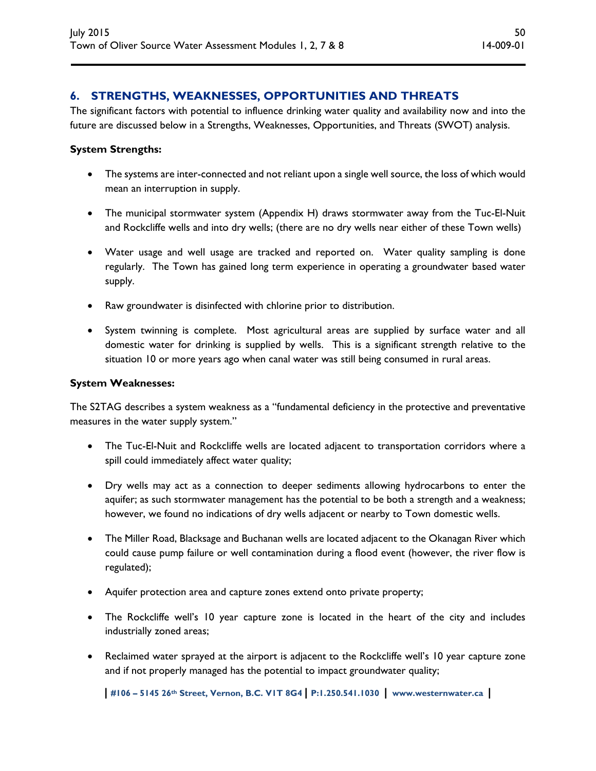# **6. STRENGTHS, WEAKNESSES, OPPORTUNITIES AND THREATS**

The significant factors with potential to influence drinking water quality and availability now and into the future are discussed below in a Strengths, Weaknesses, Opportunities, and Threats (SWOT) analysis.

#### **System Strengths:**

- The systems are inter-connected and not reliant upon a single well source, the loss of which would mean an interruption in supply.
- The municipal stormwater system (Appendix H) draws stormwater away from the Tuc-El-Nuit and Rockcliffe wells and into dry wells; (there are no dry wells near either of these Town wells)
- Water usage and well usage are tracked and reported on. Water quality sampling is done regularly. The Town has gained long term experience in operating a groundwater based water supply.
- Raw groundwater is disinfected with chlorine prior to distribution.
- System twinning is complete. Most agricultural areas are supplied by surface water and all domestic water for drinking is supplied by wells. This is a significant strength relative to the situation 10 or more years ago when canal water was still being consumed in rural areas.

#### **System Weaknesses:**

The S2TAG describes a system weakness as a "fundamental deficiency in the protective and preventative measures in the water supply system."

- The Tuc-El-Nuit and Rockcliffe wells are located adjacent to transportation corridors where a spill could immediately affect water quality;
- Dry wells may act as a connection to deeper sediments allowing hydrocarbons to enter the aquifer; as such stormwater management has the potential to be both a strength and a weakness; however, we found no indications of dry wells adjacent or nearby to Town domestic wells.
- The Miller Road, Blacksage and Buchanan wells are located adjacent to the Okanagan River which could cause pump failure or well contamination during a flood event (however, the river flow is regulated);
- Aquifer protection area and capture zones extend onto private property;
- The Rockcliffe well's 10 year capture zone is located in the heart of the city and includes industrially zoned areas;
- Reclaimed water sprayed at the airport is adjacent to the Rockcliffe well's 10 year capture zone and if not properly managed has the potential to impact groundwater quality;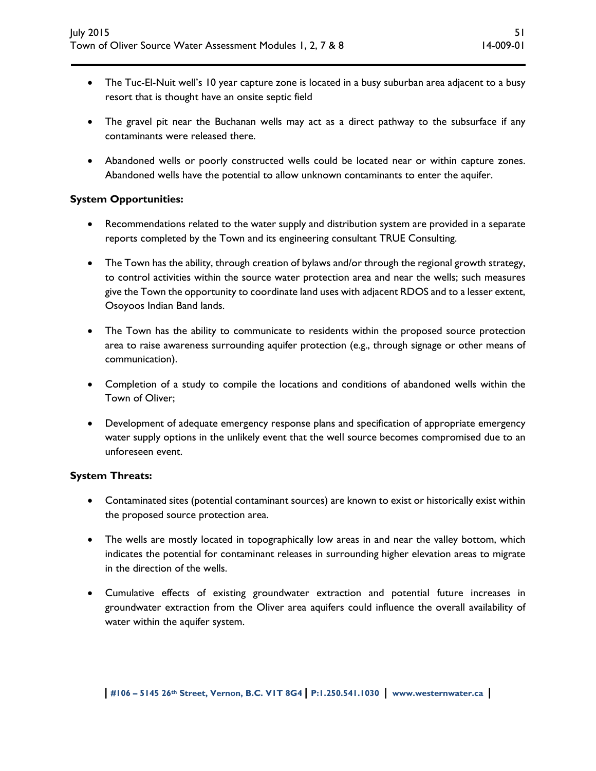- The Tuc-El-Nuit well's 10 year capture zone is located in a busy suburban area adjacent to a busy resort that is thought have an onsite septic field
- The gravel pit near the Buchanan wells may act as a direct pathway to the subsurface if any contaminants were released there.
- Abandoned wells or poorly constructed wells could be located near or within capture zones. Abandoned wells have the potential to allow unknown contaminants to enter the aquifer.

### **System Opportunities:**

- Recommendations related to the water supply and distribution system are provided in a separate reports completed by the Town and its engineering consultant TRUE Consulting.
- The Town has the ability, through creation of bylaws and/or through the regional growth strategy, to control activities within the source water protection area and near the wells; such measures give the Town the opportunity to coordinate land uses with adjacent RDOS and to a lesser extent, Osoyoos Indian Band lands.
- The Town has the ability to communicate to residents within the proposed source protection area to raise awareness surrounding aquifer protection (e.g., through signage or other means of communication).
- Completion of a study to compile the locations and conditions of abandoned wells within the Town of Oliver;
- Development of adequate emergency response plans and specification of appropriate emergency water supply options in the unlikely event that the well source becomes compromised due to an unforeseen event.

### **System Threats:**

- Contaminated sites (potential contaminant sources) are known to exist or historically exist within the proposed source protection area.
- The wells are mostly located in topographically low areas in and near the valley bottom, which indicates the potential for contaminant releases in surrounding higher elevation areas to migrate in the direction of the wells.
- Cumulative effects of existing groundwater extraction and potential future increases in groundwater extraction from the Oliver area aquifers could influence the overall availability of water within the aquifer system.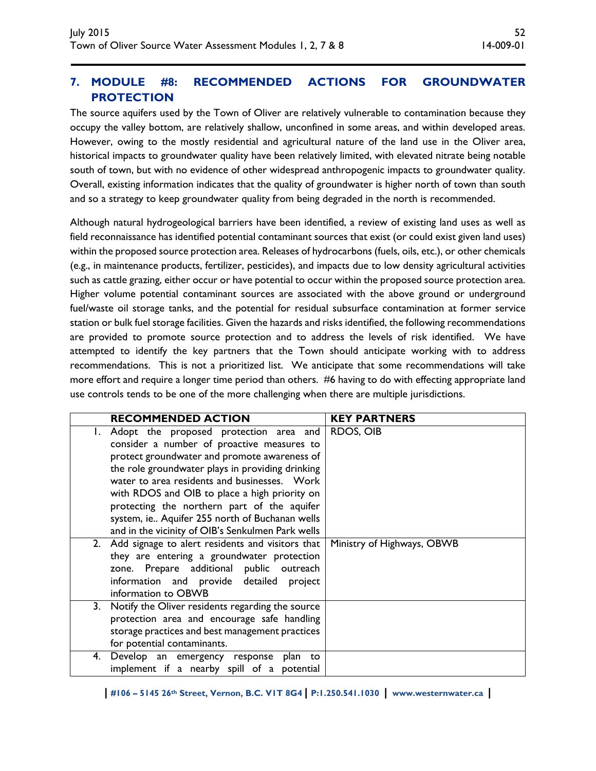# **7. MODULE #8: RECOMMENDED ACTIONS FOR GROUNDWATER PROTECTION**

The source aquifers used by the Town of Oliver are relatively vulnerable to contamination because they occupy the valley bottom, are relatively shallow, unconfined in some areas, and within developed areas. However, owing to the mostly residential and agricultural nature of the land use in the Oliver area, historical impacts to groundwater quality have been relatively limited, with elevated nitrate being notable south of town, but with no evidence of other widespread anthropogenic impacts to groundwater quality. Overall, existing information indicates that the quality of groundwater is higher north of town than south and so a strategy to keep groundwater quality from being degraded in the north is recommended.

Although natural hydrogeological barriers have been identified, a review of existing land uses as well as field reconnaissance has identified potential contaminant sources that exist (or could exist given land uses) within the proposed source protection area. Releases of hydrocarbons (fuels, oils, etc.), or other chemicals (e.g., in maintenance products, fertilizer, pesticides), and impacts due to low density agricultural activities such as cattle grazing, either occur or have potential to occur within the proposed source protection area. Higher volume potential contaminant sources are associated with the above ground or underground fuel/waste oil storage tanks, and the potential for residual subsurface contamination at former service station or bulk fuel storage facilities. Given the hazards and risks identified, the following recommendations are provided to promote source protection and to address the levels of risk identified. We have attempted to identify the key partners that the Town should anticipate working with to address recommendations. This is not a prioritized list. We anticipate that some recommendations will take more effort and require a longer time period than others. #6 having to do with effecting appropriate land use controls tends to be one of the more challenging when there are multiple jurisdictions.

|    | <b>RECOMMENDED ACTION</b>                         | <b>KEY PARTNERS</b>        |
|----|---------------------------------------------------|----------------------------|
|    | Adopt the proposed protection area and            | <b>RDOS, OIB</b>           |
|    | consider a number of proactive measures to        |                            |
|    | protect groundwater and promote awareness of      |                            |
|    | the role groundwater plays in providing drinking  |                            |
|    | water to area residents and businesses. Work      |                            |
|    | with RDOS and OIB to place a high priority on     |                            |
|    | protecting the northern part of the aquifer       |                            |
|    | system, ie Aquifer 255 north of Buchanan wells    |                            |
|    | and in the vicinity of OIB's Senkulmen Park wells |                            |
| 2. | Add signage to alert residents and visitors that  | Ministry of Highways, OBWB |
|    | they are entering a groundwater protection        |                            |
|    | zone. Prepare additional public outreach          |                            |
|    | information and provide detailed<br>project       |                            |
|    | information to OBWB                               |                            |
| 3. | Notify the Oliver residents regarding the source  |                            |
|    | protection area and encourage safe handling       |                            |
|    | storage practices and best management practices   |                            |
|    | for potential contaminants.                       |                            |
| 4. | Develop an emergency response plan to             |                            |
|    | implement if a nearby spill of a potential        |                            |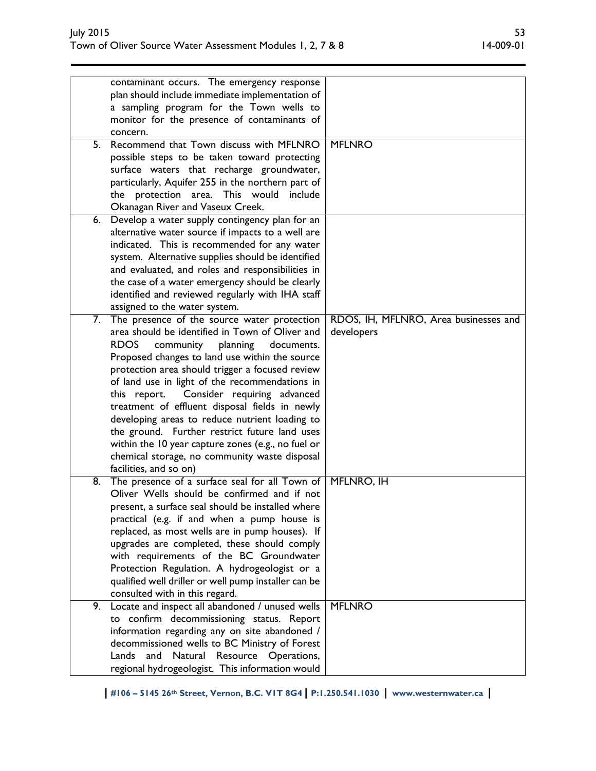| contaminant occurs. The emergency response                                                 |  |
|--------------------------------------------------------------------------------------------|--|
| plan should include immediate implementation of                                            |  |
| a sampling program for the Town wells to                                                   |  |
| monitor for the presence of contaminants of                                                |  |
| concern.                                                                                   |  |
| Recommend that Town discuss with MFLNRO<br>5.<br><b>MFLNRO</b>                             |  |
| possible steps to be taken toward protecting                                               |  |
| surface waters that recharge groundwater,                                                  |  |
| particularly, Aquifer 255 in the northern part of                                          |  |
| the protection area. This would<br>include                                                 |  |
| Okanagan River and Vaseux Creek.                                                           |  |
| Develop a water supply contingency plan for an<br>6.                                       |  |
| alternative water source if impacts to a well are                                          |  |
| indicated. This is recommended for any water                                               |  |
| system. Alternative supplies should be identified                                          |  |
| and evaluated, and roles and responsibilities in                                           |  |
| the case of a water emergency should be clearly                                            |  |
| identified and reviewed regularly with IHA staff                                           |  |
| assigned to the water system.                                                              |  |
| The presence of the source water protection<br>RDOS, IH, MFLNRO, Area businesses and<br>7. |  |
| area should be identified in Town of Oliver and<br>developers                              |  |
| <b>RDOS</b><br>community<br>planning<br>documents.                                         |  |
|                                                                                            |  |
| Proposed changes to land use within the source                                             |  |
| protection area should trigger a focused review                                            |  |
| of land use in light of the recommendations in                                             |  |
| this report. Consider requiring advanced                                                   |  |
| treatment of effluent disposal fields in newly                                             |  |
| developing areas to reduce nutrient loading to                                             |  |
| the ground. Further restrict future land uses                                              |  |
| within the 10 year capture zones (e.g., no fuel or                                         |  |
| chemical storage, no community waste disposal                                              |  |
| facilities, and so on)                                                                     |  |
| The presence of a surface seal for all Town of<br>8.<br>MFLNRO, IH                         |  |
| Oliver Wells should be confirmed and if not                                                |  |
| present, a surface seal should be installed where                                          |  |
| practical (e.g. if and when a pump house is                                                |  |
| replaced, as most wells are in pump houses). If                                            |  |
| upgrades are completed, these should comply                                                |  |
| with requirements of the BC Groundwater                                                    |  |
| Protection Regulation. A hydrogeologist or a                                               |  |
| qualified well driller or well pump installer can be                                       |  |
| consulted with in this regard.                                                             |  |
| <b>MFLNRO</b><br>9.<br>Locate and inspect all abandoned / unused wells                     |  |
| to confirm decommissioning status. Report                                                  |  |
| information regarding any on site abandoned /                                              |  |
| decommissioned wells to BC Ministry of Forest                                              |  |
| Natural Resource Operations,<br>Lands<br>and                                               |  |
| regional hydrogeologist. This information would                                            |  |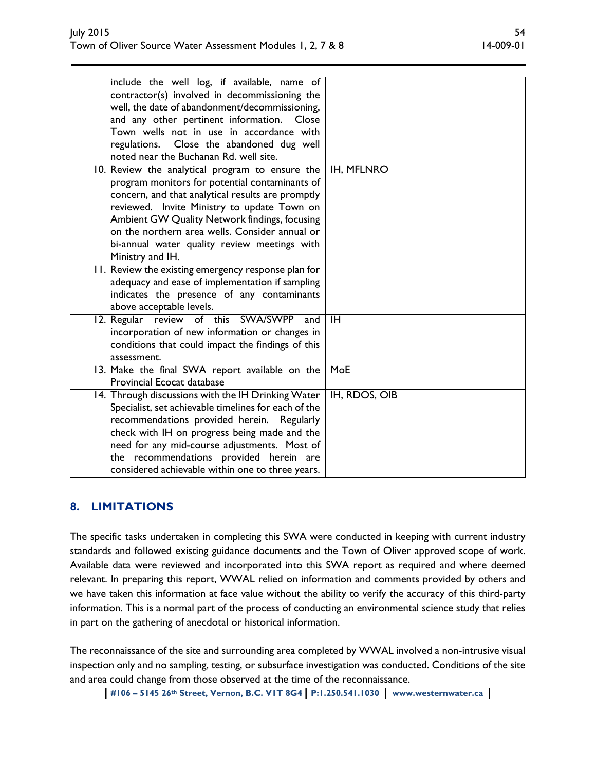| include the well log, if available, name of<br>contractor(s) involved in decommissioning the<br>well, the date of abandonment/decommissioning,<br>and any other pertinent information.<br>Close<br>Town wells not in use in accordance with<br>regulations. Close the abandoned dug well<br>noted near the Buchanan Rd. well site.                                           |                   |
|------------------------------------------------------------------------------------------------------------------------------------------------------------------------------------------------------------------------------------------------------------------------------------------------------------------------------------------------------------------------------|-------------------|
| 10. Review the analytical program to ensure the<br>program monitors for potential contaminants of<br>concern, and that analytical results are promptly<br>reviewed. Invite Ministry to update Town on<br>Ambient GW Quality Network findings, focusing<br>on the northern area wells. Consider annual or<br>bi-annual water quality review meetings with<br>Ministry and IH. | <b>IH, MFLNRO</b> |
| 11. Review the existing emergency response plan for<br>adequacy and ease of implementation if sampling<br>indicates the presence of any contaminants<br>above acceptable levels.                                                                                                                                                                                             |                   |
| 12. Regular review of this SWA/SWPP<br>and<br>incorporation of new information or changes in<br>conditions that could impact the findings of this<br>assessment.                                                                                                                                                                                                             | <b>IH</b>         |
| 13. Make the final SWA report available on the<br>Provincial Ecocat database                                                                                                                                                                                                                                                                                                 | MoE               |
| 14. Through discussions with the IH Drinking Water<br>Specialist, set achievable timelines for each of the<br>recommendations provided herein.<br>Regularly<br>check with IH on progress being made and the<br>need for any mid-course adjustments. Most of<br>the recommendations provided herein are<br>considered achievable within one to three years.                   | IH, RDOS, OIB     |

# **8. LIMITATIONS**

The specific tasks undertaken in completing this SWA were conducted in keeping with current industry standards and followed existing guidance documents and the Town of Oliver approved scope of work. Available data were reviewed and incorporated into this SWA report as required and where deemed relevant. In preparing this report, WWAL relied on information and comments provided by others and we have taken this information at face value without the ability to verify the accuracy of this third-party information. This is a normal part of the process of conducting an environmental science study that relies in part on the gathering of anecdotal or historical information.

The reconnaissance of the site and surrounding area completed by WWAL involved a non-intrusive visual inspection only and no sampling, testing, or subsurface investigation was conducted. Conditions of the site and area could change from those observed at the time of the reconnaissance.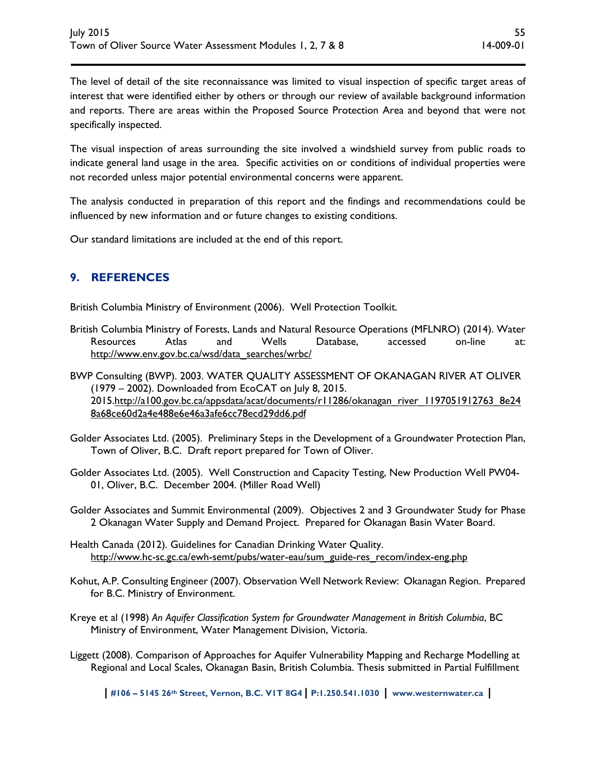The level of detail of the site reconnaissance was limited to visual inspection of specific target areas of interest that were identified either by others or through our review of available background information and reports. There are areas within the Proposed Source Protection Area and beyond that were not specifically inspected.

The visual inspection of areas surrounding the site involved a windshield survey from public roads to indicate general land usage in the area. Specific activities on or conditions of individual properties were not recorded unless major potential environmental concerns were apparent.

The analysis conducted in preparation of this report and the findings and recommendations could be influenced by new information and or future changes to existing conditions.

Our standard limitations are included at the end of this report.

# **9. REFERENCES**

British Columbia Ministry of Environment (2006). Well Protection Toolkit.

British Columbia Ministry of Forests, Lands and Natural Resource Operations (MFLNRO) (2014). Water Resources Atlas and Wells Database, accessed on-line at: http://www.env.gov.bc.ca/wsd/data\_searches/wrbc/

BWP Consulting (BWP). 2003. WATER QUALITY ASSESSMENT OF OKANAGAN RIVER AT OLIVER (1979 – 2002). Downloaded from EcoCAT on July 8, 2015. 2015.http://a100.gov.bc.ca/appsdata/acat/documents/r11286/okanagan\_river\_1197051912763\_8e24 8a68ce60d2a4e488e6e46a3afe6cc78ecd29dd6.pdf

- Golder Associates Ltd. (2005). Preliminary Steps in the Development of a Groundwater Protection Plan, Town of Oliver, B.C. Draft report prepared for Town of Oliver.
- Golder Associates Ltd. (2005). Well Construction and Capacity Testing, New Production Well PW04- 01, Oliver, B.C. December 2004. (Miller Road Well)
- Golder Associates and Summit Environmental (2009). Objectives 2 and 3 Groundwater Study for Phase 2 Okanagan Water Supply and Demand Project. Prepared for Okanagan Basin Water Board.
- Health Canada (2012). Guidelines for Canadian Drinking Water Quality. http://www.hc-sc.gc.ca/ewh-semt/pubs/water-eau/sum\_guide-res\_recom/index-eng.php
- Kohut, A.P. Consulting Engineer (2007). Observation Well Network Review: Okanagan Region. Prepared for B.C. Ministry of Environment.
- Kreye et al (1998) *An Aquifer Classification System for Groundwater Management in British Columbia*, BC Ministry of Environment, Water Management Division, Victoria.
- Liggett (2008). Comparison of Approaches for Aquifer Vulnerability Mapping and Recharge Modelling at Regional and Local Scales, Okanagan Basin, British Columbia. Thesis submitted in Partial Fulfillment